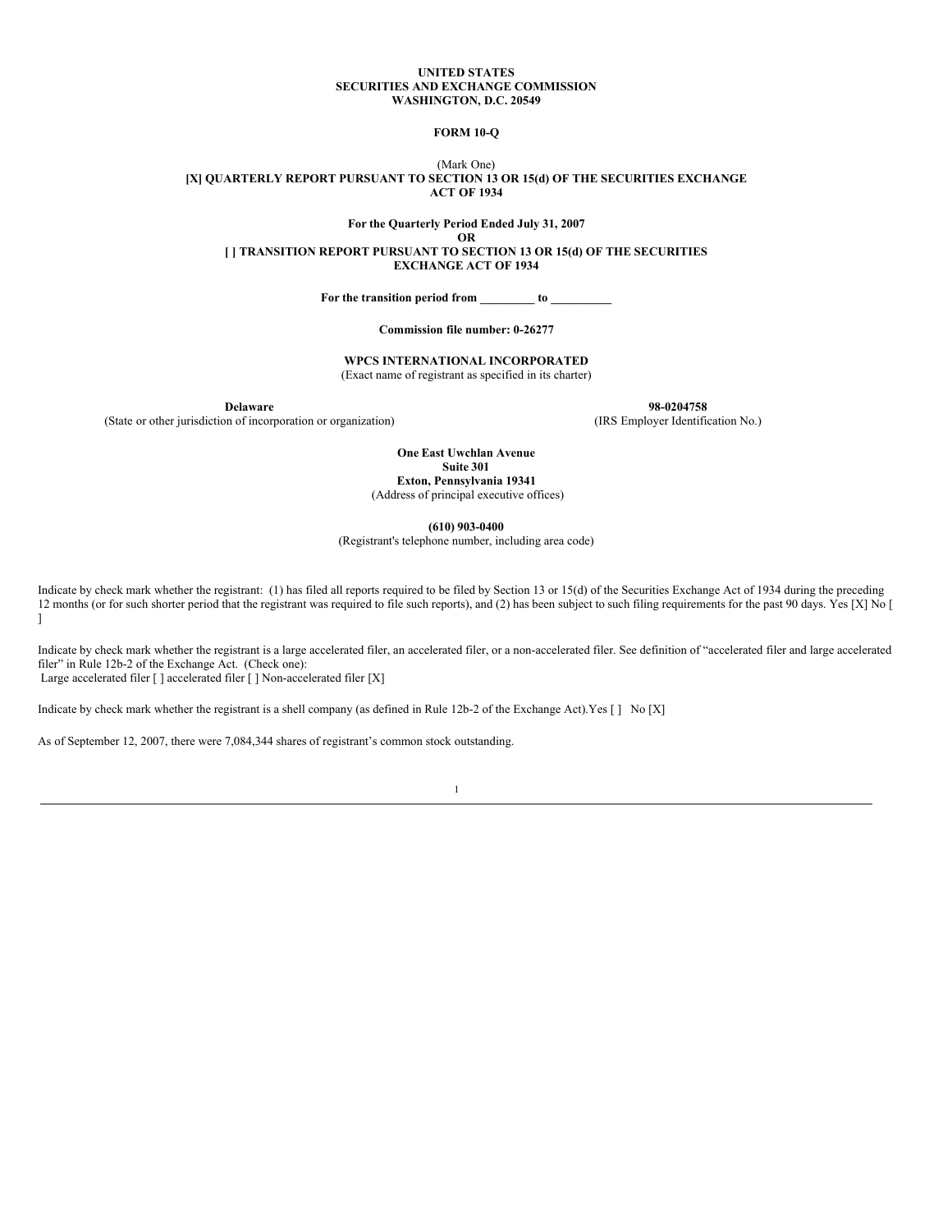#### **UNITED STATES SECURITIES AND EXCHANGE COMMISSION WASHINGTON, D.C. 20549**

#### **FORM 10-Q**

### (Mark One) **[X] QUARTERLY REPORT PURSUANT TO SECTION 13 OR 15(d) OF THE SECURITIES EXCHANGE ACT OF 1934**

## **For the Quarterly Period Ended July 31, 2007**

**OR**

**[ ] TRANSITION REPORT PURSUANT TO SECTION 13 OR 15(d) OF THE SECURITIES EXCHANGE ACT OF 1934**

**For the transition period from \_\_\_\_\_\_\_\_\_ to \_\_\_\_\_\_\_\_\_\_**

### **Commission file number: 0-26277**

**WPCS INTERNATIONAL INCORPORATED**

(Exact name of registrant as specified in its charter)

**Delaware 98-0204758**<br> **98-0204758**<br> **198. IRS Employer Identification No.)**<br> **198. IRS Employer Identification No.** (State or other jurisdiction of incorporation or organization)

**One East Uwchlan Avenue Suite 301 Exton, Pennsylvania 19341** (Address of principal executive offices)

**(610) 903-0400**

(Registrant's telephone number, including area code)

Indicate by check mark whether the registrant: (1) has filed all reports required to be filed by Section 13 or 15(d) of the Securities Exchange Act of 1934 during the preceding 12 months (or for such shorter period that the registrant was required to file such reports), and (2) has been subject to such filing requirements for the past 90 days. Yes [X] No [ ]

Indicate by check mark whether the registrant is a large accelerated filer, an accelerated filer, or a non-accelerated filer. See definition of "accelerated filer and large accelerated filer" in Rule 12b-2 of the Exchange Act. (Check one): Large accelerated filer [ ] accelerated filer [ ] Non-accelerated filer [X]

Indicate by check mark whether the registrant is a shell company (as defined in Rule 12b-2 of the Exchange Act).Yes [ ] No [X]

As of September 12, 2007, there were 7,084,344 shares of registrant's common stock outstanding.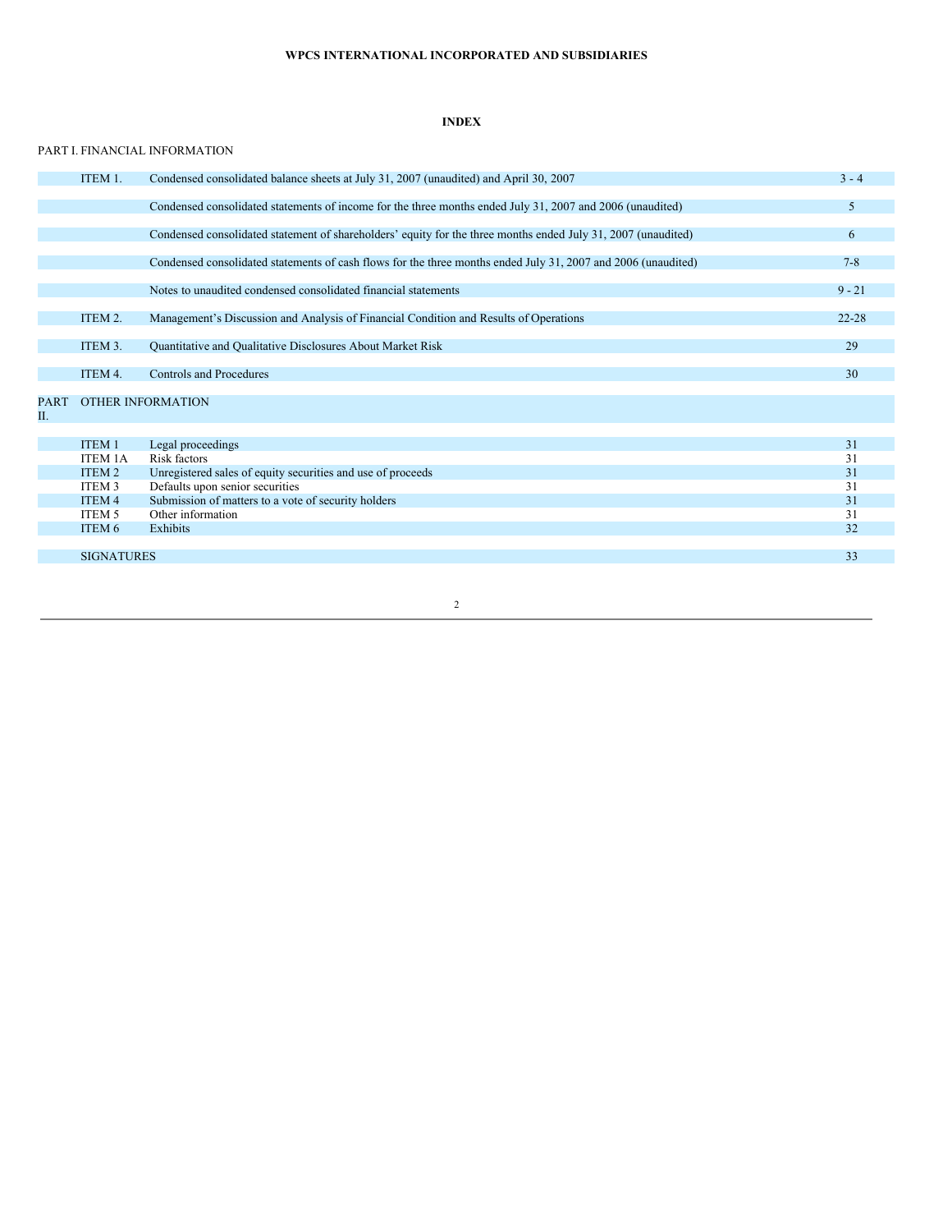# **INDEX**

# PART I. FINANCIAL INFORMATION

|      | ITEM 1.           | Condensed consolidated balance sheets at July 31, 2007 (unaudited) and April 30, 2007                         | $3 - 4$   |
|------|-------------------|---------------------------------------------------------------------------------------------------------------|-----------|
|      |                   | Condensed consolidated statements of income for the three months ended July 31, 2007 and 2006 (unaudited)     | 5         |
|      |                   |                                                                                                               |           |
|      |                   | Condensed consolidated statement of shareholders' equity for the three months ended July 31, 2007 (unaudited) | 6         |
|      |                   |                                                                                                               |           |
|      |                   | Condensed consolidated statements of cash flows for the three months ended July 31, 2007 and 2006 (unaudited) | $7 - 8$   |
|      |                   | Notes to unaudited condensed consolidated financial statements                                                | $9 - 21$  |
|      |                   |                                                                                                               |           |
|      | ITEM 2.           | Management's Discussion and Analysis of Financial Condition and Results of Operations                         | $22 - 28$ |
|      |                   |                                                                                                               |           |
|      | ITEM 3.           | Quantitative and Qualitative Disclosures About Market Risk                                                    | 29        |
|      |                   |                                                                                                               |           |
|      | ITEM 4.           | <b>Controls and Procedures</b>                                                                                | 30        |
| PART |                   | <b>OTHER INFORMATION</b>                                                                                      |           |
| П.   |                   |                                                                                                               |           |
|      |                   |                                                                                                               |           |
|      | ITEM 1            | Legal proceedings                                                                                             | 31        |
|      | <b>ITEM 1A</b>    | Risk factors                                                                                                  | 31        |
|      | ITEM <sub>2</sub> | Unregistered sales of equity securities and use of proceeds                                                   | 31        |
|      | ITEM <sub>3</sub> | Defaults upon senior securities                                                                               | 31        |
|      | ITEM <sub>4</sub> | Submission of matters to a vote of security holders                                                           | 31        |
|      | ITEM 5            | Other information                                                                                             | 31        |
|      | ITEM 6            | Exhibits                                                                                                      | 32        |
|      |                   |                                                                                                               |           |
|      | <b>SIGNATURES</b> |                                                                                                               | 33        |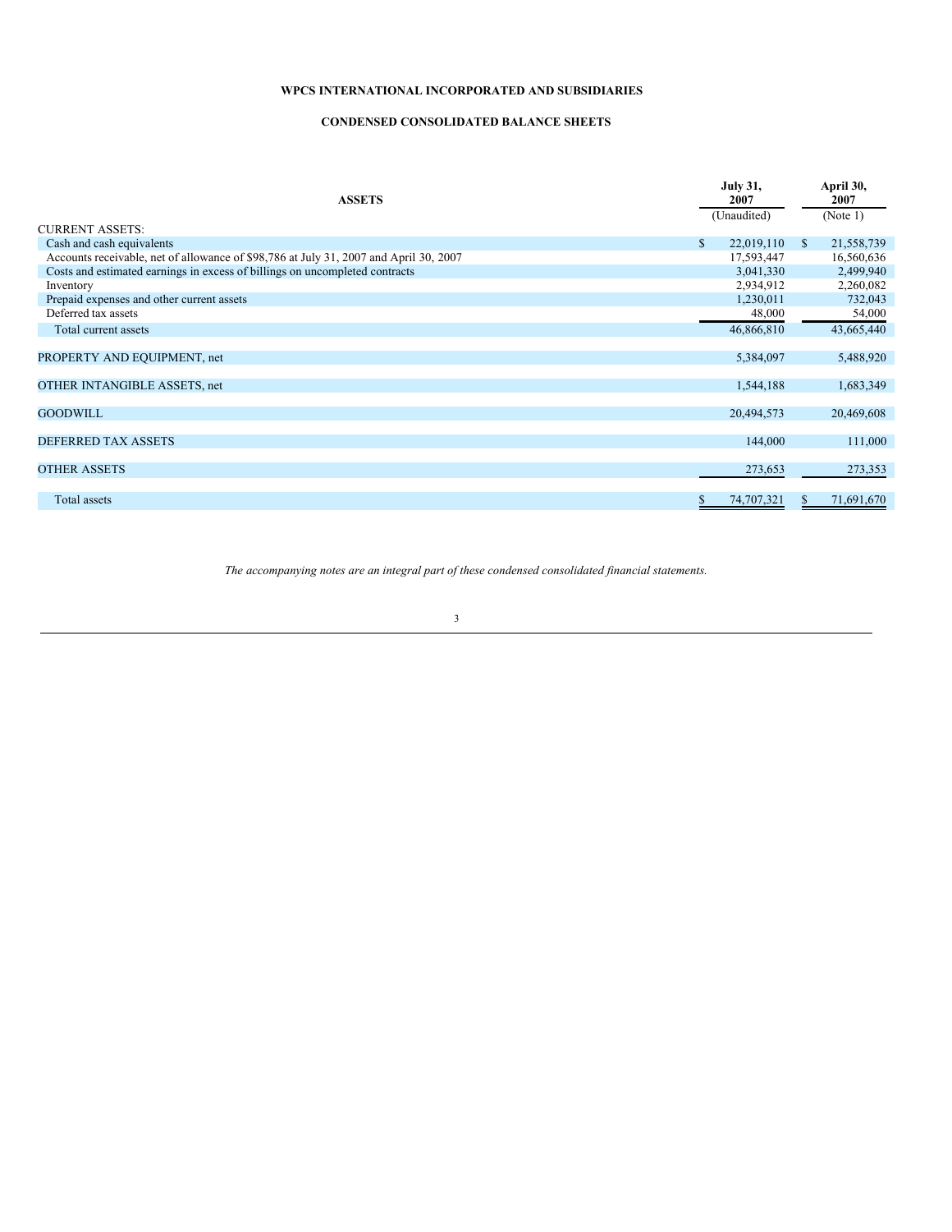# **CONDENSED CONSOLIDATED BALANCE SHEETS**

| <b>ASSETS</b>                                                                         |    | <b>July 31,</b><br>2007 |              | April 30,<br>2007 |
|---------------------------------------------------------------------------------------|----|-------------------------|--------------|-------------------|
|                                                                                       |    | (Unaudited)             |              | (Note 1)          |
| <b>CURRENT ASSETS:</b>                                                                |    |                         |              |                   |
| Cash and cash equivalents                                                             | \$ | 22,019,110              | <sup>S</sup> | 21,558,739        |
| Accounts receivable, net of allowance of \$98,786 at July 31, 2007 and April 30, 2007 |    | 17,593,447              |              | 16,560,636        |
| Costs and estimated earnings in excess of billings on uncompleted contracts           |    | 3,041,330               |              | 2,499,940         |
| Inventory                                                                             |    | 2,934,912               |              | 2,260,082         |
| Prepaid expenses and other current assets                                             |    | 1,230,011               |              | 732,043           |
| Deferred tax assets                                                                   |    | 48,000                  |              | 54,000            |
| Total current assets                                                                  |    | 46,866,810              |              | 43,665,440        |
|                                                                                       |    |                         |              |                   |
| PROPERTY AND EQUIPMENT, net                                                           |    | 5,384,097               |              | 5,488,920         |
|                                                                                       |    |                         |              |                   |
| OTHER INTANGIBLE ASSETS, net                                                          |    | 1,544,188               |              | 1,683,349         |
|                                                                                       |    |                         |              |                   |
| <b>GOODWILL</b>                                                                       |    | 20,494,573              |              | 20,469,608        |
|                                                                                       |    |                         |              |                   |
| <b>DEFERRED TAX ASSETS</b>                                                            |    | 144,000                 |              | 111,000           |
|                                                                                       |    |                         |              |                   |
| <b>OTHER ASSETS</b>                                                                   |    | 273,653                 |              | 273,353           |
|                                                                                       |    |                         |              |                   |
| Total assets                                                                          | S  | 74,707,321              |              | 71,691,670        |

*The accompanying notes are an integral part of these condensed consolidated financial statements.*

3

the control of the control of the control of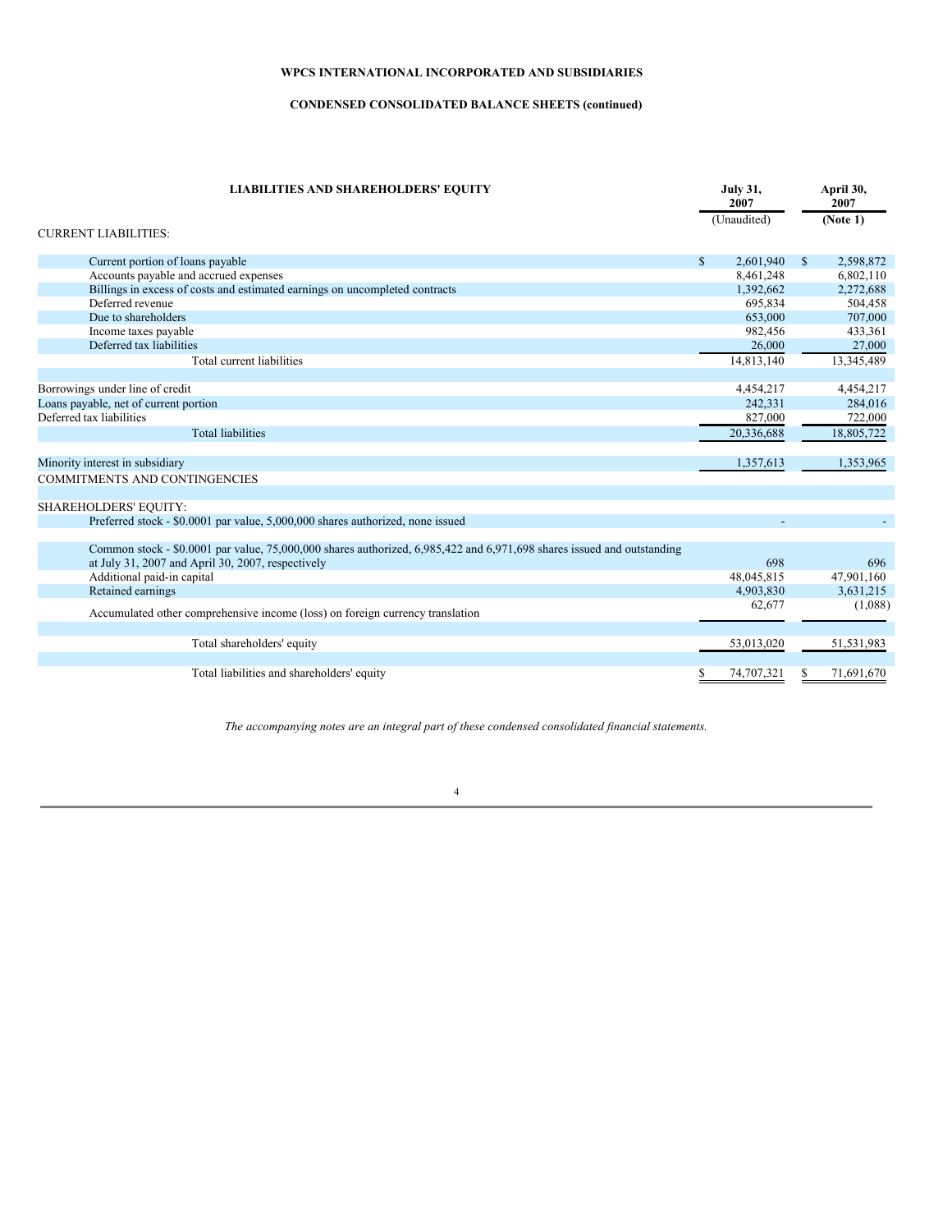# **CONDENSED CONSOLIDATED BALANCE SHEETS (continued)**

| <b>LIABILITIES AND SHAREHOLDERS' EQUITY</b>                                                                            | <b>July 31,</b><br>2007   | April 30,<br>2007         |
|------------------------------------------------------------------------------------------------------------------------|---------------------------|---------------------------|
| <b>CURRENT LIABILITIES:</b>                                                                                            | (Unaudited)               | (Note 1)                  |
| Current portion of loans payable                                                                                       | $\mathbb{S}$<br>2,601,940 | 2,598,872<br>$\mathbb{S}$ |
| Accounts payable and accrued expenses                                                                                  | 8,461,248                 | 6,802,110                 |
| Billings in excess of costs and estimated earnings on uncompleted contracts                                            | 1,392,662                 | 2,272,688                 |
| Deferred revenue                                                                                                       | 695,834                   | 504,458                   |
| Due to shareholders                                                                                                    | 653,000                   | 707,000                   |
| Income taxes payable                                                                                                   | 982,456                   | 433,361                   |
| Deferred tax liabilities                                                                                               | 26,000                    | 27,000                    |
| Total current liabilities                                                                                              | 14,813,140                | 13,345,489                |
|                                                                                                                        |                           |                           |
| Borrowings under line of credit                                                                                        | 4,454,217                 | 4,454,217                 |
| Loans payable, net of current portion                                                                                  | 242,331                   | 284,016                   |
| Deferred tax liabilities                                                                                               | 827,000                   | 722,000                   |
| <b>Total liabilities</b>                                                                                               | 20,336,688                | 18,805,722                |
|                                                                                                                        |                           |                           |
| Minority interest in subsidiary                                                                                        | 1,357,613                 | 1,353,965                 |
| <b>COMMITMENTS AND CONTINGENCIES</b>                                                                                   |                           |                           |
|                                                                                                                        |                           |                           |
| SHAREHOLDERS' EQUITY:                                                                                                  |                           |                           |
| Preferred stock - \$0.0001 par value, 5,000,000 shares authorized, none issued                                         |                           |                           |
|                                                                                                                        |                           |                           |
| Common stock - \$0.0001 par value, 75,000,000 shares authorized, 6,985,422 and 6,971,698 shares issued and outstanding |                           |                           |
| at July 31, 2007 and April 30, 2007, respectively                                                                      | 698                       | 696                       |
| Additional paid-in capital                                                                                             | 48,045,815                | 47,901,160                |
| Retained earnings                                                                                                      | 4,903,830                 | 3,631,215                 |
|                                                                                                                        | 62,677                    | (1,088)                   |
| Accumulated other comprehensive income (loss) on foreign currency translation                                          |                           |                           |
|                                                                                                                        |                           |                           |
| Total shareholders' equity                                                                                             | 53,013,020                | 51,531,983                |
|                                                                                                                        |                           |                           |
| Total liabilities and shareholders' equity                                                                             | 74,707,321                | 71,691,670                |

*The accompanying notes are an integral part of these condensed consolidated financial statements.*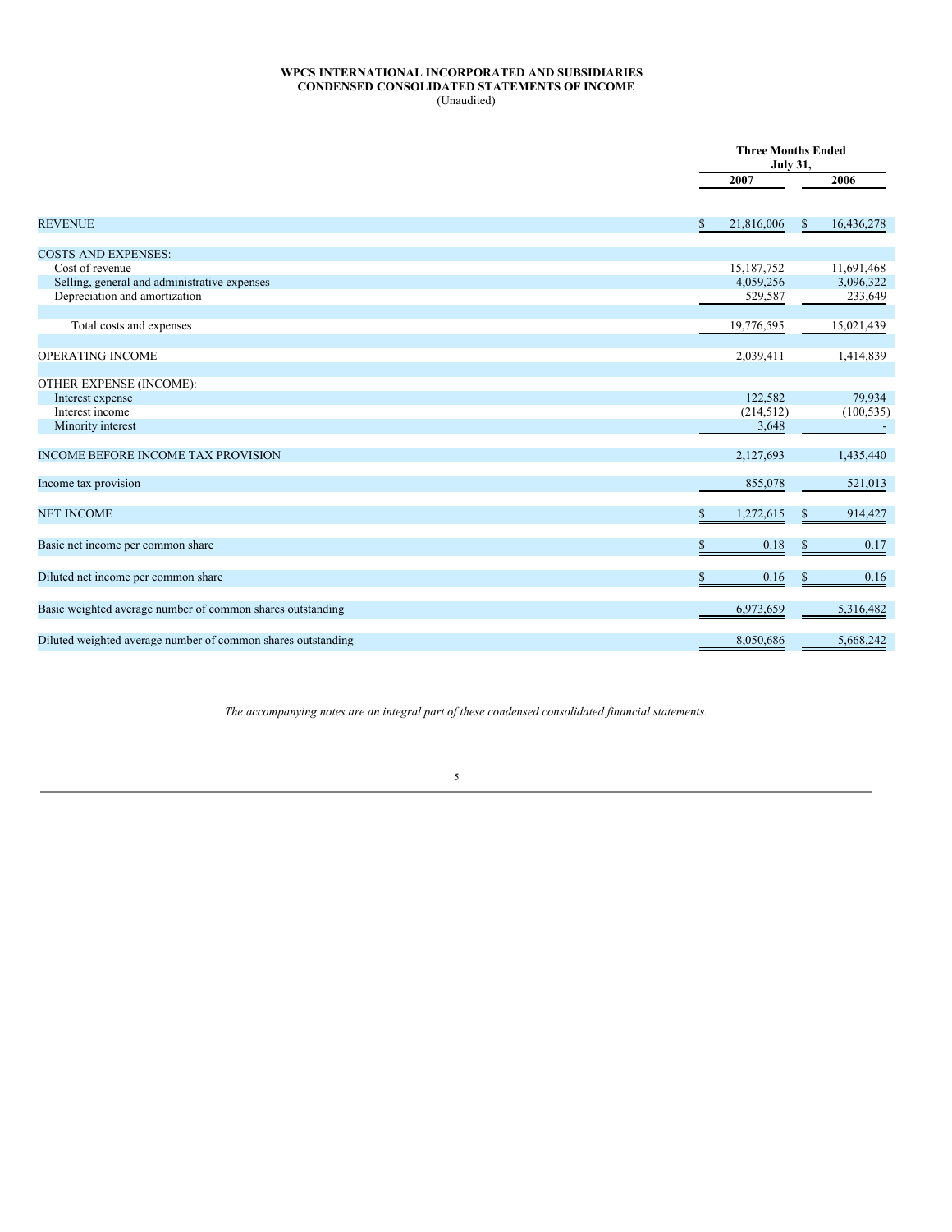## **WPCS INTERNATIONAL INCORPORATED AND SUBSIDIARIES CONDENSED CONSOLIDATED STATEMENTS OF INCOME** (Unaudited)

|                                                              | <b>Three Months Ended</b><br><b>July 31,</b> |                            |
|--------------------------------------------------------------|----------------------------------------------|----------------------------|
|                                                              | 2007                                         | 2006                       |
| <b>REVENUE</b>                                               | 21,816,006<br>\$                             | $\mathbb{S}$<br>16,436,278 |
| <b>COSTS AND EXPENSES:</b>                                   |                                              |                            |
| Cost of revenue                                              | 15,187,752                                   | 11,691,468                 |
| Selling, general and administrative expenses                 | 4,059,256                                    | 3,096,322                  |
| Depreciation and amortization                                | 529,587                                      | 233,649                    |
| Total costs and expenses                                     | 19,776,595                                   | 15,021,439                 |
| OPERATING INCOME                                             | 2,039,411                                    | 1,414,839                  |
| OTHER EXPENSE (INCOME):                                      |                                              |                            |
| Interest expense                                             | 122,582                                      | 79,934                     |
| Interest income                                              | (214, 512)                                   | (100, 535)                 |
| Minority interest                                            | 3,648                                        |                            |
| <b>INCOME BEFORE INCOME TAX PROVISION</b>                    | 2,127,693                                    | 1,435,440                  |
| Income tax provision                                         | 855,078                                      | 521,013                    |
| <b>NET INCOME</b>                                            | \$<br>1,272,615                              | 914,427<br>\$              |
| Basic net income per common share                            | 0.18<br>S                                    | 0.17<br>S                  |
| Diluted net income per common share                          | 0.16<br>S                                    | 0.16<br>S                  |
| Basic weighted average number of common shares outstanding   | 6,973,659                                    | 5,316,482                  |
| Diluted weighted average number of common shares outstanding | 8,050,686                                    | 5,668,242                  |

*The accompanying notes are an integral part of these condensed consolidated financial statements.*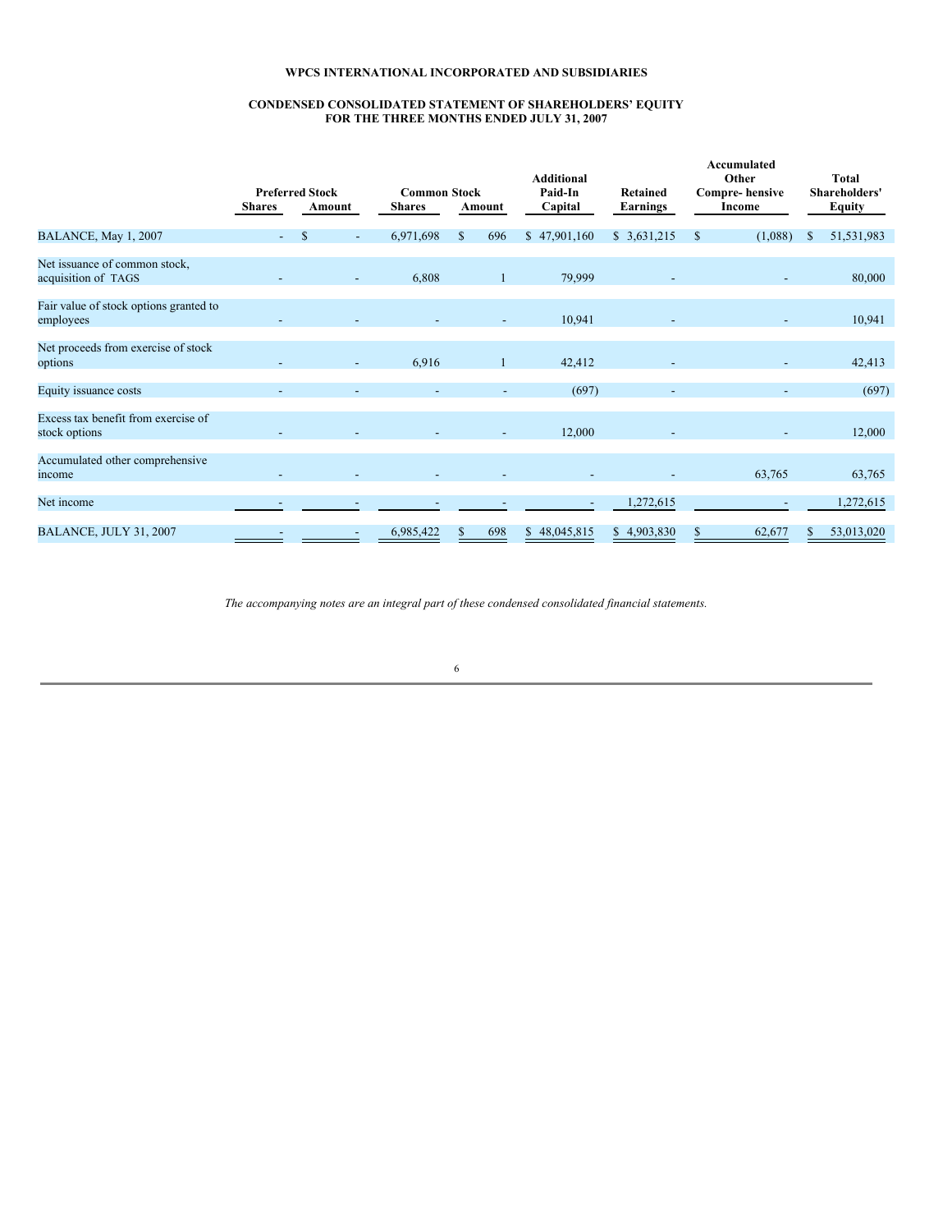#### **CONDENSED CONSOLIDATED STATEMENT OF SHAREHOLDERS' EQUITY FOR THE THREE MONTHS ENDED JULY 31, 2007**

|                                                      | <b>Shares</b>  | <b>Preferred Stock</b><br>Amount | <b>Common Stock</b><br><b>Shares</b> | Amount              | <b>Additional</b><br>Paid-In<br>Capital | <b>Retained</b><br><b>Earnings</b> | Accumulated<br>Other<br>Compre-hensive<br>Income |               | Total<br>Shareholders'<br><b>Equity</b> |
|------------------------------------------------------|----------------|----------------------------------|--------------------------------------|---------------------|-----------------------------------------|------------------------------------|--------------------------------------------------|---------------|-----------------------------------------|
| BALANCE, May 1, 2007                                 | $\overline{a}$ | <sup>\$</sup>                    | 6,971,698                            | $\mathbb{S}$<br>696 | \$47,901,160                            | \$3,631,215                        | (1,088)<br>S                                     | <sup>\$</sup> | 51,531,983                              |
| Net issuance of common stock,<br>acquisition of TAGS |                |                                  | 6,808                                |                     | 79,999                                  |                                    |                                                  |               | 80,000                                  |
| Fair value of stock options granted to<br>employees  |                |                                  |                                      |                     | 10,941                                  |                                    | $\blacksquare$                                   |               | 10,941                                  |
| Net proceeds from exercise of stock<br>options       |                |                                  | 6,916                                |                     | 42,412                                  |                                    | $\overline{\phantom{a}}$                         |               | 42,413                                  |
| Equity issuance costs                                |                |                                  |                                      |                     | (697)                                   | ٠                                  | $\overline{\phantom{a}}$                         |               | (697)                                   |
| Excess tax benefit from exercise of<br>stock options |                |                                  |                                      |                     | 12,000                                  |                                    |                                                  |               | 12,000                                  |
| Accumulated other comprehensive<br>income            |                |                                  |                                      |                     |                                         |                                    | 63,765                                           |               | 63,765                                  |
| Net income                                           |                |                                  |                                      |                     | $\overline{\phantom{a}}$                | 1,272,615                          |                                                  |               | 1,272,615                               |
| <b>BALANCE, JULY 31, 2007</b>                        |                |                                  | 6,985,422                            | 698                 | \$48,045,815                            | \$4,903,830                        | 62,677                                           |               | 53,013,020                              |

*The accompanying notes are an integral part of these condensed consolidated financial statements.*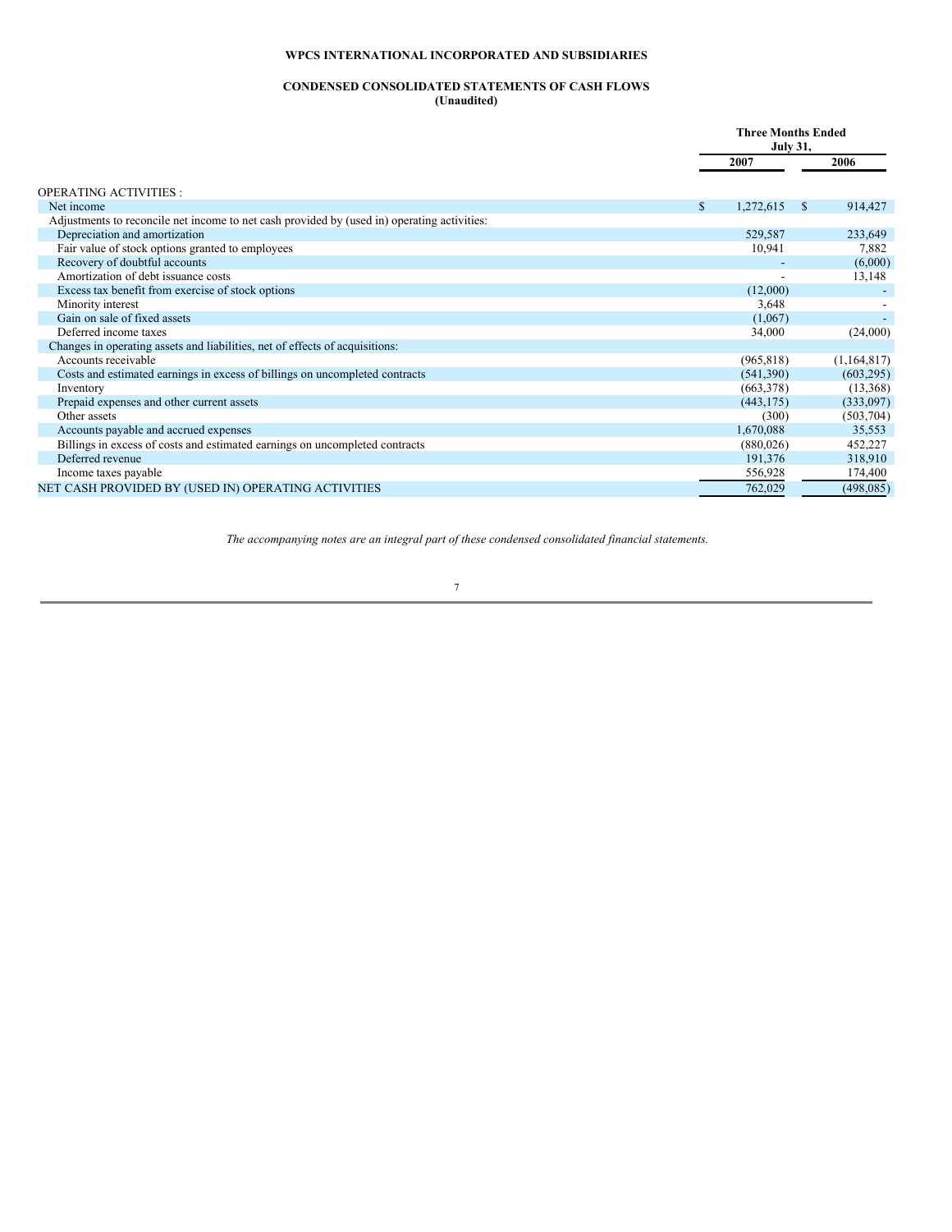## **CONDENSED CONSOLIDATED STATEMENTS OF CASH FLOWS (Unaudited)**

|                                                                                             |    | <b>Three Months Ended</b><br><b>July 31,</b> |              |               |  |
|---------------------------------------------------------------------------------------------|----|----------------------------------------------|--------------|---------------|--|
|                                                                                             |    | 2007                                         |              | 2006          |  |
| <b>OPERATING ACTIVITIES:</b>                                                                |    |                                              |              |               |  |
| Net income                                                                                  | S. | 1,272,615                                    | <sup>S</sup> | 914,427       |  |
| Adjustments to reconcile net income to net cash provided by (used in) operating activities: |    |                                              |              |               |  |
| Depreciation and amortization                                                               |    | 529,587                                      |              | 233,649       |  |
| Fair value of stock options granted to employees                                            |    | 10,941                                       |              | 7,882         |  |
| Recovery of doubtful accounts                                                               |    |                                              |              | (6,000)       |  |
| Amortization of debt issuance costs                                                         |    |                                              |              | 13,148        |  |
| Excess tax benefit from exercise of stock options                                           |    | (12,000)                                     |              |               |  |
| Minority interest                                                                           |    | 3.648                                        |              |               |  |
| Gain on sale of fixed assets                                                                |    | (1,067)                                      |              |               |  |
| Deferred income taxes                                                                       |    | 34,000                                       |              | (24,000)      |  |
| Changes in operating assets and liabilities, net of effects of acquisitions:                |    |                                              |              |               |  |
| Accounts receivable                                                                         |    | (965, 818)                                   |              | (1, 164, 817) |  |
| Costs and estimated earnings in excess of billings on uncompleted contracts                 |    | (541,390)                                    |              | (603, 295)    |  |
| Inventory                                                                                   |    | (663,378)                                    |              | (13,368)      |  |
| Prepaid expenses and other current assets                                                   |    | (443, 175)                                   |              | (333,097)     |  |
| Other assets                                                                                |    | (300)                                        |              | (503, 704)    |  |
| Accounts payable and accrued expenses                                                       |    | 1,670,088                                    |              | 35,553        |  |
| Billings in excess of costs and estimated earnings on uncompleted contracts                 |    | (880, 026)                                   |              | 452,227       |  |
| Deferred revenue                                                                            |    | 191,376                                      |              | 318,910       |  |
| Income taxes payable                                                                        |    | 556,928                                      |              | 174,400       |  |
| NET CASH PROVIDED BY (USED IN) OPERATING ACTIVITIES                                         |    | 762,029                                      |              | (498, 085)    |  |

*The accompanying notes are an integral part of these condensed consolidated financial statements.*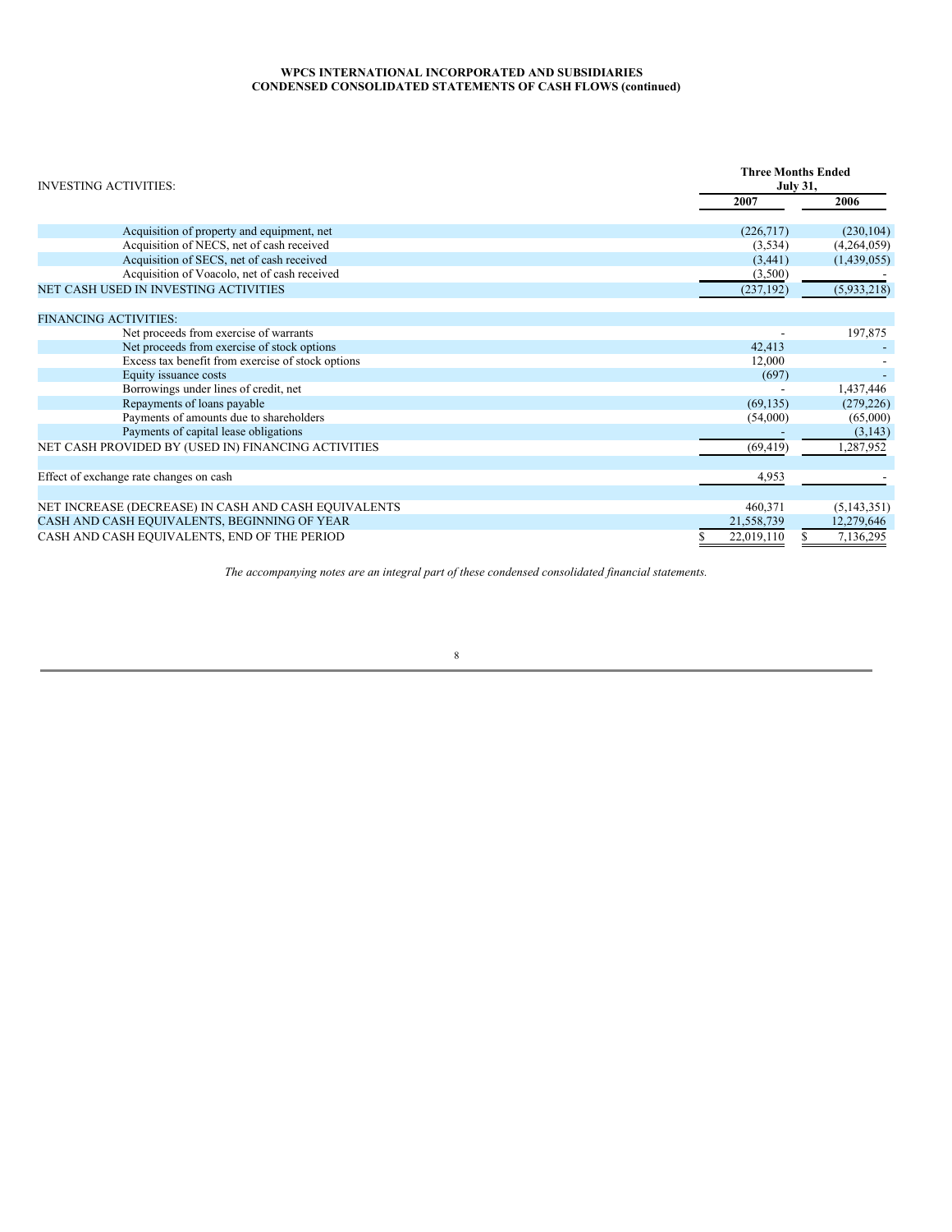### **WPCS INTERNATIONAL INCORPORATED AND SUBSIDIARIES CONDENSED CONSOLIDATED STATEMENTS OF CASH FLOWS (continued)**

| <b>INVESTING ACTIVITIES:</b>                         |            | <b>Three Months Ended</b><br><b>July 31,</b> |  |  |
|------------------------------------------------------|------------|----------------------------------------------|--|--|
|                                                      | 2007       | 2006                                         |  |  |
| Acquisition of property and equipment, net           | (226,717)  | (230, 104)                                   |  |  |
| Acquisition of NECS, net of cash received            | (3,534)    | (4,264,059)                                  |  |  |
| Acquisition of SECS, net of cash received            | (3,441)    | (1,439,055)                                  |  |  |
| Acquisition of Voacolo, net of cash received         | (3,500)    |                                              |  |  |
| NET CASH USED IN INVESTING ACTIVITIES                | (237, 192) | (5,933,218)                                  |  |  |
| <b>FINANCING ACTIVITIES:</b>                         |            |                                              |  |  |
| Net proceeds from exercise of warrants               |            | 197,875                                      |  |  |
| Net proceeds from exercise of stock options          | 42,413     |                                              |  |  |
| Excess tax benefit from exercise of stock options    | 12,000     |                                              |  |  |
| Equity issuance costs                                | (697)      |                                              |  |  |
| Borrowings under lines of credit, net                |            | 1,437,446                                    |  |  |
| Repayments of loans payable                          | (69, 135)  | (279, 226)                                   |  |  |
| Payments of amounts due to shareholders              | (54,000)   | (65,000)                                     |  |  |
| Payments of capital lease obligations                |            | (3, 143)                                     |  |  |
| NET CASH PROVIDED BY (USED IN) FINANCING ACTIVITIES  | (69, 419)  | 1,287,952                                    |  |  |
| Effect of exchange rate changes on cash              | 4,953      |                                              |  |  |
|                                                      |            |                                              |  |  |
| NET INCREASE (DECREASE) IN CASH AND CASH EQUIVALENTS | 460,371    | (5, 143, 351)                                |  |  |
| CASH AND CASH EQUIVALENTS, BEGINNING OF YEAR         | 21,558,739 | 12,279,646                                   |  |  |
| CASH AND CASH EQUIVALENTS, END OF THE PERIOD         | 22,019,110 | 7,136,295                                    |  |  |

*The accompanying notes are an integral part of these condensed consolidated financial statements.*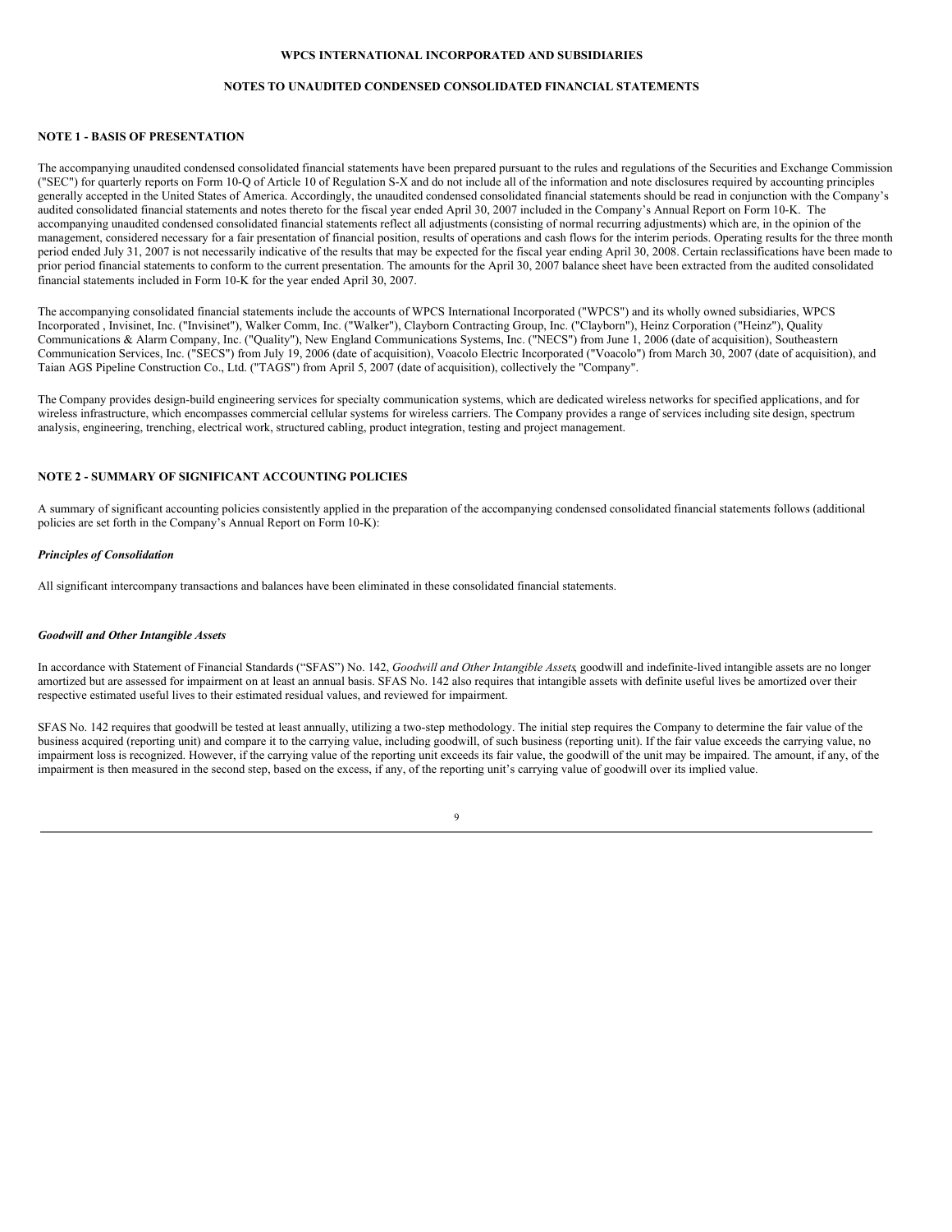## **NOTES TO UNAUDITED CONDENSED CONSOLIDATED FINANCIAL STATEMENTS**

## **NOTE 1 - BASIS OF PRESENTATION**

The accompanying unaudited condensed consolidated financial statements have been prepared pursuant to the rules and regulations of the Securities and Exchange Commission ("SEC") for quarterly reports on Form 10-Q of Article 10 of Regulation S-X and do not include all of the information and note disclosures required by accounting principles generally accepted in the United States of America. Accordingly, the unaudited condensed consolidated financial statements should be read in conjunction with the Company's audited consolidated financial statements and notes thereto for the fiscal year ended April 30, 2007 included in the Company's Annual Report on Form 10-K. The accompanying unaudited condensed consolidated financial statements reflect all adjustments (consisting of normal recurring adjustments) which are, in the opinion of the management, considered necessary for a fair presentation of financial position, results of operations and cash flows for the interim periods. Operating results for the three month period ended July 31, 2007 is not necessarily indicative of the results that may be expected for the fiscal year ending April 30, 2008. Certain reclassifications have been made to prior period financial statements to conform to the current presentation. The amounts for the April 30, 2007 balance sheet have been extracted from the audited consolidated financial statements included in Form 10-K for the year ended April 30, 2007.

The accompanying consolidated financial statements include the accounts of WPCS International Incorporated ("WPCS") and its wholly owned subsidiaries, WPCS Incorporated , Invisinet, Inc. ("Invisinet"), Walker Comm, Inc. ("Walker"), Clayborn Contracting Group, Inc. ("Clayborn"), Heinz Corporation ("Heinz"), Quality Communications & Alarm Company, Inc. ("Quality"), New England Communications Systems, Inc. ("NECS") from June 1, 2006 (date of acquisition), Southeastern Communication Services, Inc. ("SECS") from July 19, 2006 (date of acquisition), Voacolo Electric Incorporated ("Voacolo") from March 30, 2007 (date of acquisition), and Taian AGS Pipeline Construction Co., Ltd. ("TAGS") from April 5, 2007 (date of acquisition), collectively the "Company".

The Company provides design-build engineering services for specialty communication systems, which are dedicated wireless networks for specified applications, and for wireless infrastructure, which encompasses commercial cellular systems for wireless carriers. The Company provides a range of services including site design, spectrum analysis, engineering, trenching, electrical work, structured cabling, product integration, testing and project management.

### **NOTE 2 - SUMMARY OF SIGNIFICANT ACCOUNTING POLICIES**

A summary of significant accounting policies consistently applied in the preparation of the accompanying condensed consolidated financial statements follows (additional policies are set forth in the Company's Annual Report on Form 10-K):

### *Principles of Consolidation*

All significant intercompany transactions and balances have been eliminated in these consolidated financial statements.

#### *Goodwill and Other Intangible Assets*

In accordance with Statement of Financial Standards ("SFAS") No. 142, *Goodwill and Other Intangible Assets*, goodwill and indefinite-lived intangible assets are no longer amortized but are assessed for impairment on at least an annual basis. SFAS No. 142 also requires that intangible assets with definite useful lives be amortized over their respective estimated useful lives to their estimated residual values, and reviewed for impairment.

SFAS No. 142 requires that goodwill be tested at least annually, utilizing a two-step methodology. The initial step requires the Company to determine the fair value of the business acquired (reporting unit) and compare it to the carrying value, including goodwill, of such business (reporting unit). If the fair value exceeds the carrying value, no impairment loss is recognized. However, if the carrying value of the reporting unit exceeds its fair value, the goodwill of the unit may be impaired. The amount, if any, of the impairment is then measured in the second step, based on the excess, if any, of the reporting unit's carrying value of goodwill over its implied value.

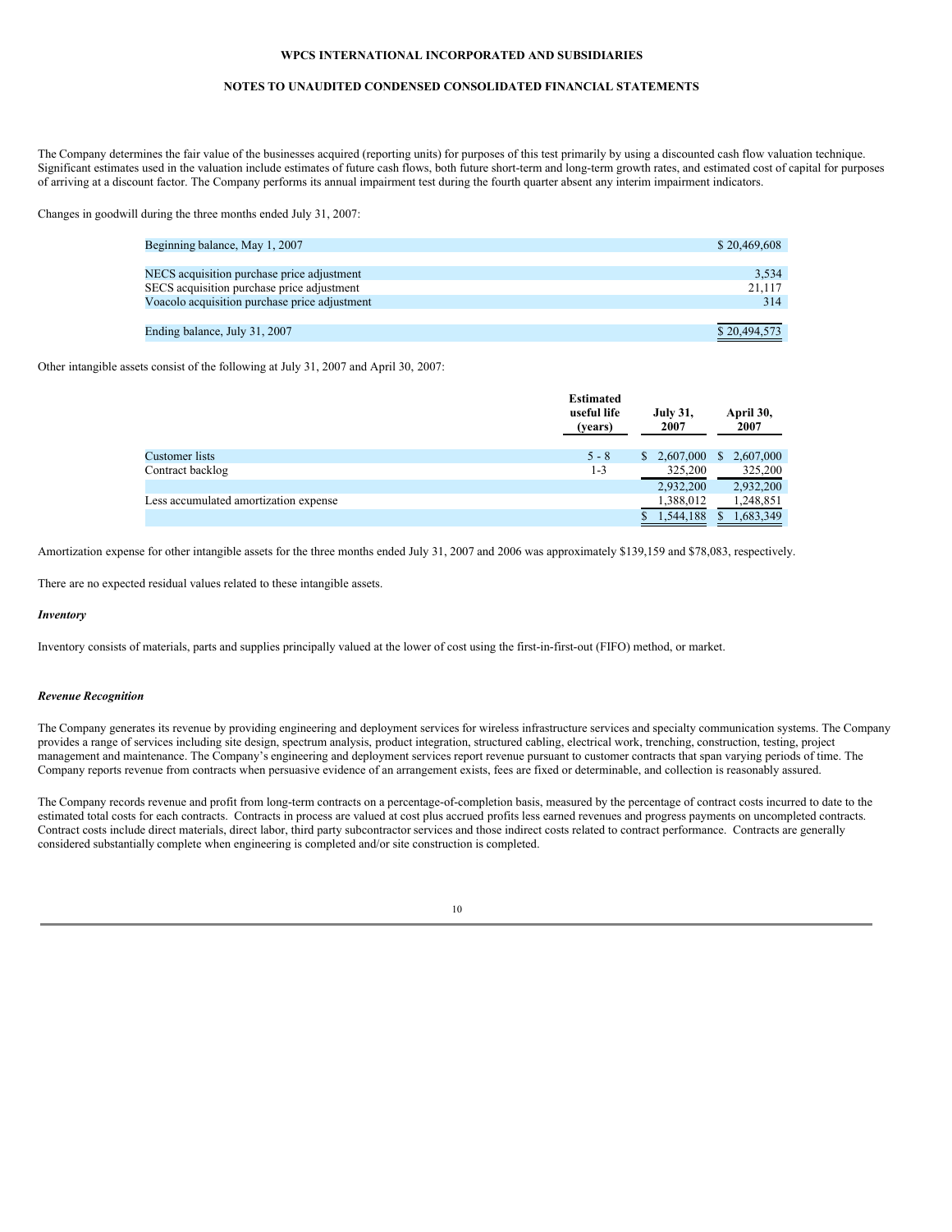# **NOTES TO UNAUDITED CONDENSED CONSOLIDATED FINANCIAL STATEMENTS**

The Company determines the fair value of the businesses acquired (reporting units) for purposes of this test primarily by using a discounted cash flow valuation technique. Significant estimates used in the valuation include estimates of future cash flows, both future short-term and long-term growth rates, and estimated cost of capital for purposes of arriving at a discount factor. The Company performs its annual impairment test during the fourth quarter absent any interim impairment indicators.

Changes in goodwill during the three months ended July 31, 2007:

| Beginning balance, May 1, 2007                | \$20,469,608 |
|-----------------------------------------------|--------------|
|                                               |              |
| NECS acquisition purchase price adjustment    | 3,534        |
| SECS acquisition purchase price adjustment    | 21,117       |
| Voacolo acquisition purchase price adjustment | 314          |
|                                               |              |
| Ending balance, July 31, 2007                 | \$20,494,573 |

Other intangible assets consist of the following at July 31, 2007 and April 30, 2007:

|                                       | <b>Estimated</b><br>useful life<br>(years) | <b>July 31,</b><br>2007 | April 30,<br>2007 |
|---------------------------------------|--------------------------------------------|-------------------------|-------------------|
| <b>Customer</b> lists                 | $5 - 8$                                    | 2,607,000<br>S.         | 2,607,000<br>S.   |
| Contract backlog                      | $1 - 3$                                    | 325,200                 | 325,200           |
|                                       |                                            | 2,932,200               | 2,932,200         |
| Less accumulated amortization expense |                                            | 1,388,012               | 1,248,851         |
|                                       |                                            | 1,544,188               | 1,683,349<br>S    |

Amortization expense for other intangible assets for the three months ended July 31, 2007 and 2006 was approximately \$139,159 and \$78,083, respectively.

There are no expected residual values related to these intangible assets.

#### *Inventory*

Inventory consists of materials, parts and supplies principally valued at the lower of cost using the first-in-first-out (FIFO) method, or market.

#### *Revenue Recognition*

The Company generates its revenue by providing engineering and deployment services for wireless infrastructure services and specialty communication systems. The Company provides a range of services including site design, spectrum analysis, product integration, structured cabling, electrical work, trenching, construction, testing, project management and maintenance. The Company's engineering and deployment services report revenue pursuant to customer contracts that span varying periods of time. The Company reports revenue from contracts when persuasive evidence of an arrangement exists, fees are fixed or determinable, and collection is reasonably assured.

The Company records revenue and profit from long-term contracts on a percentage-of-completion basis, measured by the percentage of contract costs incurred to date to the estimated total costs for each contracts. Contracts in process are valued at cost plus accrued profits less earned revenues and progress payments on uncompleted contracts. Contract costs include direct materials, direct labor, third party subcontractor services and those indirect costs related to contract performance. Contracts are generally considered substantially complete when engineering is completed and/or site construction is completed.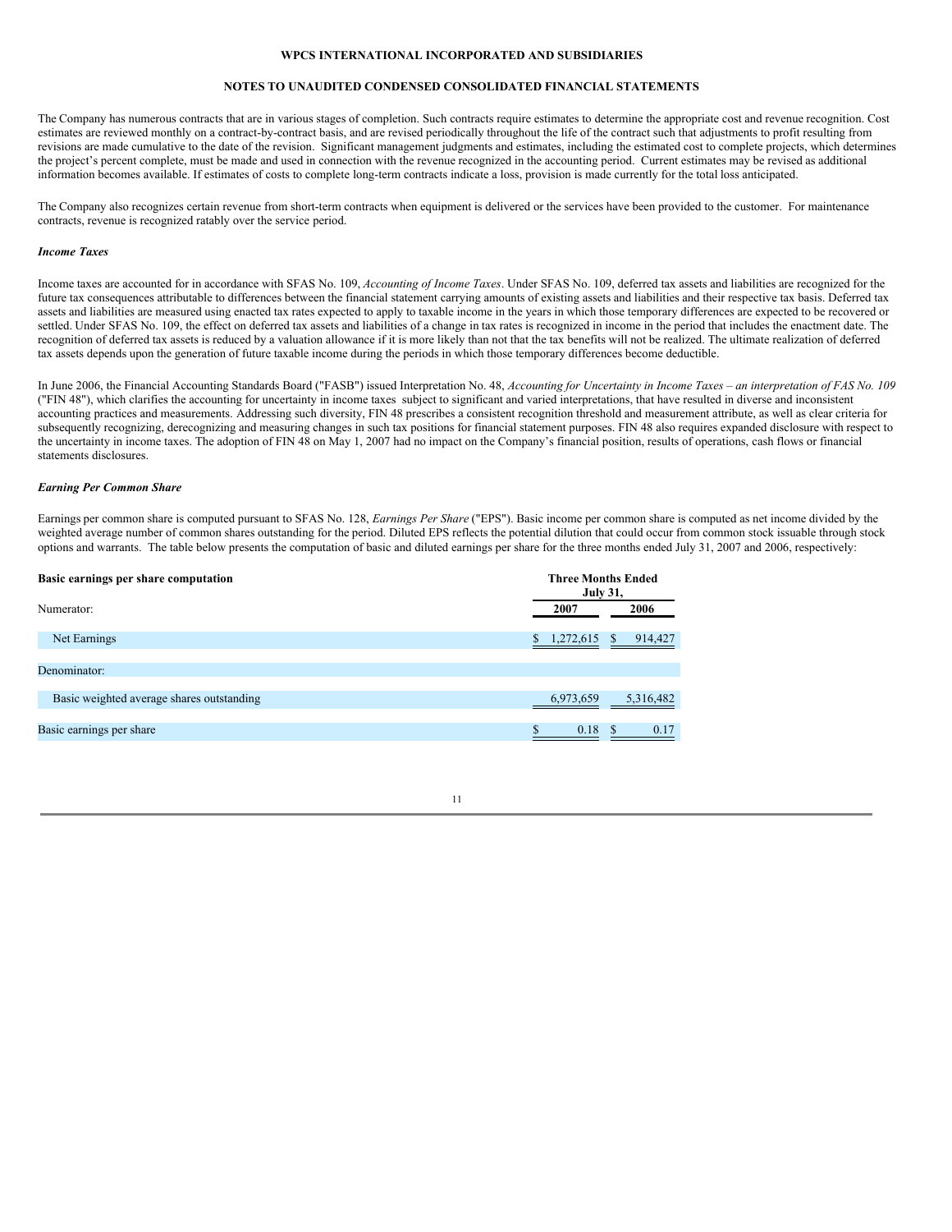### **NOTES TO UNAUDITED CONDENSED CONSOLIDATED FINANCIAL STATEMENTS**

The Company has numerous contracts that are in various stages of completion. Such contracts require estimates to determine the appropriate cost and revenue recognition. Cost estimates are reviewed monthly on a contract-by-contract basis, and are revised periodically throughout the life of the contract such that adjustments to profit resulting from revisions are made cumulative to the date of the revision. Significant management judgments and estimates, including the estimated cost to complete projects, which determines the project's percent complete, must be made and used in connection with the revenue recognized in the accounting period. Current estimates may be revised as additional information becomes available. If estimates of costs to complete long-term contracts indicate a loss, provision is made currently for the total loss anticipated.

The Company also recognizes certain revenue from short-term contracts when equipment is delivered or the services have been provided to the customer. For maintenance contracts, revenue is recognized ratably over the service period.

#### *Income Taxes*

Income taxes are accounted for in accordance with SFAS No. 109, *Accounting of Income Taxes*. Under SFAS No. 109, deferred tax assets and liabilities are recognized for the future tax consequences attributable to differences between the financial statement carrying amounts of existing assets and liabilities and their respective tax basis. Deferred tax assets and liabilities are measured using enacted tax rates expected to apply to taxable income in the years in which those temporary differences are expected to be recovered or settled. Under SFAS No. 109, the effect on deferred tax assets and liabilities of a change in tax rates is recognized in income in the period that includes the enactment date. The recognition of deferred tax assets is reduced by a valuation allowance if it is more likely than not that the tax benefits will not be realized. The ultimate realization of deferred tax assets depends upon the generation of future taxable income during the periods in which those temporary differences become deductible.

In June 2006, the Financial Accounting Standards Board ("FASB") issued Interpretation No. 48, Accounting for Uncertainty in Income Taxes - an interpretation of FAS No. 109 ("FIN 48"), which clarifies the accounting for uncertainty in income taxes subject to significant and varied interpretations, that have resulted in diverse and inconsistent accounting practices and measurements. Addressing such diversity, FIN 48 prescribes a consistent recognition threshold and measurement attribute, as well as clear criteria for subsequently recognizing, derecognizing and measuring changes in such tax positions for financial statement purposes. FIN 48 also requires expanded disclosure with respect to the uncertainty in income taxes. The adoption of FIN 48 on May 1, 2007 had no impact on the Company's financial position, results of operations, cash flows or financial statements disclosures.

### *Earning Per Common Share*

Earnings per common share is computed pursuant to SFAS No. 128, *Earnings Per Share* ("EPS"). Basic income per common share is computed as net income divided by the weighted average number of common shares outstanding for the period. Diluted EPS reflects the potential dilution that could occur from common stock issuable through stock options and warrants. The table below presents the computation of basic and diluted earnings per share for the three months ended July 31, 2007 and 2006, respectively:

| Basic earnings per share computation      | <b>July 31,</b> | <b>Three Months Ended</b> |  |  |  |  |
|-------------------------------------------|-----------------|---------------------------|--|--|--|--|
| Numerator:                                | 2007            | 2006                      |  |  |  |  |
| Net Earnings                              | 1,272,615<br>S  | 914,427                   |  |  |  |  |
| Denominator:                              |                 |                           |  |  |  |  |
| Basic weighted average shares outstanding | 6,973,659       | 5,316,482                 |  |  |  |  |
| Basic earnings per share                  | 0.18<br>-S      | 0.17                      |  |  |  |  |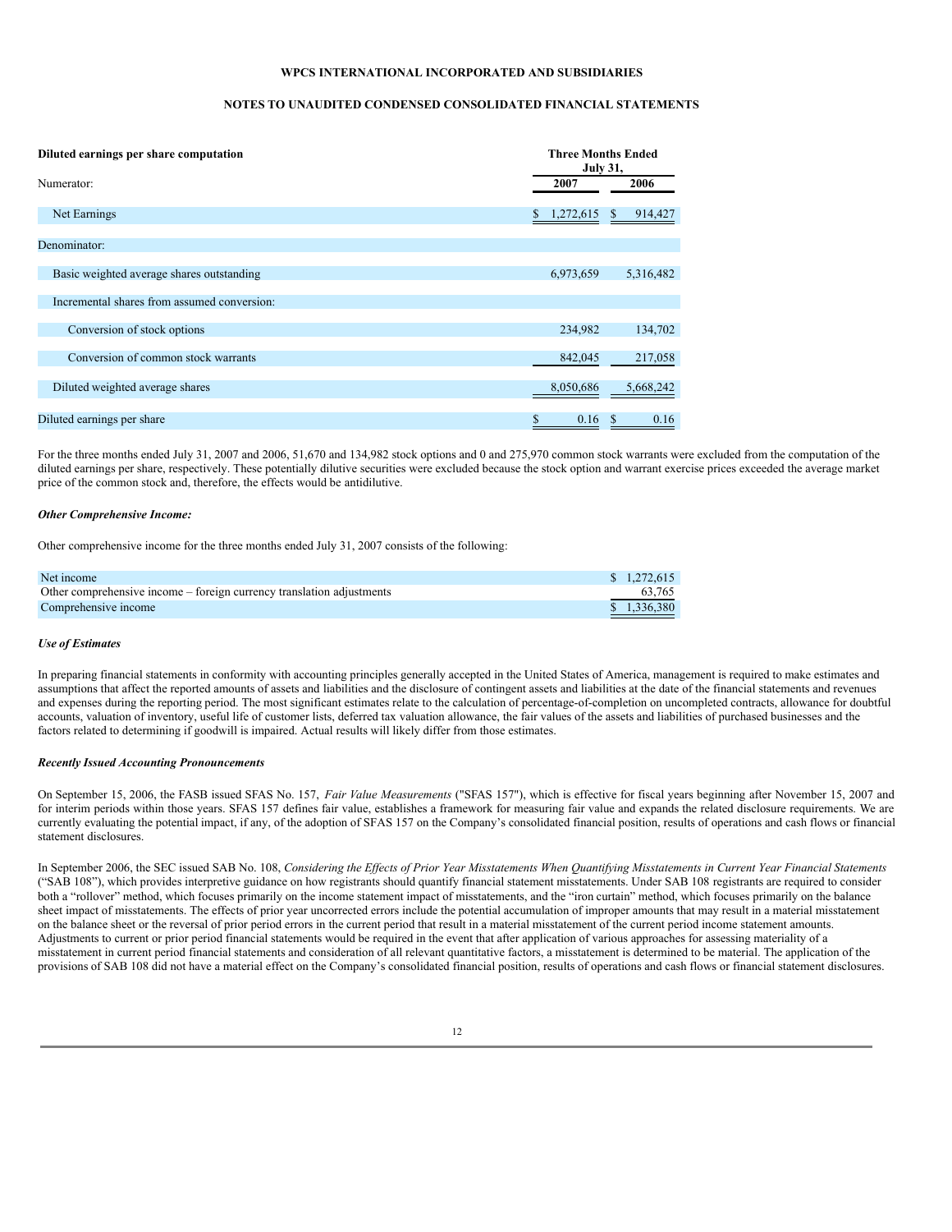## **NOTES TO UNAUDITED CONDENSED CONSOLIDATED FINANCIAL STATEMENTS**

| Diluted earnings per share computation      |      | <b>Three Months Ended</b><br><b>July 31,</b> |              |           |  |  |
|---------------------------------------------|------|----------------------------------------------|--------------|-----------|--|--|
| Numerator:                                  | 2007 |                                              |              | 2006      |  |  |
| Net Earnings                                |      | 1,272,615                                    | <sup>S</sup> | 914,427   |  |  |
| Denominator:                                |      |                                              |              |           |  |  |
| Basic weighted average shares outstanding   |      | 6,973,659                                    |              | 5,316,482 |  |  |
| Incremental shares from assumed conversion: |      |                                              |              |           |  |  |
| Conversion of stock options                 |      | 234,982                                      |              | 134,702   |  |  |
| Conversion of common stock warrants         |      | 842,045                                      |              | 217,058   |  |  |
| Diluted weighted average shares             |      | 8,050,686                                    |              | 5,668,242 |  |  |
| Diluted earnings per share                  | \$   | 0.16                                         | S            | 0.16      |  |  |

For the three months ended July 31, 2007 and 2006, 51,670 and 134,982 stock options and 0 and 275,970 common stock warrants were excluded from the computation of the diluted earnings per share, respectively. These potentially dilutive securities were excluded because the stock option and warrant exercise prices exceeded the average market price of the common stock and, therefore, the effects would be antidilutive.

### *Other Comprehensive Income:*

Other comprehensive income for the three months ended July 31, 2007 consists of the following:

| Net income                                                            | \$1,272,615 |
|-----------------------------------------------------------------------|-------------|
| Other comprehensive income – foreign currency translation adjustments | 63.765      |
| Comprehensive income                                                  | \$1,336,380 |

#### *Use of Estimates*

In preparing financial statements in conformity with accounting principles generally accepted in the United States of America, management is required to make estimates and assumptions that affect the reported amounts of assets and liabilities and the disclosure of contingent assets and liabilities at the date of the financial statements and revenues and expenses during the reporting period. The most significant estimates relate to the calculation of percentage-of-completion on uncompleted contracts, allowance for doubtful accounts, valuation of inventory, useful life of customer lists, deferred tax valuation allowance, the fair values of the assets and liabilities of purchased businesses and the factors related to determining if goodwill is impaired. Actual results will likely differ from those estimates.

#### *Recently Issued Accounting Pronouncements*

On September 15, 2006, the FASB issued SFAS No. 157, *Fair Value Measurements* ("SFAS 157"), which is effective for fiscal years beginning after November 15, 2007 and for interim periods within those years. SFAS 157 defines fair value, establishes a framework for measuring fair value and expands the related disclosure requirements. We are currently evaluating the potential impact, if any, of the adoption of SFAS 157 on the Company's consolidated financial position, results of operations and cash flows or financial statement disclosures.

In September 2006, the SEC issued SAB No. 108, Considering the Effects of Prior Year Misstatements When Quantifying Misstatements in Current Year Financial Statements ("SAB 108"), which provides interpretive guidance on how registrants should quantify financial statement misstatements. Under SAB 108 registrants are required to consider both a "rollover" method, which focuses primarily on the income statement impact of misstatements, and the "iron curtain" method, which focuses primarily on the balance sheet impact of misstatements. The effects of prior year uncorrected errors include the potential accumulation of improper amounts that may result in a material misstatement on the balance sheet or the reversal of prior period errors in the current period that result in a material misstatement of the current period income statement amounts. Adjustments to current or prior period financial statements would be required in the event that after application of various approaches for assessing materiality of a misstatement in current period financial statements and consideration of all relevant quantitative factors, a misstatement is determined to be material. The application of the provisions of SAB 108 did not have a material effect on the Company's consolidated financial position, results of operations and cash flows or financial statement disclosures.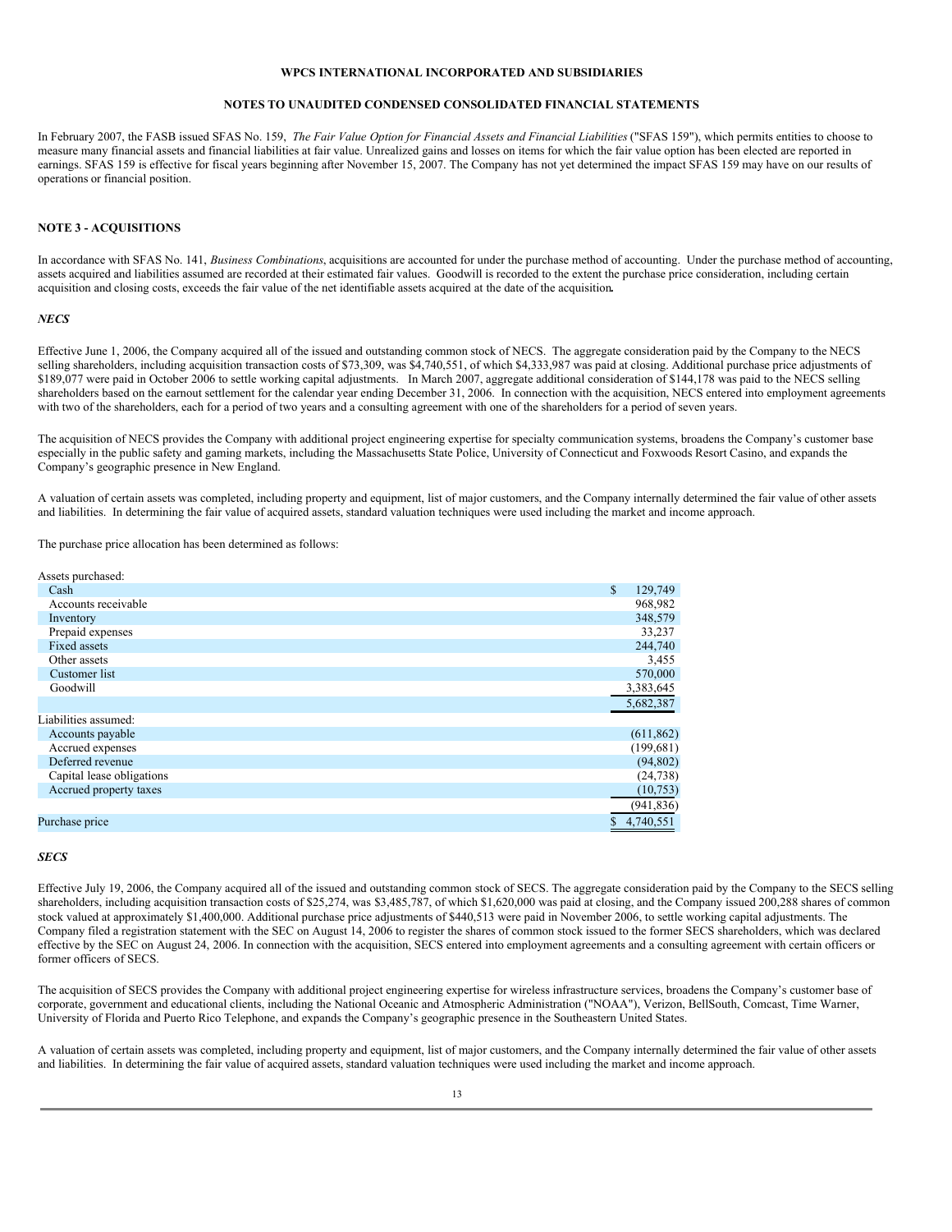## **NOTES TO UNAUDITED CONDENSED CONSOLIDATED FINANCIAL STATEMENTS**

In February 2007, the FASB issued SFAS No. 159, The Fair Value Option for Financial Assets and Financial Liabilities ("SFAS 159"), which permits entities to choose to measure many financial assets and financial liabilities at fair value. Unrealized gains and losses on items for which the fair value option has been elected are reported in earnings. SFAS 159 is effective for fiscal years beginning after November 15, 2007. The Company has not yet determined the impact SFAS 159 may have on our results of operations or financial position.

# **NOTE 3 - ACQUISITIONS**

In accordance with SFAS No. 141, *Business Combinations*, acquisitions are accounted for under the purchase method of accounting. Under the purchase method of accounting, assets acquired and liabilities assumed are recorded at their estimated fair values. Goodwill is recorded to the extent the purchase price consideration, including certain acquisition and closing costs, exceeds the fair value of the net identifiable assets acquired at the date of the acquisition*.*

#### *NECS*

Assets purchased:

Effective June 1, 2006, the Company acquired all of the issued and outstanding common stock of NECS. The aggregate consideration paid by the Company to the NECS selling shareholders, including acquisition transaction costs of \$73,309, was \$4,740,551, of which \$4,333,987 was paid at closing. Additional purchase price adjustments of \$189,077 were paid in October 2006 to settle working capital adjustments. In March 2007, aggregate additional consideration of \$144,178 was paid to the NECS selling shareholders based on the earnout settlement for the calendar year ending December 31, 2006. In connection with the acquisition, NECS entered into employment agreements with two of the shareholders, each for a period of two years and a consulting agreement with one of the shareholders for a period of seven years.

The acquisition of NECS provides the Company with additional project engineering expertise for specialty communication systems, broadens the Company's customer base especially in the public safety and gaming markets, including the Massachusetts State Police, University of Connecticut and Foxwoods Resort Casino, and expands the Company's geographic presence in New England.

A valuation of certain assets was completed, including property and equipment, list of major customers, and the Company internally determined the fair value of other assets and liabilities. In determining the fair value of acquired assets, standard valuation techniques were used including the market and income approach.

The purchase price allocation has been determined as follows:

| Assets puremased.         |   |            |
|---------------------------|---|------------|
| Cash                      | S | 129,749    |
| Accounts receivable       |   | 968,982    |
| Inventory                 |   | 348,579    |
| Prepaid expenses          |   | 33,237     |
| Fixed assets              |   | 244,740    |
| Other assets              |   | 3,455      |
| Customer list             |   | 570,000    |
| Goodwill                  |   | 3,383,645  |
|                           |   | 5,682,387  |
| Liabilities assumed:      |   |            |
| Accounts payable          |   | (611, 862) |
| Accrued expenses          |   | (199, 681) |
| Deferred revenue          |   | (94, 802)  |
| Capital lease obligations |   | (24, 738)  |
| Accrued property taxes    |   | (10, 753)  |
|                           |   | (941, 836) |
| Purchase price            | S | 4,740,551  |

#### *SECS*

Effective July 19, 2006, the Company acquired all of the issued and outstanding common stock of SECS. The aggregate consideration paid by the Company to the SECS selling shareholders, including acquisition transaction costs of \$25,274, was \$3,485,787, of which \$1,620,000 was paid at closing, and the Company issued 200,288 shares of common stock valued at approximately \$1,400,000. Additional purchase price adjustments of \$440,513 were paid in November 2006, to settle working capital adjustments. The Company filed a registration statement with the SEC on August 14, 2006 to register the shares of common stock issued to the former SECS shareholders, which was declared effective by the SEC on August 24, 2006. In connection with the acquisition, SECS entered into employment agreements and a consulting agreement with certain officers or former officers of SECS.

The acquisition of SECS provides the Company with additional project engineering expertise for wireless infrastructure services, broadens the Company's customer base of corporate, government and educational clients, including the National Oceanic and Atmospheric Administration ("NOAA"), Verizon, BellSouth, Comcast, Time Warner, University of Florida and Puerto Rico Telephone, and expands the Company's geographic presence in the Southeastern United States.

A valuation of certain assets was completed, including property and equipment, list of major customers, and the Company internally determined the fair value of other assets and liabilities. In determining the fair value of acquired assets, standard valuation techniques were used including the market and income approach.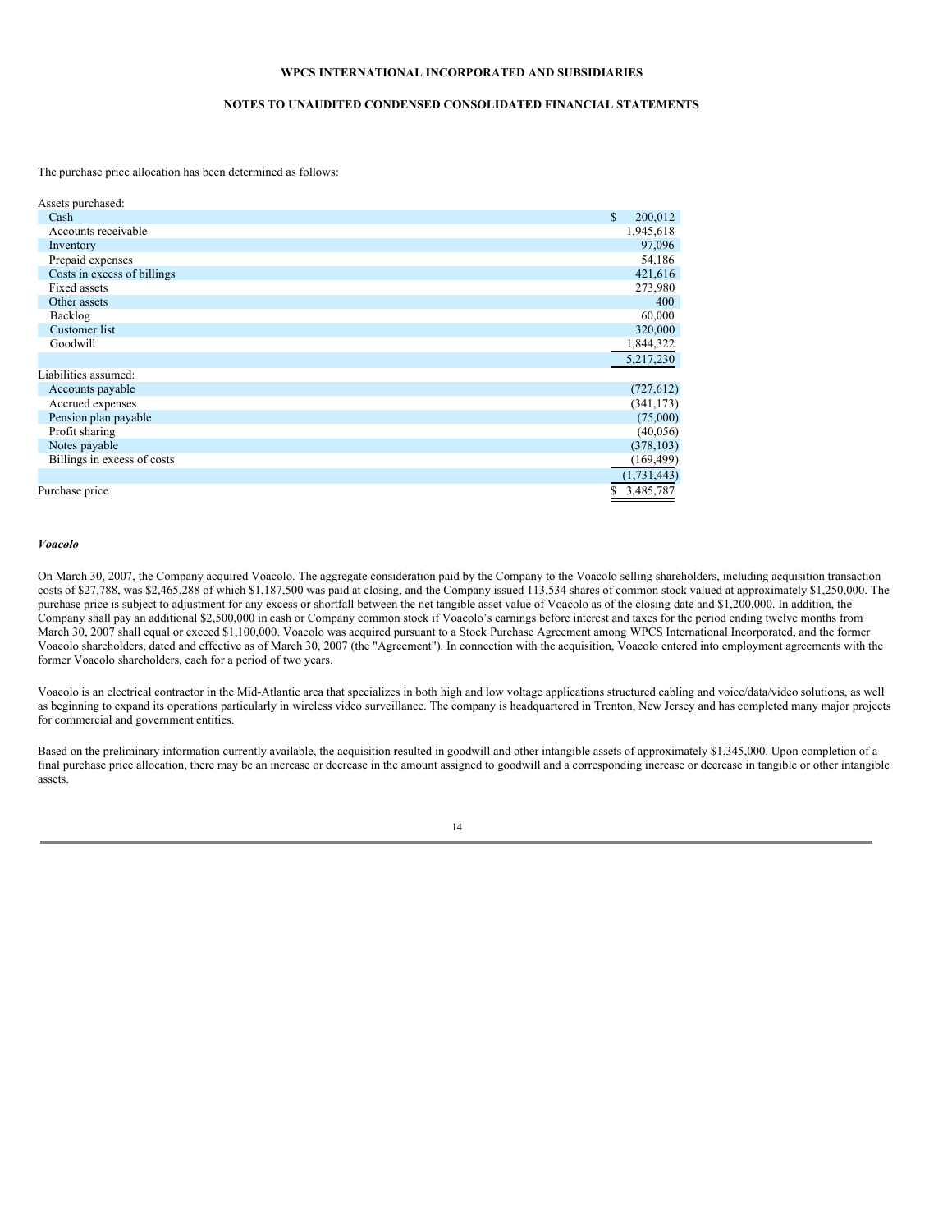# **NOTES TO UNAUDITED CONDENSED CONSOLIDATED FINANCIAL STATEMENTS**

The purchase price allocation has been determined as follows:

| Assets purchased:           |                 |
|-----------------------------|-----------------|
| Cash                        | S<br>200,012    |
| Accounts receivable         | 1,945,618       |
| Inventory                   | 97,096          |
| Prepaid expenses            | 54,186          |
| Costs in excess of billings | 421,616         |
| Fixed assets                | 273,980         |
| Other assets                | 400             |
| Backlog                     | 60,000          |
| Customer list               | 320,000         |
| Goodwill                    | 1,844,322       |
|                             | 5,217,230       |
| Liabilities assumed:        |                 |
| Accounts payable            | (727, 612)      |
| Accrued expenses            | (341, 173)      |
| Pension plan payable        | (75,000)        |
| Profit sharing              | (40, 056)       |
| Notes payable               | (378, 103)      |
| Billings in excess of costs | (169, 499)      |
|                             | (1, 731, 443)   |
| Purchase price              | 3,485,787<br>S. |

#### *Voacolo*

On March 30, 2007, the Company acquired Voacolo. The aggregate consideration paid by the Company to the Voacolo selling shareholders, including acquisition transaction costs of \$27,788, was \$2,465,288 of which \$1,187,500 was paid at closing, and the Company issued 113,534 shares of common stock valued at approximately \$1,250,000. The purchase price is subject to adjustment for any excess or shortfall between the net tangible asset value of Voacolo as of the closing date and \$1,200,000. In addition, the Company shall pay an additional \$2,500,000 in cash or Company common stock if Voacolo's earnings before interest and taxes for the period ending twelve months from March 30, 2007 shall equal or exceed \$1,100,000. Voacolo was acquired pursuant to a Stock Purchase Agreement among WPCS International Incorporated, and the former Voacolo shareholders, dated and effective as of March 30, 2007 (the "Agreement"). In connection with the acquisition, Voacolo entered into employment agreements with the former Voacolo shareholders, each for a period of two years.

Voacolo is an electrical contractor in the Mid-Atlantic area that specializes in both high and low voltage applications structured cabling and voice/data/video solutions, as well as beginning to expand its operations particularly in wireless video surveillance. The company is headquartered in Trenton, New Jersey and has completed many major projects for commercial and government entities.

Based on the preliminary information currently available, the acquisition resulted in goodwill and other intangible assets of approximately \$1,345,000. Upon completion of a final purchase price allocation, there may be an increase or decrease in the amount assigned to goodwill and a corresponding increase or decrease in tangible or other intangible assets.

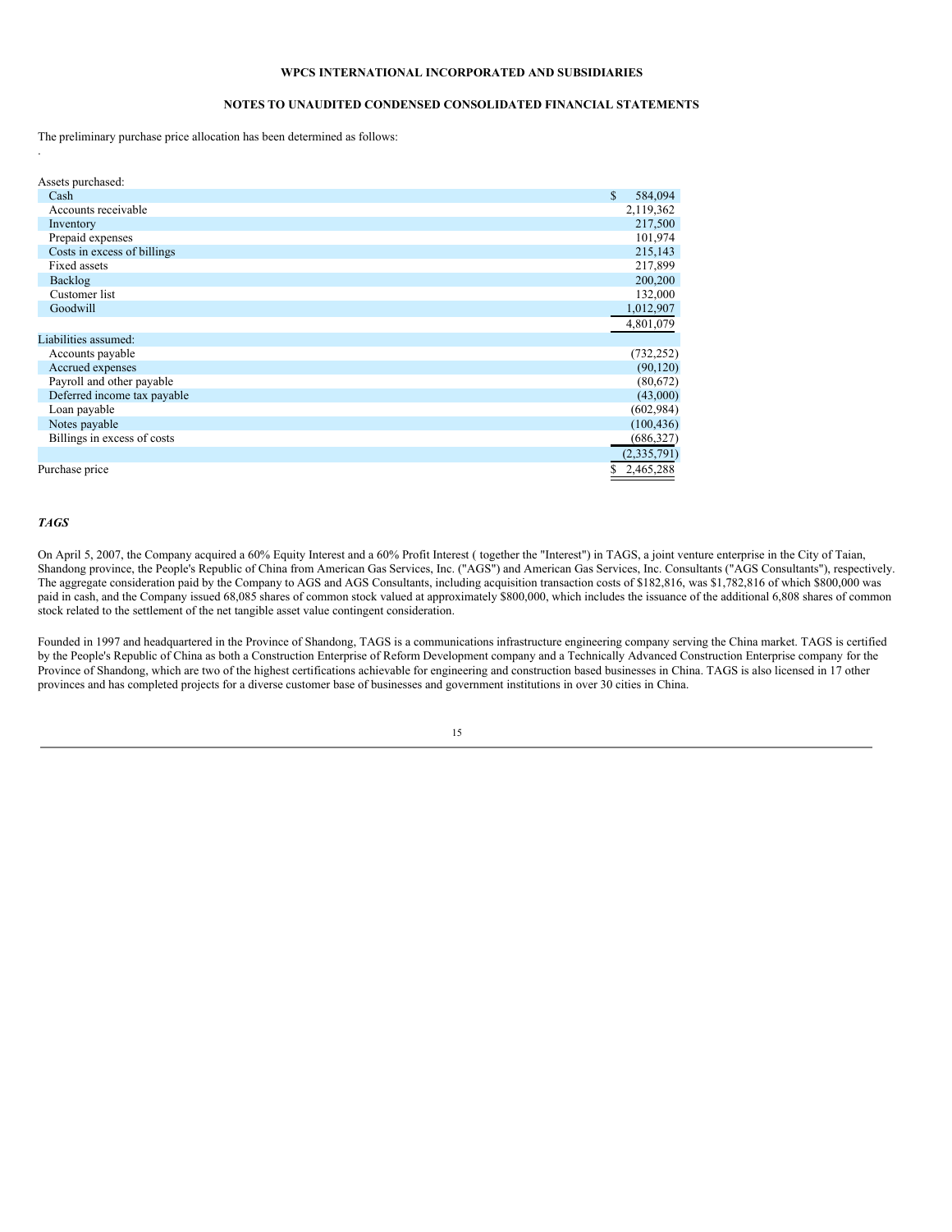## **NOTES TO UNAUDITED CONDENSED CONSOLIDATED FINANCIAL STATEMENTS**

The preliminary purchase price allocation has been determined as follows:

| Assets purchased:           |                 |
|-----------------------------|-----------------|
| Cash                        | S<br>584,094    |
| Accounts receivable         | 2,119,362       |
| Inventory                   | 217,500         |
| Prepaid expenses            | 101,974         |
| Costs in excess of billings | 215,143         |
| Fixed assets                | 217,899         |
| Backlog                     | 200,200         |
| Customer list               | 132,000         |
| Goodwill                    | 1,012,907       |
|                             | 4,801,079       |
| Liabilities assumed:        |                 |
| Accounts payable            | (732, 252)      |
| Accrued expenses            | (90, 120)       |
| Payroll and other payable   | (80, 672)       |
| Deferred income tax payable | (43,000)        |
| Loan payable                | (602, 984)      |
| Notes payable               | (100, 436)      |
| Billings in excess of costs | (686, 327)      |
|                             | (2, 335, 791)   |
| Purchase price              | 2,465,288<br>\$ |

## *TAGS*

.

On April 5, 2007, the Company acquired a 60% Equity Interest and a 60% Profit Interest (together the "Interest") in TAGS, a joint venture enterprise in the City of Taian, Shandong province, the People's Republic of China from American Gas Services, Inc. ("AGS") and American Gas Services, Inc. Consultants ("AGS Consultants"), respectively. The aggregate consideration paid by the Company to AGS and AGS Consultants, including acquisition transaction costs of \$182,816, was \$1,782,816 of which \$800,000 was paid in cash, and the Company issued 68,085 shares of common stock valued at approximately \$800,000, which includes the issuance of the additional 6,808 shares of common stock related to the settlement of the net tangible asset value contingent consideration.

Founded in 1997 and headquartered in the Province of Shandong, TAGS is a communications infrastructure engineering company serving the China market. TAGS is certified by the People's Republic of China as both a Construction Enterprise of Reform Development company and a Technically Advanced Construction Enterprise company for the Province of Shandong, which are two of the highest certifications achievable for engineering and construction based businesses in China. TAGS is also licensed in 17 other provinces and has completed projects for a diverse customer base of businesses and government institutions in over 30 cities in China.

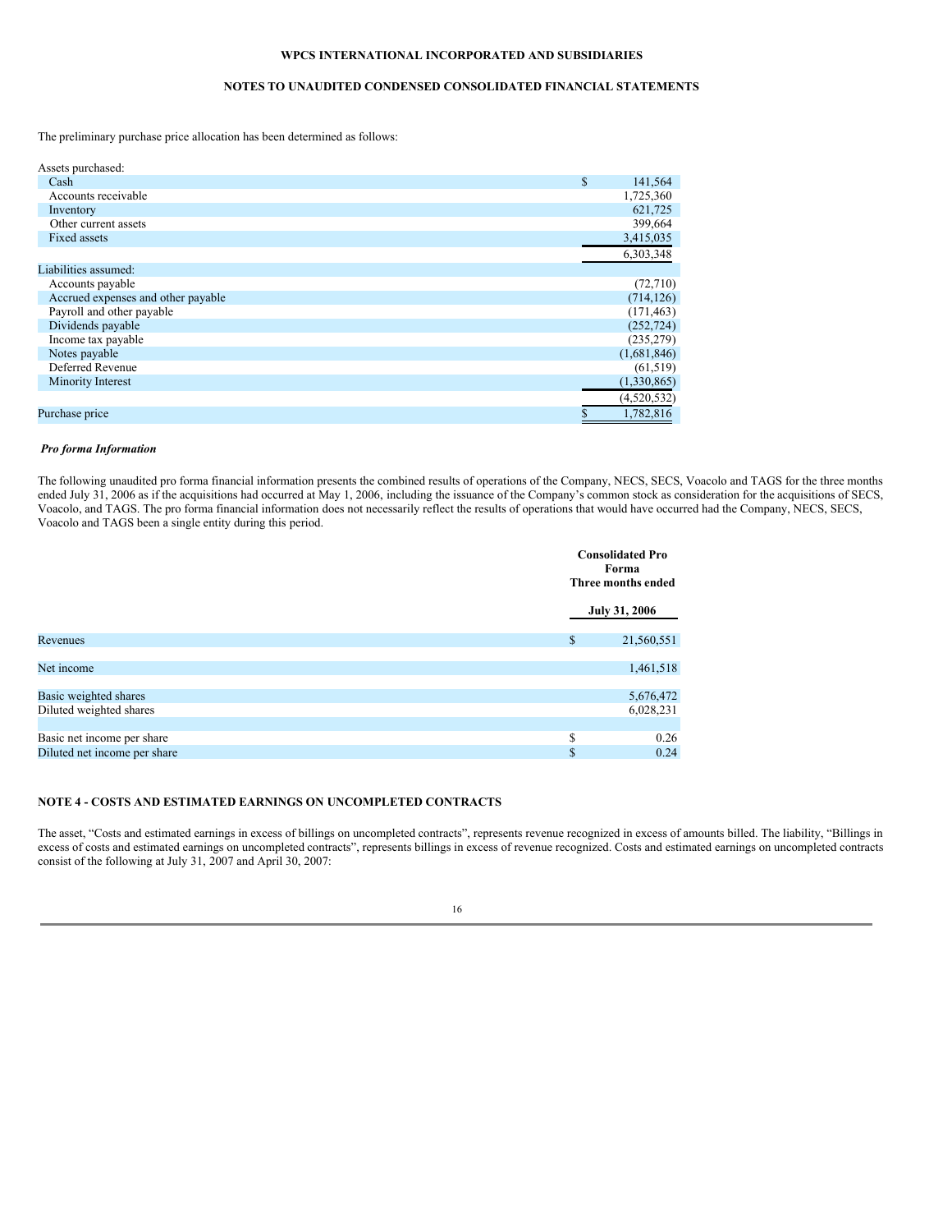# **NOTES TO UNAUDITED CONDENSED CONSOLIDATED FINANCIAL STATEMENTS**

The preliminary purchase price allocation has been determined as follows:

| Assets purchased:                  |               |
|------------------------------------|---------------|
| Cash                               | \$<br>141,564 |
| Accounts receivable                | 1,725,360     |
| Inventory                          | 621,725       |
| Other current assets               | 399,664       |
| Fixed assets                       | 3,415,035     |
|                                    | 6,303,348     |
| Liabilities assumed:               |               |
| Accounts payable                   | (72, 710)     |
| Accrued expenses and other payable | (714, 126)    |
| Payroll and other payable          | (171, 463)    |
| Dividends payable                  | (252, 724)    |
| Income tax payable                 | (235, 279)    |
| Notes payable                      | (1,681,846)   |
| Deferred Revenue                   | (61, 519)     |
| Minority Interest                  | (1,330,865)   |
|                                    | (4,520,532)   |
| Purchase price                     | 1,782,816     |

#### *Pro forma Information*

The following unaudited pro forma financial information presents the combined results of operations of the Company, NECS, SECS, Voacolo and TAGS for the three months ended July 31, 2006 as if the acquisitions had occurred at May 1, 2006, including the issuance of the Company's common stock as consideration for the acquisitions of SECS, Voacolo, and TAGS. The pro forma financial information does not necessarily reflect the results of operations that would have occurred had the Company, NECS, SECS, Voacolo and TAGS been a single entity during this period.

|                              |    | <b>Consolidated Pro</b><br>Forma<br>Three months ended |
|------------------------------|----|--------------------------------------------------------|
|                              |    | <b>July 31, 2006</b>                                   |
| Revenues                     | \$ | 21,560,551                                             |
| Net income                   |    | 1,461,518                                              |
| Basic weighted shares        |    | 5,676,472                                              |
| Diluted weighted shares      |    | 6,028,231                                              |
| Basic net income per share   | S  | 0.26                                                   |
| Diluted net income per share | Ф  | 0.24                                                   |

## **NOTE 4 - COSTS AND ESTIMATED EARNINGS ON UNCOMPLETED CONTRACTS**

The asset, "Costs and estimated earnings in excess of billings on uncompleted contracts", represents revenue recognized in excess of amounts billed. The liability, "Billings in excess of costs and estimated earnings on uncompleted contracts", represents billings in excess of revenue recognized. Costs and estimated earnings on uncompleted contracts consist of the following at July 31, 2007 and April 30, 2007: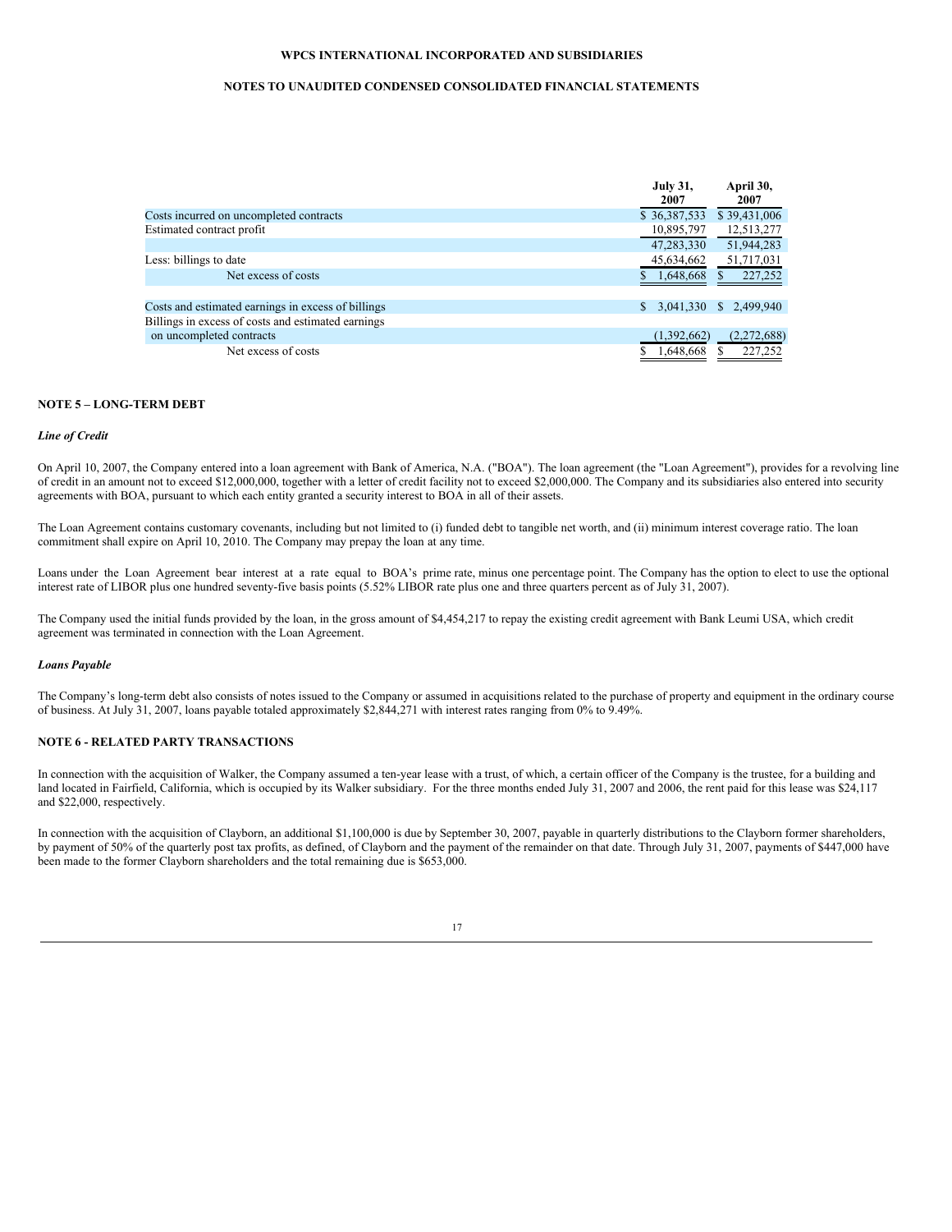## **NOTES TO UNAUDITED CONDENSED CONSOLIDATED FINANCIAL STATEMENTS**

|                                                    | <b>July 31,</b><br>2007 | April 30,<br>2007      |
|----------------------------------------------------|-------------------------|------------------------|
| Costs incurred on uncompleted contracts            | \$36,387,533            | \$39,431,006           |
| Estimated contract profit                          | 10,895,797              | 12,513,277             |
|                                                    | 47,283,330              | 51,944,283             |
| Less: billings to date                             | 45,634,662              | 51,717,031             |
| Net excess of costs                                | 1,648,668               | 227,252                |
| Costs and estimated earnings in excess of billings |                         | 3,041,330 \$ 2,499,940 |
| Billings in excess of costs and estimated earnings |                         |                        |
| on uncompleted contracts                           | (1,392,662)             | (2,272,688)            |
| Net excess of costs                                | 1,648,668               | 227,252                |

## **NOTE 5 – LONG-TERM DEBT**

### *Line of Credit*

On April 10, 2007, the Company entered into a loan agreement with Bank of America, N.A. ("BOA"). The loan agreement (the "Loan Agreement"), provides for a revolving line of credit in an amount not to exceed \$12,000,000, together with a letter of credit facility not to exceed \$2,000,000. The Company and its subsidiaries also entered into security agreements with BOA, pursuant to which each entity granted a security interest to BOA in all of their assets.

The Loan Agreement contains customary covenants, including but not limited to (i) funded debt to tangible net worth, and (ii) minimum interest coverage ratio. The loan commitment shall expire on April 10, 2010. The Company may prepay the loan at any time.

Loans under the Loan Agreement bear interest at a rate equal to BOA's prime rate, minus one percentage point. The Company has the option to elect to use the optional interest rate of LIBOR plus one hundred seventy-five basis points (5.52% LIBOR rate plus one and three quarters percent as of July 31, 2007).

The Company used the initial funds provided by the loan, in the gross amount of \$4,454,217 to repay the existing credit agreement with Bank Leumi USA, which credit agreement was terminated in connection with the Loan Agreement.

### *Loans Payable*

The Company's long-term debt also consists of notes issued to the Company or assumed in acquisitions related to the purchase of property and equipment in the ordinary course of business. At July 31, 2007, loans payable totaled approximately \$2,844,271 with interest rates ranging from 0% to 9.49%.

### **NOTE 6 - RELATED PARTY TRANSACTIONS**

In connection with the acquisition of Walker, the Company assumed a ten-year lease with a trust, of which, a certain officer of the Company is the trustee, for a building and land located in Fairfield, California, which is occupied by its Walker subsidiary. For the three months ended July 31, 2007 and 2006, the rent paid for this lease was \$24,117 and \$22,000, respectively.

In connection with the acquisition of Clayborn, an additional \$1,100,000 is due by September 30, 2007, payable in quarterly distributions to the Clayborn former shareholders, by payment of 50% of the quarterly post tax profits, as defined, of Clayborn and the payment of the remainder on that date. Through July 31, 2007, payments of \$447,000 have been made to the former Clayborn shareholders and the total remaining due is \$653,000.

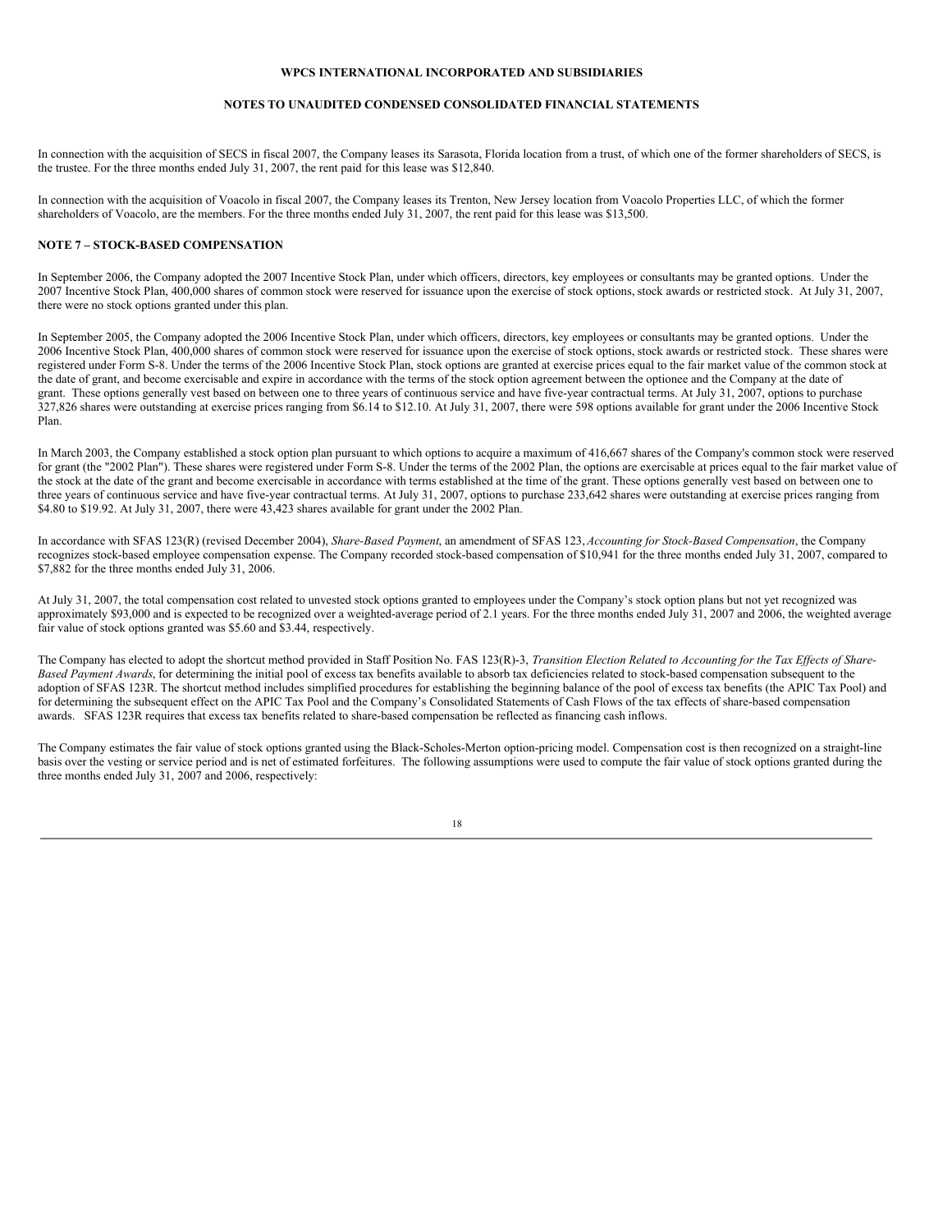## **NOTES TO UNAUDITED CONDENSED CONSOLIDATED FINANCIAL STATEMENTS**

In connection with the acquisition of SECS in fiscal 2007, the Company leases its Sarasota, Florida location from a trust, of which one of the former shareholders of SECS, is the trustee. For the three months ended July 31, 2007, the rent paid for this lease was \$12,840.

In connection with the acquisition of Voacolo in fiscal 2007, the Company leases its Trenton, New Jersey location from Voacolo Properties LLC, of which the former shareholders of Voacolo, are the members. For the three months ended July 31, 2007, the rent paid for this lease was \$13,500.

### **NOTE 7 – STOCK-BASED COMPENSATION**

In September 2006, the Company adopted the 2007 Incentive Stock Plan, under which officers, directors, key employees or consultants may be granted options. Under the 2007 Incentive Stock Plan, 400,000 shares of common stock were reserved for issuance upon the exercise of stock options, stock awards or restricted stock. At July 31, 2007, there were no stock options granted under this plan.

In September 2005, the Company adopted the 2006 Incentive Stock Plan, under which officers, directors, key employees or consultants may be granted options. Under the 2006 Incentive Stock Plan, 400,000 shares of common stock were reserved for issuance upon the exercise of stock options, stock awards or restricted stock. These shares were registered under Form S-8. Under the terms of the 2006 Incentive Stock Plan, stock options are granted at exercise prices equal to the fair market value of the common stock at the date of grant, and become exercisable and expire in accordance with the terms of the stock option agreement between the optionee and the Company at the date of grant. These options generally vest based on between one to three years of continuous service and have five-year contractual terms. At July 31, 2007, options to purchase 327,826 shares were outstanding at exercise prices ranging from \$6.14 to \$12.10. At July 31, 2007, there were 598 options available for grant under the 2006 Incentive Stock Plan.

In March 2003, the Company established a stock option plan pursuant to which options to acquire a maximum of 416,667 shares of the Company's common stock were reserved for grant (the "2002 Plan"). These shares were registered under Form S-8. Under the terms of the 2002 Plan, the options are exercisable at prices equal to the fair market value of the stock at the date of the grant and become exercisable in accordance with terms established at the time of the grant. These options generally vest based on between one to three years of continuous service and have five-year contractual terms. At July 31, 2007, options to purchase 233,642 shares were outstanding at exercise prices ranging from \$4.80 to \$19.92. At July 31, 2007, there were 43,423 shares available for grant under the 2002 Plan.

In accordance with SFAS 123(R) (revised December 2004), *Share-Based Payment*, an amendment of SFAS 123, *Accounting for Stock-Based Compensation*, the Company recognizes stock-based employee compensation expense. The Company recorded stock-based compensation of \$10,941 for the three months ended July 31, 2007, compared to \$7,882 for the three months ended July 31, 2006.

At July 31, 2007, the total compensation cost related to unvested stock options granted to employees under the Company's stock option plans but not yet recognized was approximately \$93,000 and is expected to be recognized over a weighted-average period of 2.1 years. For the three months ended July 31, 2007 and 2006, the weighted average fair value of stock options granted was \$5.60 and \$3.44, respectively.

The Company has elected to adopt the shortcut method provided in Staff Position No. FAS 123(R)-3, Transition Election Related to Accounting for the Tax Effects of Share-*Based Payment Awards*, for determining the initial pool of excess tax benefits available to absorb tax deficiencies related to stock-based compensation subsequent to the adoption of SFAS 123R. The shortcut method includes simplified procedures for establishing the beginning balance of the pool of excess tax benefits (the APIC Tax Pool) and for determining the subsequent effect on the APIC Tax Pool and the Company's Consolidated Statements of Cash Flows of the tax effects of share-based compensation awards. SFAS 123R requires that excess tax benefits related to share-based compensation be reflected as financing cash inflows.

The Company estimates the fair value of stock options granted using the Black-Scholes-Merton option-pricing model. Compensation cost is then recognized on a straight-line basis over the vesting or service period and is net of estimated forfeitures. The following assumptions were used to compute the fair value of stock options granted during the three months ended July 31, 2007 and 2006, respectively:

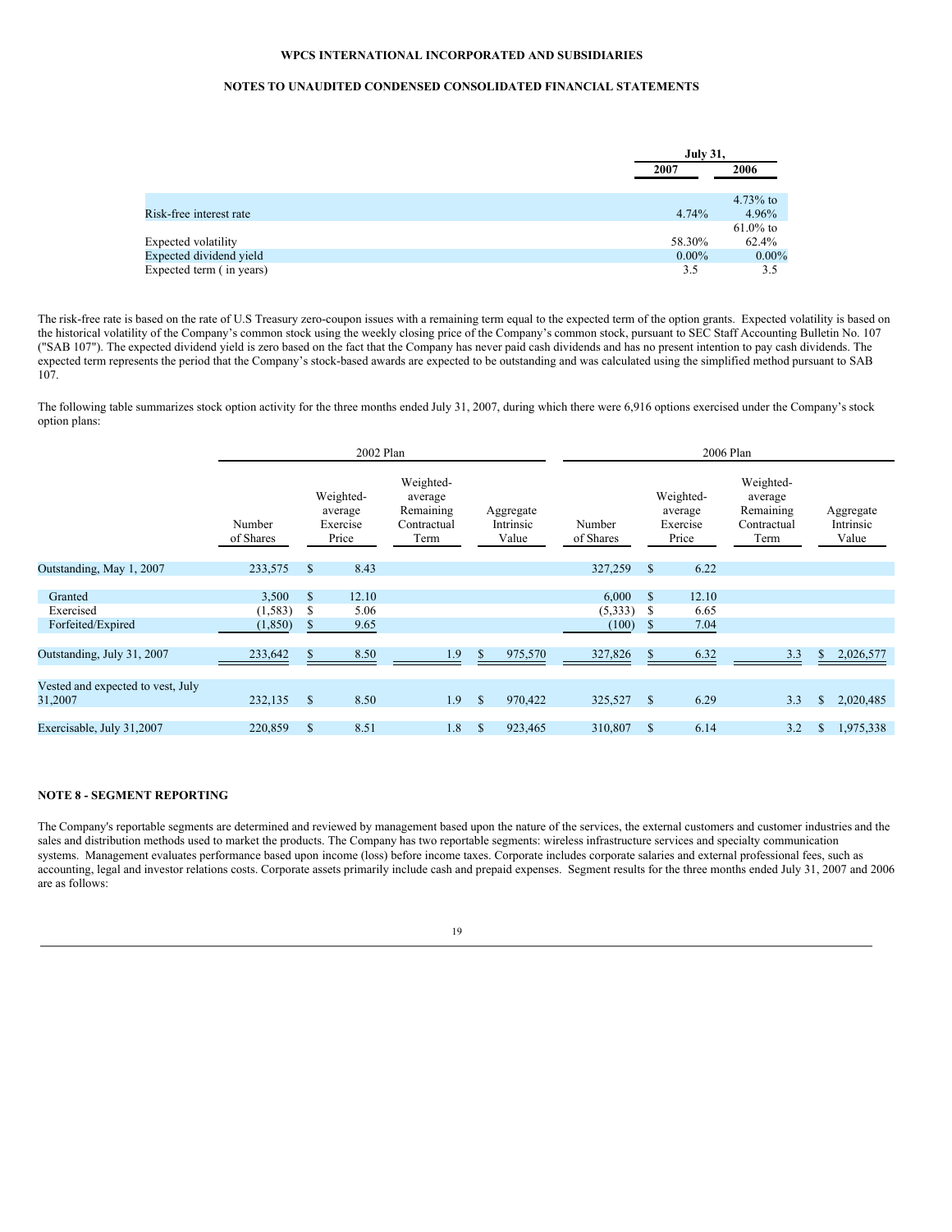# **NOTES TO UNAUDITED CONDENSED CONSOLIDATED FINANCIAL STATEMENTS**

|                          | <b>July 31,</b> |             |
|--------------------------|-----------------|-------------|
|                          | 2007            | 2006        |
|                          |                 | $4.73%$ to  |
| Risk-free interest rate  | 4.74%           | 4.96%       |
|                          |                 | $61.0\%$ to |
| Expected volatility      | 58.30%          | 62.4%       |
| Expected dividend yield  | $0.00\%$        | $0.00\%$    |
| Expected term (in years) | 3.5             | 3.5         |

The risk-free rate is based on the rate of U.S Treasury zero-coupon issues with a remaining term equal to the expected term of the option grants. Expected volatility is based on the historical volatility of the Company's common stock using the weekly closing price of the Company's common stock, pursuant to SEC Staff Accounting Bulletin No. 107 ("SAB 107"). The expected dividend yield is zero based on the fact that the Company has never paid cash dividends and has no present intention to pay cash dividends. The expected term represents the period that the Company's stock-based awards are expected to be outstanding and was calculated using the simplified method pursuant to SAB 107.

The following table summarizes stock option activity for the three months ended July 31, 2007, during which there were 6,916 options exercised under the Company's stock option plans:

| 2002 Plan                                    |                               |                   |                                           |                                                          |              |                                 |                            |                     | 2006 Plan                                 |                                                          |                                 |
|----------------------------------------------|-------------------------------|-------------------|-------------------------------------------|----------------------------------------------------------|--------------|---------------------------------|----------------------------|---------------------|-------------------------------------------|----------------------------------------------------------|---------------------------------|
|                                              | Number<br>of Shares           |                   | Weighted-<br>average<br>Exercise<br>Price | Weighted-<br>average<br>Remaining<br>Contractual<br>Term |              | Aggregate<br>Intrinsic<br>Value | Number<br>of Shares        |                     | Weighted-<br>average<br>Exercise<br>Price | Weighted-<br>average<br>Remaining<br>Contractual<br>Term | Aggregate<br>Intrinsic<br>Value |
| Outstanding, May 1, 2007                     | 233,575                       | $\mathbb{S}$      | 8.43                                      |                                                          |              |                                 | 327,259                    | <sup>\$</sup>       | 6.22                                      |                                                          |                                 |
| Granted<br>Exercised<br>Forfeited/Expired    | 3,500<br>(1, 583)<br>(1, 850) | $\mathbb{S}$<br>S | 12.10<br>5.06<br>9.65                     |                                                          |              |                                 | 6,000<br>(5, 333)<br>(100) | <sup>\$</sup><br>-S | 12.10<br>6.65<br>7.04                     |                                                          |                                 |
| Outstanding, July 31, 2007                   | 233,642                       |                   | 8.50                                      | 1.9                                                      | \$           | 975,570                         | 327,826                    |                     | 6.32                                      | 3.3                                                      | 2,026,577<br>\$                 |
| Vested and expected to vest, July<br>31,2007 | 232,135                       | $\mathbb{S}$      | 8.50                                      | 1.9                                                      | <sup>S</sup> | 970,422                         | 325,527                    | $\mathbf S$         | 6.29                                      | 3.3                                                      | 2,020,485<br>$\mathbf{s}$       |
| Exercisable, July 31,2007                    | 220,859                       | <sup>S</sup>      | 8.51                                      | 1.8                                                      | <sup>S</sup> | 923,465                         | 310,807                    | S                   | 6.14                                      | 3.2                                                      | 1,975,338<br>S.                 |

## **NOTE 8 - SEGMENT REPORTING**

The Company's reportable segments are determined and reviewed by management based upon the nature of the services, the external customers and customer industries and the sales and distribution methods used to market the products. The Company has two reportable segments: wireless infrastructure services and specialty communication systems. Management evaluates performance based upon income (loss) before income taxes. Corporate includes corporate salaries and external professional fees, such as accounting, legal and investor relations costs. Corporate assets primarily include cash and prepaid expenses. Segment results for the three months ended July 31, 2007 and 2006 are as follows:

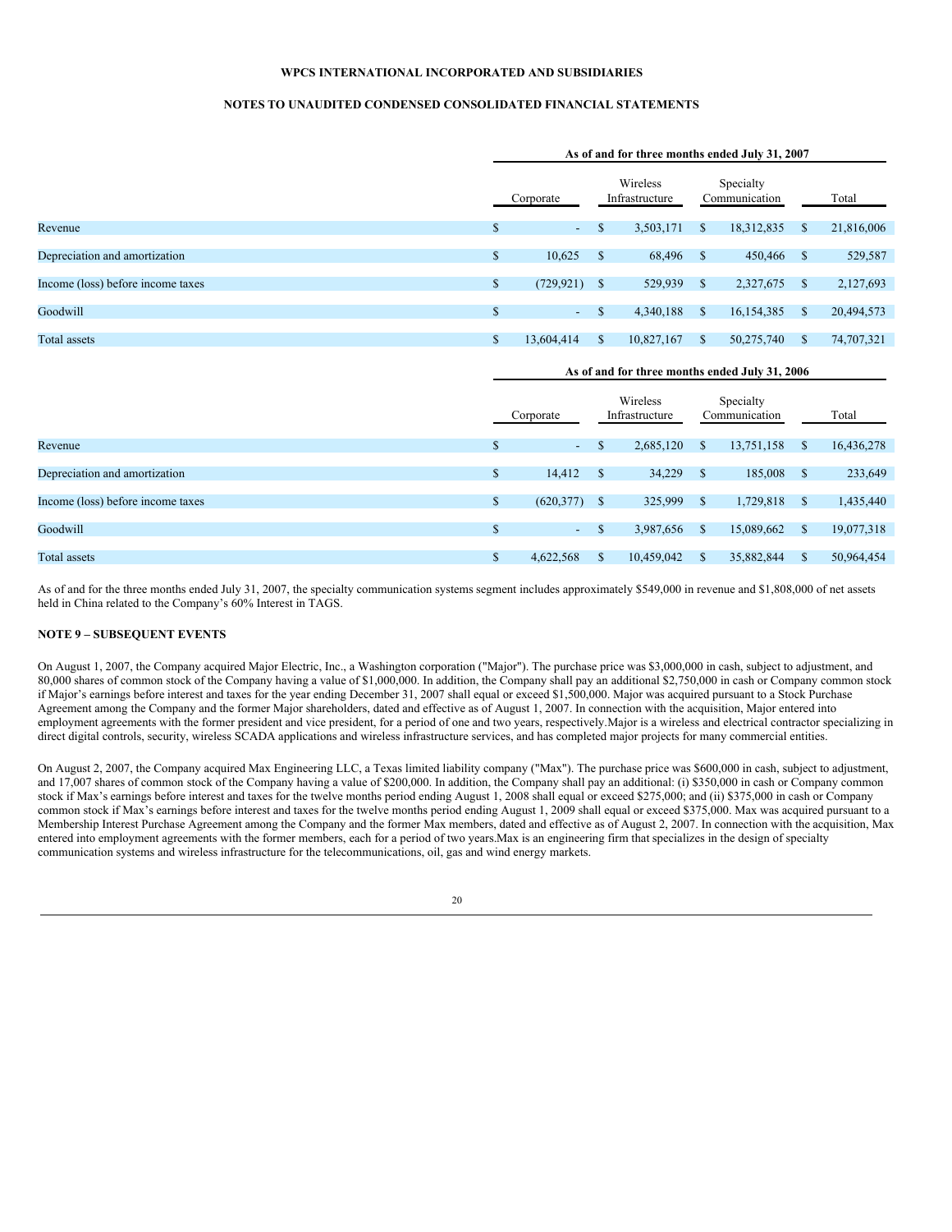## **NOTES TO UNAUDITED CONDENSED CONSOLIDATED FINANCIAL STATEMENTS**

|                                   |                                                | As of and for three months ended July 31, 2007 |                                                          |                            |              |                            |              |            |  |
|-----------------------------------|------------------------------------------------|------------------------------------------------|----------------------------------------------------------|----------------------------|--------------|----------------------------|--------------|------------|--|
|                                   |                                                | Corporate                                      |                                                          | Wireless<br>Infrastructure |              | Specialty<br>Communication |              | Total      |  |
| Revenue                           | \$                                             | $\omega$                                       | $\mathbf S$                                              | 3,503,171                  | \$           | 18,312,835                 | $\mathbf S$  | 21,816,006 |  |
| Depreciation and amortization     | $\mathbb{S}$                                   | 10,625                                         | $\mathsf{\$}$                                            | 68,496                     | $\mathbb{S}$ | 450,466                    | $\mathbf{s}$ | 529,587    |  |
| Income (loss) before income taxes | $\mathbb{S}$                                   | (729, 921)                                     | $\mathbb{S}$                                             | 529,939                    | $\mathbb{S}$ | 2,327,675                  | $\mathbf{s}$ | 2,127,693  |  |
| Goodwill                          | \$                                             | $\sim$                                         | $\mathbb{S}$                                             | 4,340,188                  | $\mathbb{S}$ | 16,154,385                 | <sup>S</sup> | 20,494,573 |  |
| <b>Total</b> assets               | $\mathbb{S}$                                   | 13,604,414                                     | $\mathbb{S}$                                             | 10,827,167                 | $\mathbb{S}$ | 50,275,740                 | <sup>S</sup> | 74,707,321 |  |
|                                   | As of and for three months ended July 31, 2006 |                                                |                                                          |                            |              |                            |              |            |  |
|                                   |                                                | Corporate                                      | Wireless<br>Specialty<br>Infrastructure<br>Communication |                            |              |                            | Total        |            |  |
| Revenue                           | \$                                             | $\sim$                                         | $\mathbf S$                                              | 2,685,120                  | $\mathbb{S}$ | 13,751,158                 | $\mathbb{S}$ | 16,436,278 |  |
| Depreciation and amortization     | $\mathbb{S}$                                   | 14,412                                         | $\mathbb{S}$                                             | 34,229                     | $\mathbb{S}$ | 185,008                    | $\mathbf{s}$ | 233,649    |  |
| Income (loss) before income taxes | $\mathbb{S}$                                   | (620, 377)                                     | $\mathbb{S}$                                             | 325,999                    | $\mathbb{S}$ | 1,729,818                  | $\mathbb{S}$ | 1,435,440  |  |
| Goodwill                          | \$                                             | $\sim$                                         | $\mathbb{S}$                                             | 3,987,656                  | $\mathbb{S}$ | 15,089,662                 | $\mathbb{S}$ | 19,077,318 |  |
| <b>Total</b> assets               | $\mathbb{S}$                                   | 4,622,568                                      | $\mathbb{S}$                                             | 10,459,042                 | $\mathbb{S}$ | 35,882,844                 | $\mathbf S$  | 50,964,454 |  |

As of and for the three months ended July 31, 2007, the specialty communication systems segment includes approximately \$549,000 in revenue and \$1,808,000 of net assets held in China related to the Company's 60% Interest in TAGS.

## **NOTE 9 – SUBSEQUENT EVENTS**

On August 1, 2007, the Company acquired Major Electric, Inc., a Washington corporation ("Major"). The purchase price was \$3,000,000 in cash, subject to adjustment, and 80,000 shares of common stock of the Company having a value of \$1,000,000. In addition, the Company shall pay an additional \$2,750,000 in cash or Company common stock if Major's earnings before interest and taxes for the year ending December 31, 2007 shall equal or exceed \$1,500,000. Major was acquired pursuant to a Stock Purchase Agreement among the Company and the former Major shareholders, dated and effective as of August 1, 2007. In connection with the acquisition, Major entered into employment agreements with the former president and vice president, for a period of one and two years, respectively. Major is a wireless and electrical contractor specializing in direct digital controls, security, wireless SCADA applications and wireless infrastructure services, and has completed major projects for many commercial entities.

On August 2, 2007, the Company acquired Max Engineering LLC, a Texas limited liability company ("Max"). The purchase price was \$600,000 in cash, subject to adjustment, and 17,007 shares of common stock of the Company having a value of \$200,000. In addition, the Company shall pay an additional: (i) \$350,000 in cash or Company common stock if Max's earnings before interest and taxes for the twelve months period ending August 1, 2008 shall equal or exceed \$275,000; and (ii) \$375,000 in cash or Company common stock if Max's earnings before interest and taxes for the twelve months period ending August 1, 2009 shall equal or exceed \$375,000. Max was acquired pursuant to a Membership Interest Purchase Agreement among the Company and the former Max members, dated and effective as of August 2, 2007. In connection with the acquisition, Max entered into employment agreements with the former members, each for a period of two years.Max is an engineering firm that specializes in the design of specialty communication systems and wireless infrastructure for the telecommunications, oil, gas and wind energy markets.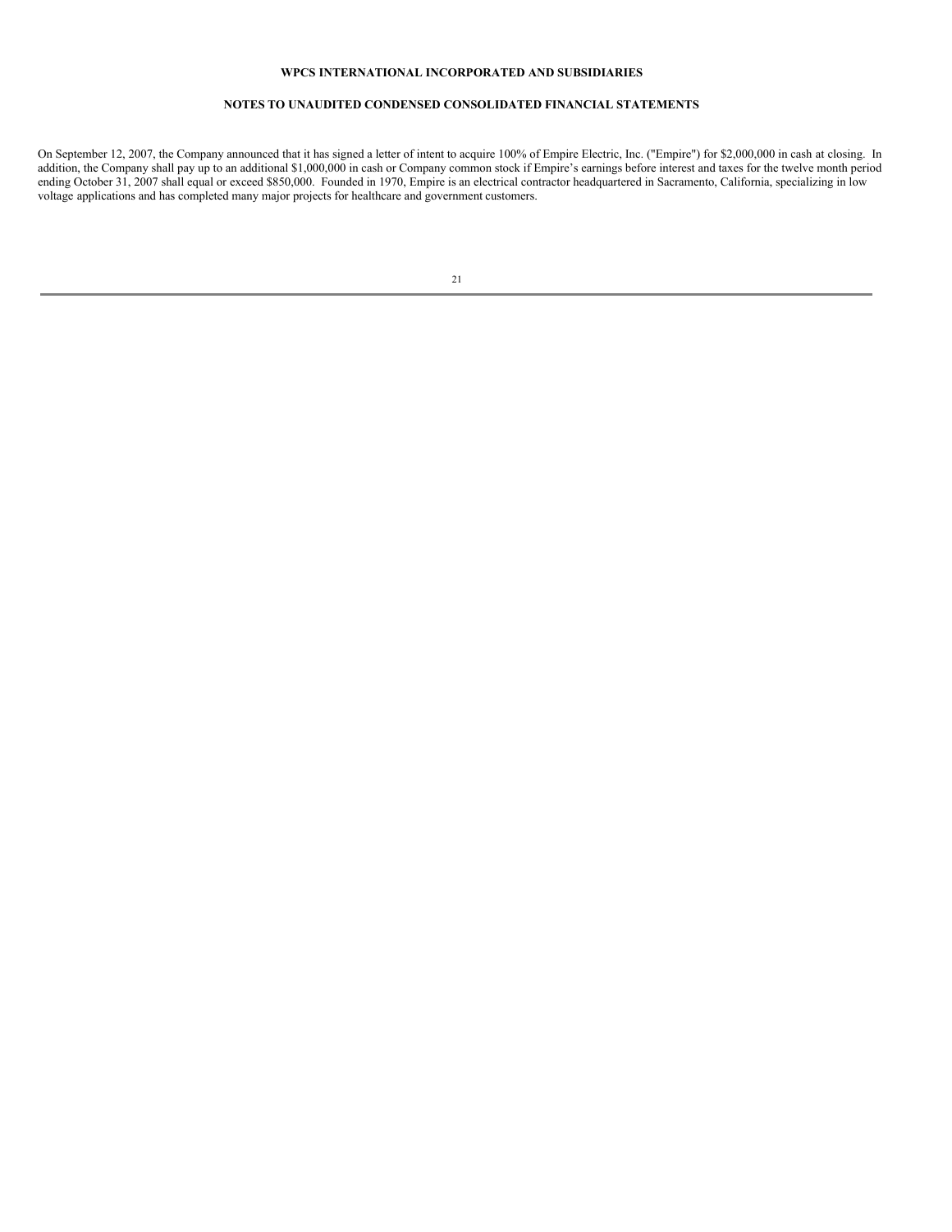# **NOTES TO UNAUDITED CONDENSED CONSOLIDATED FINANCIAL STATEMENTS**

On September 12, 2007, the Company announced that it has signed a letter of intent to acquire 100% of Empire Electric, Inc. ("Empire") for \$2,000,000 in cash at closing. In addition, the Company shall pay up to an additional \$1,000,000 in cash or Company common stock if Empire's earnings before interest and taxes for the twelve month period ending October 31, 2007 shall equal or exceed \$850,000. Founded in 1970, Empire is an electrical contractor headquartered in Sacramento, California, specializing in low voltage applications and has completed many major projects for healthcare and government customers.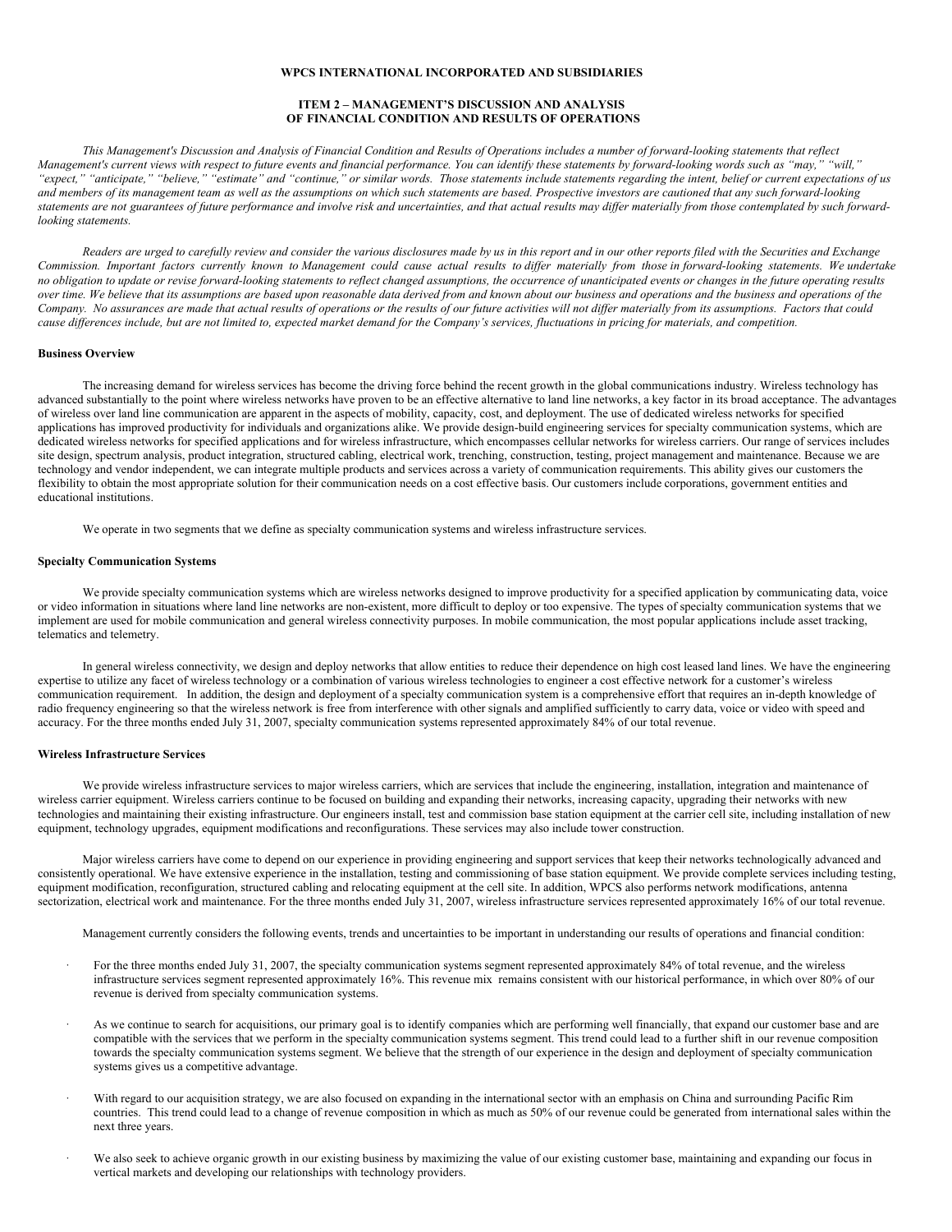### **ITEM 2 – MANAGEMENT'S DISCUSSION AND ANALYSIS OF FINANCIAL CONDITION AND RESULTS OF OPERATIONS**

This Management's Discussion and Analysis of Financial Condition and Results of Operations includes a number of forward-looking statements that reflect<br>nent's current views with respect to future events and financial perfo Management's current views with respect to future events and financial performance. You can identify these statements by forward-looking words such as "may," "expect," "anticipate," "believe," "estimate" and "continue," or similar words. Those statements include statements regarding the intent, belief or current expectations of us and members of its management team as well as the assumptions on which such statements are based. Prospective investors are cautioned that any such forward-looking statements are not guarantees of future performance and involve risk and uncertainties, and that actual results may differ materially from those contemplated by such forward*looking statements.*

Readers are urged to carefully review and consider the various disclosures made by us in this report and in our other reports filed with the Securities and Exchange Commission. Important factors currently known to Management could cause actual results to differ materially from those in forward-looking statements. We undertake no obligation to update or revise forward-looking statements to reflect changed assumptions, the occurrence of unanticipated events or changes in the future operating results over time. We believe that its assumptions are based upon reasonable data derived from and known about our business and operations and the business and operations of the Company. No assurances are made that actual results of operations or the results of our future activities will not differ materially from its assumptions. Factors that could cause differences include, but are not limited to, expected market demand for the Company's services, fluctuations in pricing for materials, and competition.

### **Business Overview**

The increasing demand for wireless services has become the driving force behind the recent growth in the global communications industry. Wireless technology has advanced substantially to the point where wireless networks have proven to be an effective alternative to land line networks, a key factor in its broad acceptance. The advantages of wireless over land line communication are apparent in the aspects of mobility, capacity, cost, and deployment. The use of dedicated wireless networks for specified applications has improved productivity for individuals and organizations alike. We provide design-build engineering services for specialty communication systems, which are dedicated wireless networks for specified applications and for wireless infrastructure, which encompasses cellular networks for wireless carriers. Our range of services includes site design, spectrum analysis, product integration, structured cabling, electrical work, trenching, construction, testing, project management and maintenance. Because we are technology and vendor independent, we can integrate multiple products and services across a variety of communication requirements. This ability gives our customers the flexibility to obtain the most appropriate solution for their communication needs on a cost effective basis. Our customers include corporations, government entities and educational institutions.

We operate in two segments that we define as specialty communication systems and wireless infrastructure services.

#### **Specialty Communication Systems**

We provide specialty communication systems which are wireless networks designed to improve productivity for a specified application by communicating data, voice or video information in situations where land line networks are non-existent, more difficult to deploy or too expensive. The types of specialty communication systems that we implement are used for mobile communication and general wireless connectivity purposes. In mobile communication, the most popular applications include asset tracking, telematics and telemetry.

In general wireless connectivity, we design and deploy networks that allow entities to reduce their dependence on high cost leased land lines. We have the engineering expertise to utilize any facet of wireless technology or a combination of various wireless technologies to engineer a cost effective network for a customer's wireless communication requirement. In addition, the design and deployment of a specialty communication system is a comprehensive effort that requires an in-depth knowledge of radio frequency engineering so that the wireless network is free from interference with other signals and amplified sufficiently to carry data, voice or video with speed and accuracy. For the three months ended July 31, 2007, specialty communication systems represented approximately 84% of our total revenue.

#### **Wireless Infrastructure Services**

We provide wireless infrastructure services to major wireless carriers, which are services that include the engineering, installation, integration and maintenance of wireless carrier equipment. Wireless carriers continue to be focused on building and expanding their networks, increasing capacity, upgrading their networks with new technologies and maintaining their existing infrastructure. Our engineers install, test and commission base station equipment at the carrier cell site, including installation of new equipment, technology upgrades, equipment modifications and reconfigurations. These services may also include tower construction.

Major wireless carriers have come to depend on our experience in providing engineering and support services that keep their networks technologically advanced and consistently operational. We have extensive experience in the installation, testing and commissioning of base station equipment. We provide complete services including testing, equipment modification, reconfiguration, structured cabling and relocating equipment at the cell site. In addition, WPCS also performs network modifications, antenna sectorization, electrical work and maintenance. For the three months ended July 31, 2007, wireless infrastructure services represented approximately 16% of our total revenue.

Management currently considers the following events, trends and uncertainties to be important in understanding our results of operations and financial condition:

- For the three months ended July 31, 2007, the specialty communication systems segment represented approximately 84% of total revenue, and the wireless infrastructure services segment represented approximately 16%. This revenue mix remains consistent with our historical performance, in which over 80% of our revenue is derived from specialty communication systems.
- As we continue to search for acquisitions, our primary goal is to identify companies which are performing well financially, that expand our customer base and are compatible with the services that we perform in the specialty communication systems segment. This trend could lead to a further shift in our revenue composition towards the specialty communication systems segment. We believe that the strength of our experience in the design and deployment of specialty communication systems gives us a competitive advantage.
- · With regard to our acquisition strategy, we are also focused on expanding in the international sector with an emphasis on China and surrounding Pacific Rim countries. This trend could lead to a change of revenue composition in which as much as 50% of our revenue could be generated from international sales within the next three years.
- We also seek to achieve organic growth in our existing business by maximizing the value of our existing customer base, maintaining and expanding our focus in vertical markets and developing our relationships with technology providers.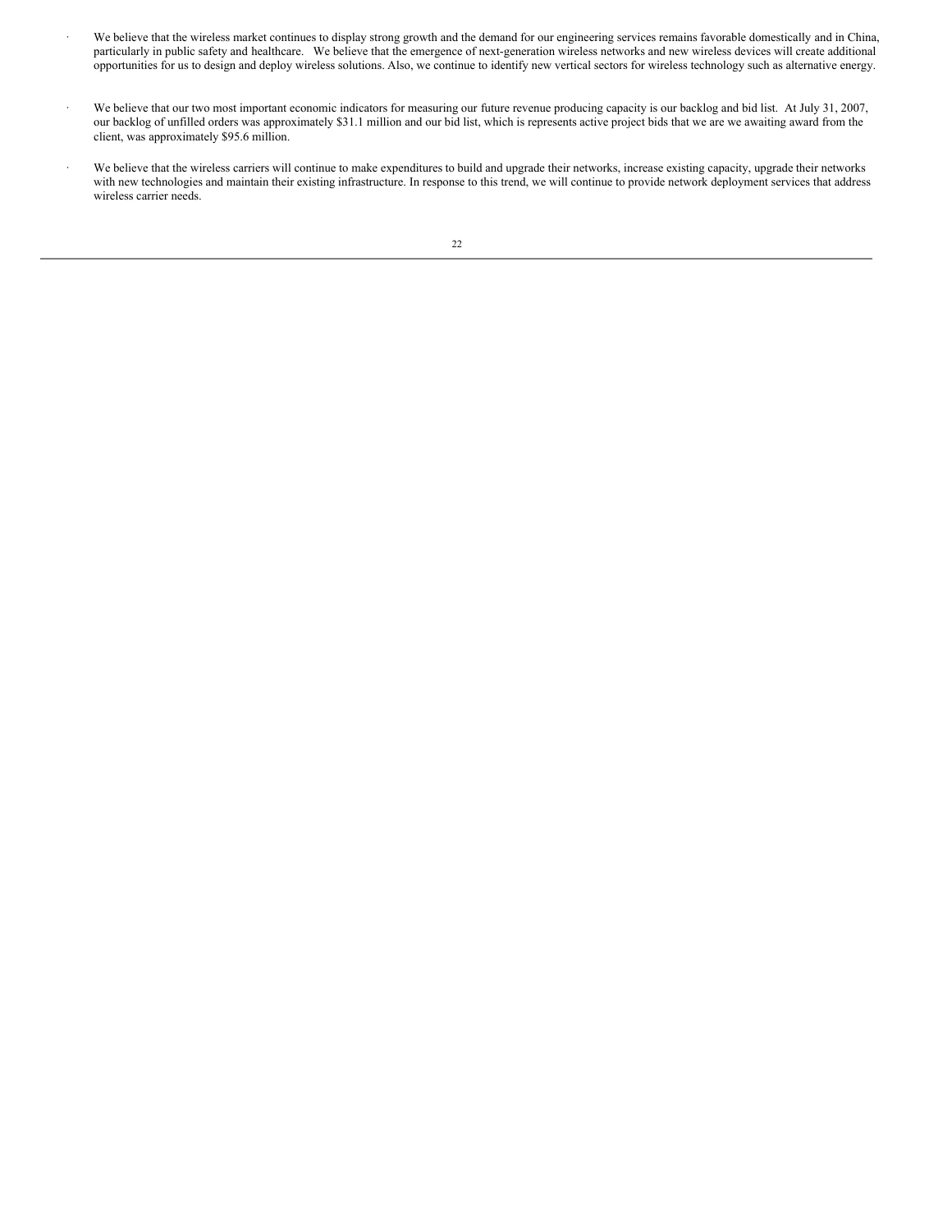- We believe that the wireless market continues to display strong growth and the demand for our engineering services remains favorable domestically and in China, particularly in public safety and healthcare. We believe that the emergence of next-generation wireless networks and new wireless devices will create additional opportunities for us to design and deploy wireless solutions. Also, we continue to identify new vertical sectors for wireless technology such as alternative energy.
- · We believe that our two most important economic indicators for measuring our future revenue producing capacity is our backlog and bid list. At July 31, 2007, our backlog of unfilled orders was approximately \$31.1 million and our bid list, which is represents active project bids that we are we awaiting award from the client, was approximately \$95.6 million.
- We believe that the wireless carriers will continue to make expenditures to build and upgrade their networks, increase existing capacity, upgrade their networks with new technologies and maintain their existing infrastructure. In response to this trend, we will continue to provide network deployment services that address wireless carrier needs.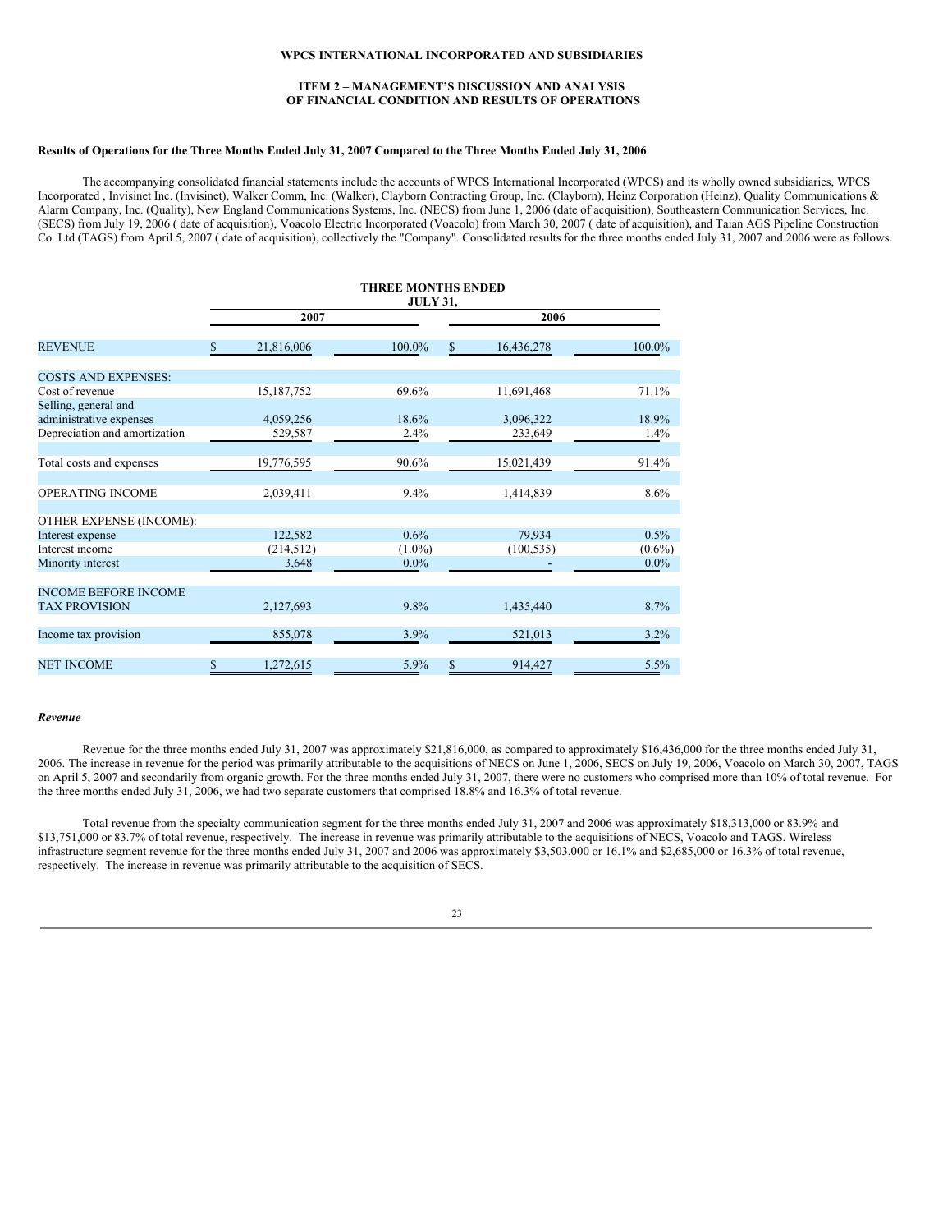## **ITEM 2 – MANAGEMENT'S DISCUSSION AND ANALYSIS OF FINANCIAL CONDITION AND RESULTS OF OPERATIONS**

### Results of Operations for the Three Months Ended July 31, 2007 Compared to the Three Months Ended July 31, 2006

The accompanying consolidated financial statements include the accounts of WPCS International Incorporated (WPCS) and its wholly owned subsidiaries, WPCS Incorporated , Invisinet Inc. (Invisinet), Walker Comm, Inc. (Walker), Clayborn Contracting Group, Inc. (Clayborn), Heinz Corporation (Heinz), Quality Communications & Alarm Company, Inc. (Quality), New England Communications Systems, Inc. (NECS) from June 1, 2006 (date of acquisition), Southeastern Communication Services, Inc. (SECS) from July 19, 2006 ( date of acquisition), Voacolo Electric Incorporated (Voacolo) from March 30, 2007 ( date of acquisition), and Taian AGS Pipeline Construction Co. Ltd (TAGS) from April 5, 2007 ( date of acquisition), collectively the "Company". Consolidated results for the three months ended July 31, 2007 and 2006 were as follows.

|                               | <b>THREE MONTHS ENDED</b><br><b>JULY 31,</b> |           |      |            |           |  |  |  |
|-------------------------------|----------------------------------------------|-----------|------|------------|-----------|--|--|--|
|                               | 2007                                         |           | 2006 |            |           |  |  |  |
| <b>REVENUE</b>                | \$<br>21,816,006                             | 100.0%    | \$   | 16,436,278 | 100.0%    |  |  |  |
| <b>COSTS AND EXPENSES:</b>    |                                              |           |      |            |           |  |  |  |
| Cost of revenue               | 15, 187, 752                                 | 69.6%     |      | 11,691,468 | 71.1%     |  |  |  |
| Selling, general and          |                                              |           |      |            |           |  |  |  |
| administrative expenses       | 4,059,256                                    | 18.6%     |      | 3,096,322  | 18.9%     |  |  |  |
| Depreciation and amortization | 529,587                                      | 2.4%      |      | 233,649    | 1.4%      |  |  |  |
| Total costs and expenses      | 19,776,595                                   | 90.6%     |      | 15,021,439 | 91.4%     |  |  |  |
| OPERATING INCOME              | 2,039,411                                    | 9.4%      |      | 1,414,839  | 8.6%      |  |  |  |
| OTHER EXPENSE (INCOME):       |                                              |           |      |            |           |  |  |  |
| Interest expense              | 122,582                                      | 0.6%      |      | 79,934     | 0.5%      |  |  |  |
| Interest income               | (214, 512)                                   | $(1.0\%)$ |      | (100, 535) | $(0.6\%)$ |  |  |  |
| Minority interest             | 3,648                                        | $0.0\%$   |      |            | $0.0\%$   |  |  |  |
| <b>INCOME BEFORE INCOME</b>   |                                              |           |      |            |           |  |  |  |
| <b>TAX PROVISION</b>          | 2,127,693                                    | 9.8%      |      | 1,435,440  | 8.7%      |  |  |  |
| Income tax provision          | 855,078                                      | 3.9%      |      | 521,013    | 3.2%      |  |  |  |
| <b>NET INCOME</b>             | \$<br>1,272,615                              | 5.9%      | \$   | 914,427    | 5.5%      |  |  |  |

#### *Revenue*

Revenue for the three months ended July 31, 2007 was approximately \$21,816,000, as compared to approximately \$16,436,000 for the three months ended July 31, 2006. The increase in revenue for the period was primarily attributable to the acquisitions of NECS on June 1, 2006, SECS on July 19, 2006, Voacolo on March 30, 2007, TAGS on April 5, 2007 and secondarily from organic growth. For the three months ended July 31, 2007, there were no customers who comprised more than 10% of total revenue. For the three months ended July 31, 2006, we had two separate customers that comprised 18.8% and 16.3% of total revenue.

Total revenue from the specialty communication segment for the three months ended July 31, 2007 and 2006 was approximately \$18,313,000 or 83.9% and \$13,751,000 or 83.7% of total revenue, respectively. The increase in revenue was primarily attributable to the acquisitions of NECS, Voacolo and TAGS. Wireless infrastructure segment revenue for the three months ended July 31, 2007 and 2006 was approximately \$3,503,000 or 16.1% and \$2,685,000 or 16.3% of total revenue, respectively. The increase in revenue was primarily attributable to the acquisition of SECS.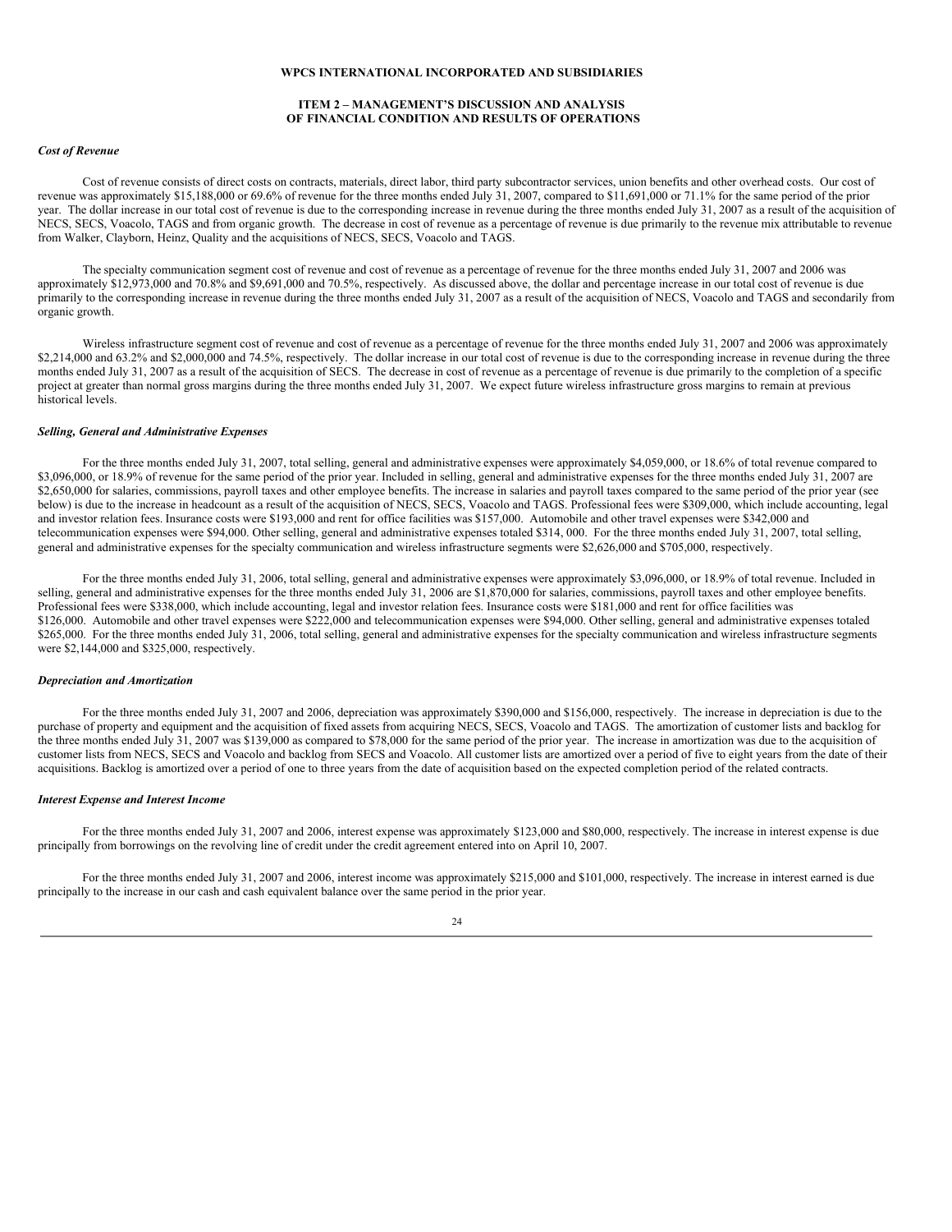### **ITEM 2 – MANAGEMENT'S DISCUSSION AND ANALYSIS OF FINANCIAL CONDITION AND RESULTS OF OPERATIONS**

#### *Cost of Revenue*

Cost of revenue consists of direct costs on contracts, materials, direct labor, third party subcontractor services, union benefits and other overhead costs. Our cost of revenue was approximately \$15,188,000 or 69.6% of revenue for the three months ended July 31, 2007, compared to \$11,691,000 or 71.1% for the same period of the prior year. The dollar increase in our total cost of revenue is due to the corresponding increase in revenue during the three months ended July 31, 2007 as a result of the acquisition of NECS, SECS, Voacolo, TAGS and from organic growth. The decrease in cost of revenue as a percentage of revenue is due primarily to the revenue mix attributable to revenue from Walker, Clayborn, Heinz, Quality and the acquisitions of NECS, SECS, Voacolo and TAGS.

The specialty communication segment cost of revenue and cost of revenue as a percentage of revenue for the three months ended July 31, 2007 and 2006 was approximately \$12,973,000 and 70.8% and \$9,691,000 and 70.5%, respectively. As discussed above, the dollar and percentage increase in our total cost of revenue is due primarily to the corresponding increase in revenue during the three months ended July 31, 2007 as a result of the acquisition of NECS, Voacolo and TAGS and secondarily from organic growth.

Wireless infrastructure segment cost of revenue and cost of revenue as a percentage of revenue for the three months ended July 31, 2007 and 2006 was approximately \$2,214,000 and 63.2% and \$2,000,000 and 74.5%, respectively. The dollar increase in our total cost of revenue is due to the corresponding increase in revenue during the three months ended July 31, 2007 as a result of the acquisition of SECS. The decrease in cost of revenue as a percentage of revenue is due primarily to the completion of a specific project at greater than normal gross margins during the three months ended July 31, 2007. We expect future wireless infrastructure gross margins to remain at previous historical levels.

#### *Selling, General and Administrative Expenses*

For the three months ended July 31, 2007, total selling, general and administrative expenses were approximately \$4,059,000, or 18.6% of total revenue compared to \$3,096,000, or 18.9% of revenue for the same period of the prior year. Included in selling, general and administrative expenses for the three months ended July 31, 2007 are \$2,650,000 for salaries, commissions, payroll taxes and other employee benefits. The increase in salaries and payroll taxes compared to the same period of the prior year (see below) is due to the increase in headcount as a result of the acquisition of NECS, SECS, Voacolo and TAGS. Professional fees were \$309,000, which include accounting, legal and investor relation fees. Insurance costs were \$193,000 and rent for office facilities was \$157,000. Automobile and other travel expenses were \$342,000 and telecommunication expenses were \$94,000. Other selling, general and administrative expenses totaled \$314, 000. For the three months ended July 31, 2007, total selling, general and administrative expenses for the specialty communication and wireless infrastructure segments were \$2,626,000 and \$705,000, respectively.

For the three months ended July 31, 2006, total selling, general and administrative expenses were approximately \$3,096,000, or 18.9% of total revenue. Included in selling, general and administrative expenses for the three months ended July 31, 2006 are \$1,870,000 for salaries, commissions, payroll taxes and other employee benefits. Professional fees were \$338,000, which include accounting, legal and investor relation fees. Insurance costs were \$181,000 and rent for office facilities was \$126,000. Automobile and other travel expenses were \$222,000 and telecommunication expenses were \$94,000. Other selling, general and administrative expenses totaled \$265,000. For the three months ended July 31, 2006, total selling, general and administrative expenses for the specialty communication and wireless infrastructure segments were \$2,144,000 and \$325,000, respectively.

#### *Depreciation and Amortization*

For the three months ended July 31, 2007 and 2006, depreciation was approximately \$390,000 and \$156,000, respectively. The increase in depreciation is due to the purchase of property and equipment and the acquisition of fixed assets from acquiring NECS, SECS, Voacolo and TAGS. The amortization of customer lists and backlog for the three months ended July 31, 2007 was \$139,000 as compared to \$78,000 for the same period of the prior year. The increase in amortization was due to the acquisition of customer lists from NECS, SECS and Voacolo and backlog from SECS and Voacolo. All customer lists are amortized over a period of five to eight years from the date of their acquisitions. Backlog is amortized over a period of one to three years from the date of acquisition based on the expected completion period of the related contracts.

#### *Interest Expense and Interest Income*

For the three months ended July 31, 2007 and 2006, interest expense was approximately \$123,000 and \$80,000, respectively. The increase in interest expense is due principally from borrowings on the revolving line of credit under the credit agreement entered into on April 10, 2007.

For the three months ended July 31, 2007 and 2006, interest income was approximately \$215,000 and \$101,000, respectively. The increase in interest earned is due principally to the increase in our cash and cash equivalent balance over the same period in the prior year.

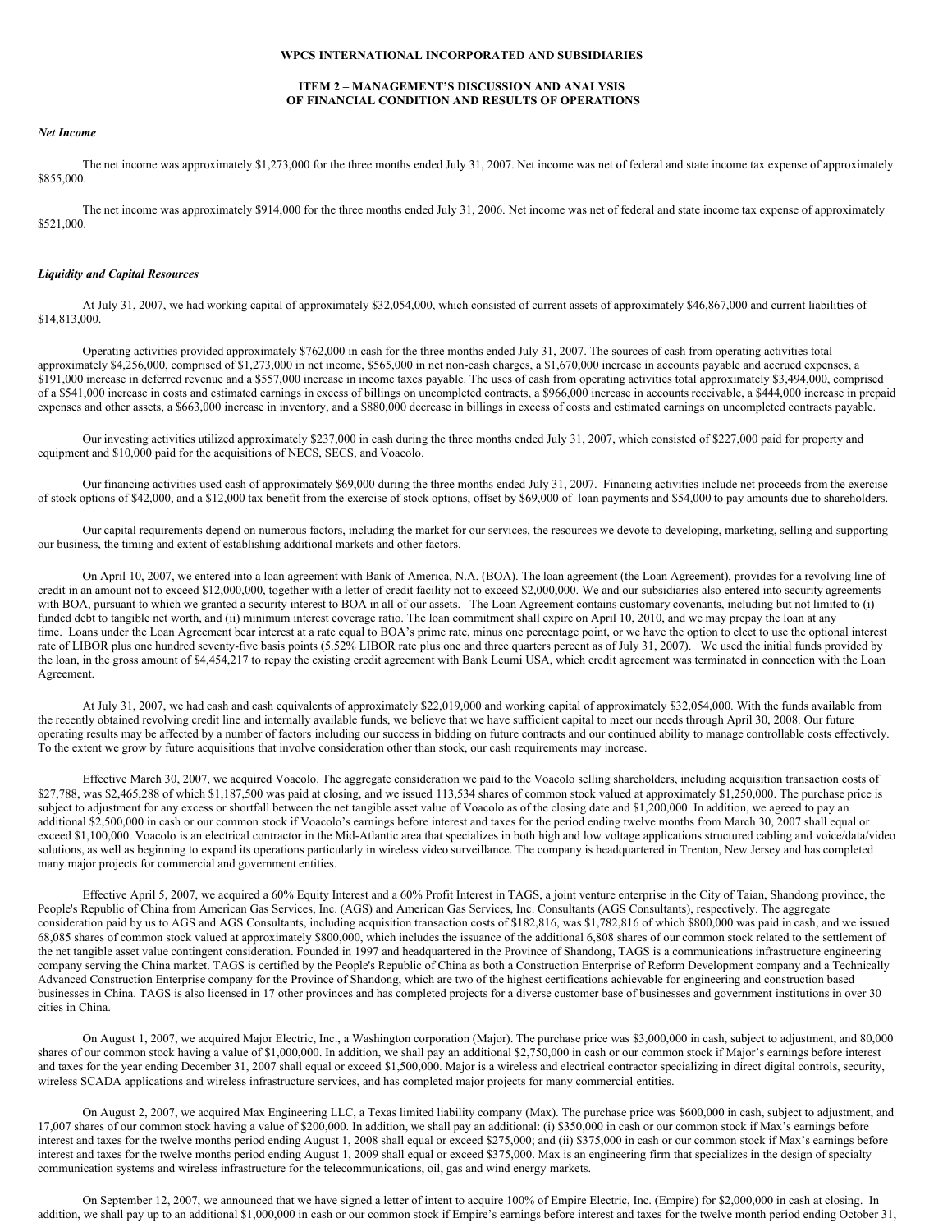## **ITEM 2 – MANAGEMENT'S DISCUSSION AND ANALYSIS OF FINANCIAL CONDITION AND RESULTS OF OPERATIONS**

### *Net Income*

The net income was approximately \$1,273,000 for the three months ended July 31, 2007. Net income was net of federal and state income tax expense of approximately \$855,000.

The net income was approximately \$914,000 for the three months ended July 31, 2006. Net income was net of federal and state income tax expense of approximately \$521,000.

#### *Liquidity and Capital Resources*

At July 31, 2007, we had working capital of approximately \$32,054,000, which consisted of current assets of approximately \$46,867,000 and current liabilities of \$14,813,000.

Operating activities provided approximately \$762,000 in cash for the three months ended July 31, 2007. The sources of cash from operating activities total approximately \$4,256,000, comprised of \$1,273,000 in net income, \$565,000 in net non-cash charges, a \$1,670,000 increase in accounts payable and accrued expenses, a \$191,000 increase in deferred revenue and a \$557,000 increase in income taxes payable. The uses of cash from operating activities total approximately \$3,494,000, comprised of a \$541,000 increase in costs and estimated earnings in excess of billings on uncompleted contracts, a \$966,000 increase in accounts receivable, a \$444,000 increase in prepaid expenses and other assets, a \$663,000 increase in inventory, and a \$880,000 decrease in billings in excess of costs and estimated earnings on uncompleted contracts payable.

Our investing activities utilized approximately \$237,000 in cash during the three months ended July 31, 2007, which consisted of \$227,000 paid for property and equipment and \$10,000 paid for the acquisitions of NECS, SECS, and Voacolo.

Our financing activities used cash of approximately \$69,000 during the three months ended July 31, 2007. Financing activities include net proceeds from the exercise of stock options of \$42,000, and a \$12,000 tax benefit from the exercise of stock options, offset by \$69,000 of loan payments and \$54,000 to pay amounts due to shareholders.

Our capital requirements depend on numerous factors, including the market for our services, the resources we devote to developing, marketing, selling and supporting our business, the timing and extent of establishing additional markets and other factors.

On April 10, 2007, we entered into a loan agreement with Bank of America, N.A. (BOA). The loan agreement (the Loan Agreement), provides for a revolving line of credit in an amount not to exceed \$12,000,000, together with a letter of credit facility not to exceed \$2,000,000. We and our subsidiaries also entered into security agreements with BOA, pursuant to which we granted a security interest to BOA in all of our assets. The Loan Agreement contains customary covenants, including but not limited to (i) funded debt to tangible net worth, and (ii) minimum interest coverage ratio. The loan commitment shall expire on April 10, 2010, and we may prepay the loan at any time. Loans under the Loan Agreement bear interest at a rate equal to BOA's prime rate, minus one percentage point, or we have the option to elect to use the optional interest rate of LIBOR plus one hundred seventy-five basis points (5.52% LIBOR rate plus one and three quarters percent as of July 31, 2007). We used the initial funds provided by the loan, in the gross amount of \$4,454,217 to repay the existing credit agreement with Bank Leumi USA, which credit agreement was terminated in connection with the Loan Agreement.

At July 31, 2007, we had cash and cash equivalents of approximately \$22,019,000 and working capital of approximately \$32,054,000. With the funds available from the recently obtained revolving credit line and internally available funds, we believe that we have sufficient capital to meet our needs through April 30, 2008. Our future operating results may be affected by a number of factors including our success in bidding on future contracts and our continued ability to manage controllable costs effectively. To the extent we grow by future acquisitions that involve consideration other than stock, our cash requirements may increase.

Effective March 30, 2007, we acquired Voacolo. The aggregate consideration we paid to the Voacolo selling shareholders, including acquisition transaction costs of \$27,788, was \$2,465,288 of which \$1,187,500 was paid at closing, and we issued 113,534 shares of common stock valued at approximately \$1,250,000. The purchase price is subject to adjustment for any excess or shortfall between the net tangible asset value of Voacolo as of the closing date and \$1,200,000. In addition, we agreed to pay an additional \$2,500,000 in cash or our common stock if Voacolo's earnings before interest and taxes for the period ending twelve months from March 30, 2007 shall equal or exceed \$1,100,000. Voacolo is an electrical contractor in the Mid-Atlantic area that specializes in both high and low voltage applications structured cabling and voice/data/video solutions, as well as beginning to expand its operations particularly in wireless video surveillance. The company is headquartered in Trenton, New Jersey and has completed many major projects for commercial and government entities.

Effective April 5, 2007, we acquired a 60% Equity Interest and a 60% Profit Interest in TAGS, a joint venture enterprise in the City of Taian, Shandong province, the People's Republic of China from American Gas Services, Inc. (AGS) and American Gas Services, Inc. Consultants (AGS Consultants), respectively. The aggregate consideration paid by us to AGS and AGS Consultants, including acquisition transaction costs of \$182,816, was \$1,782,816 of which \$800,000 was paid in cash, and we issued 68,085 shares of common stock valued at approximately \$800,000, which includes the issuance of the additional 6,808 shares of our common stock related to the settlement of the net tangible asset value contingent consideration. Founded in 1997 and headquartered in the Province of Shandong, TAGS is a communications infrastructure engineering company serving the China market. TAGS is certified by the People's Republic of China as both a Construction Enterprise of Reform Development company and a Technically Advanced Construction Enterprise company for the Province of Shandong, which are two of the highest certifications achievable for engineering and construction based businesses in China. TAGS is also licensed in 17 other provinces and has completed projects for a diverse customer base of businesses and government institutions in over 30 cities in China.

On August 1, 2007, we acquired Major Electric, Inc., a Washington corporation (Major). The purchase price was \$3,000,000 in cash, subject to adjustment, and 80,000 shares of our common stock having a value of \$1,000,000. In addition, we shall pay an additional \$2,750,000 in cash or our common stock if Major's earnings before interest and taxes for the year ending December 31, 2007 shall equal or exceed \$1,500,000. Major is a wireless and electrical contractor specializing in direct digital controls, security, wireless SCADA applications and wireless infrastructure services, and has completed major projects for many commercial entities.

On August 2, 2007, we acquired Max Engineering LLC, a Texas limited liability company (Max). The purchase price was \$600,000 in cash, subject to adjustment, and 17,007 shares of our common stock having a value of \$200,000. In addition, we shall pay an additional: (i) \$350,000 in cash or our common stock if Max's earnings before interest and taxes for the twelve months period ending August 1, 2008 shall equal or exceed \$275,000; and (ii) \$375,000 in cash or our common stock if Max's earnings before interest and taxes for the twelve months period ending August 1, 2009 shall equal or exceed \$375,000. Max is an engineering firm that specializes in the design of specialty communication systems and wireless infrastructure for the telecommunications, oil, gas and wind energy markets.

On September 12, 2007, we announced that we have signed a letter of intent to acquire 100% of Empire Electric, Inc. (Empire) for \$2,000,000 in cash at closing. In addition, we shall pay up to an additional \$1,000,000 in cash or our common stock if Empire's earnings before interest and taxes for the twelve month period ending October 31,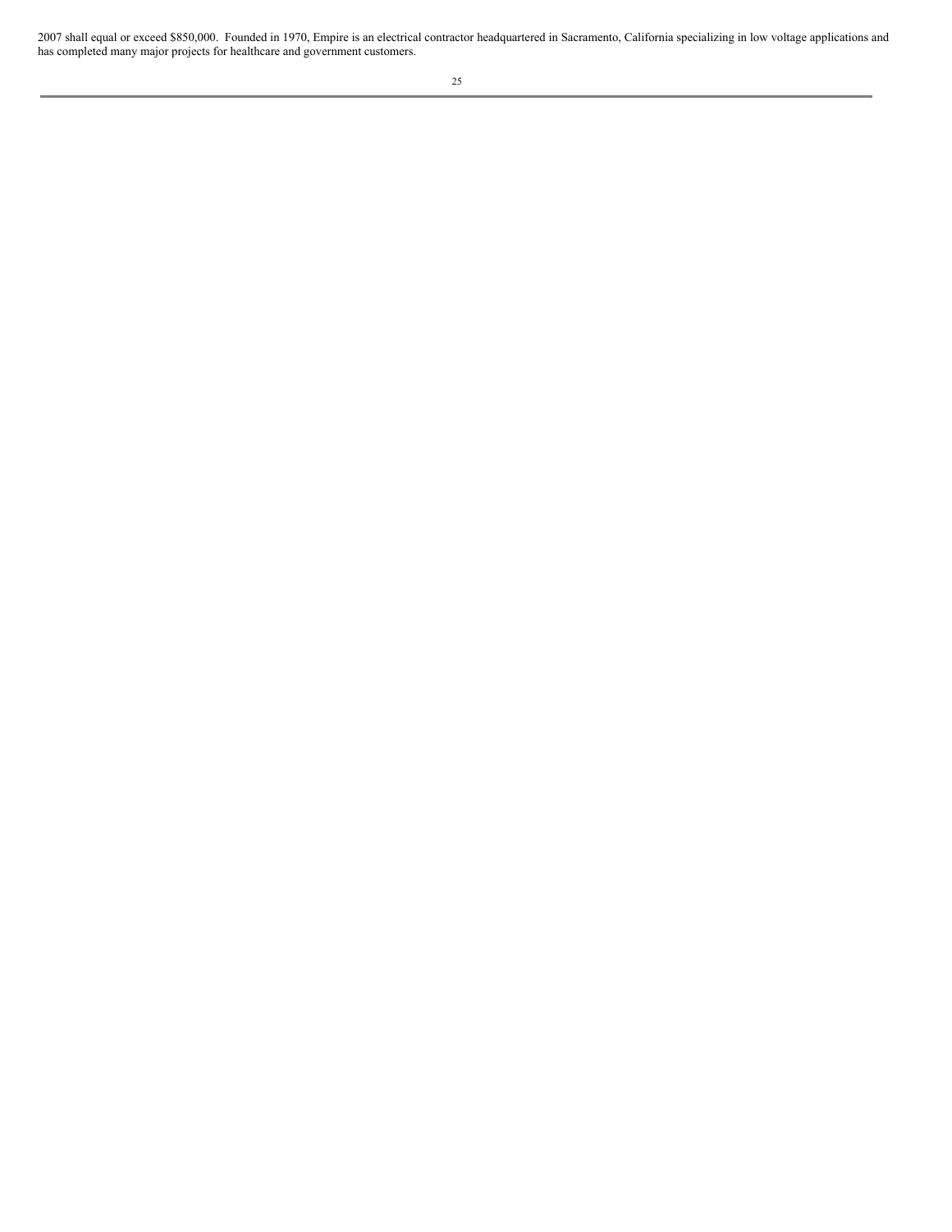shall equal or exceed \$850,000. Founded in 1970, Empire is an electrical contractor headquartered in Sacramento, California specializing in low voltage applications and has completed many major projects for healthcare and government customers.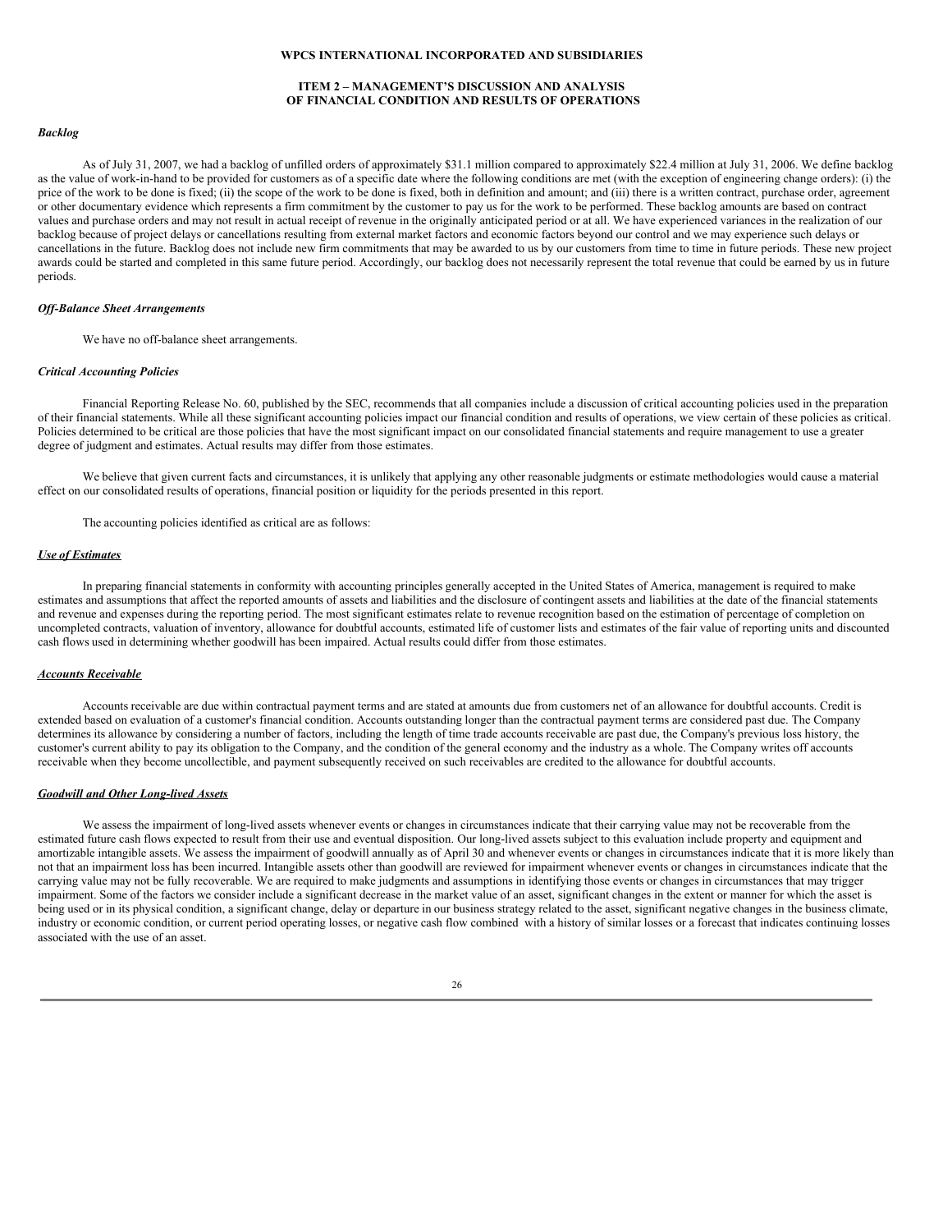## **ITEM 2 – MANAGEMENT'S DISCUSSION AND ANALYSIS OF FINANCIAL CONDITION AND RESULTS OF OPERATIONS**

#### *Backlog*

As of July 31, 2007, we had a backlog of unfilled orders of approximately \$31.1 million compared to approximately \$22.4 million at July 31, 2006. We define backlog as the value of work-in-hand to be provided for customers as of a specific date where the following conditions are met (with the exception of engineering change orders): (i) the price of the work to be done is fixed; (ii) the scope of the work to be done is fixed, both in definition and amount; and (iii) there is a written contract, purchase order, agreement or other documentary evidence which represents a firm commitment by the customer to pay us for the work to be performed. These backlog amounts are based on contract values and purchase orders and may not result in actual receipt of revenue in the originally anticipated period or at all. We have experienced variances in the realization of our backlog because of project delays or cancellations resulting from external market factors and economic factors beyond our control and we may experience such delays or cancellations in the future. Backlog does not include new firm commitments that may be awarded to us by our customers from time to time in future periods. These new project awards could be started and completed in this same future period. Accordingly, our backlog does not necessarily represent the total revenue that could be earned by us in future periods.

## *Of -Balance Sheet Arrangements*

We have no off-balance sheet arrangements.

#### *Critical Accounting Policies*

Financial Reporting Release No. 60, published by the SEC, recommends that all companies include a discussion of critical accounting policies used in the preparation of their financial statements. While all these significant accounting policies impact our financial condition and results of operations, we view certain of these policies as critical. Policies determined to be critical are those policies that have the most significant impact on our consolidated financial statements and require management to use a greater degree of judgment and estimates. Actual results may differ from those estimates.

We believe that given current facts and circumstances, it is unlikely that applying any other reasonable judgments or estimate methodologies would cause a material effect on our consolidated results of operations, financial position or liquidity for the periods presented in this report.

The accounting policies identified as critical are as follows:

## *Use of Estimates*

In preparing financial statements in conformity with accounting principles generally accepted in the United States of America, management is required to make estimates and assumptions that affect the reported amounts of assets and liabilities and the disclosure of contingent assets and liabilities at the date of the financial statements and revenue and expenses during the reporting period. The most significant estimates relate to revenue recognition based on the estimation of percentage of completion on uncompleted contracts, valuation of inventory, allowance for doubtful accounts, estimated life of customer lists and estimates of the fair value of reporting units and discounted cash flows used in determining whether goodwill has been impaired. Actual results could differ from those estimates.

## *Accounts Receivable*

Accounts receivable are due within contractual payment terms and are stated at amounts due from customers net of an allowance for doubtful accounts. Credit is extended based on evaluation of a customer's financial condition. Accounts outstanding longer than the contractual payment terms are considered past due. The Company determines its allowance by considering a number of factors, including the length of time trade accounts receivable are past due, the Company's previous loss history, the customer's current ability to pay its obligation to the Company, and the condition of the general economy and the industry as a whole. The Company writes off accounts receivable when they become uncollectible, and payment subsequently received on such receivables are credited to the allowance for doubtful accounts.

#### *Goodwill and Other Long-lived Assets*

We assess the impairment of long-lived assets whenever events or changes in circumstances indicate that their carrying value may not be recoverable from the estimated future cash flows expected to result from their use and eventual disposition. Our long-lived assets subject to this evaluation include property and equipment and amortizable intangible assets. We assess the impairment of goodwill annually as of April 30 and whenever events or changes in circumstances indicate that it is more likely than not that an impairment loss has been incurred. Intangible assets other than goodwill are reviewed for impairment whenever events or changes in circumstances indicate that the carrying value may not be fully recoverable. We are required to make judgments and assumptions in identifying those events or changes in circumstances that may trigger impairment. Some of the factors we consider include a significant decrease in the market value of an asset, significant changes in the extent or manner for which the asset is being used or in its physical condition, a significant change, delay or departure in our business strategy related to the asset, significant negative changes in the business climate, industry or economic condition, or current period operating losses, or negative cash flow combined with a history of similar losses or a forecast that indicates continuing losses associated with the use of an asset.

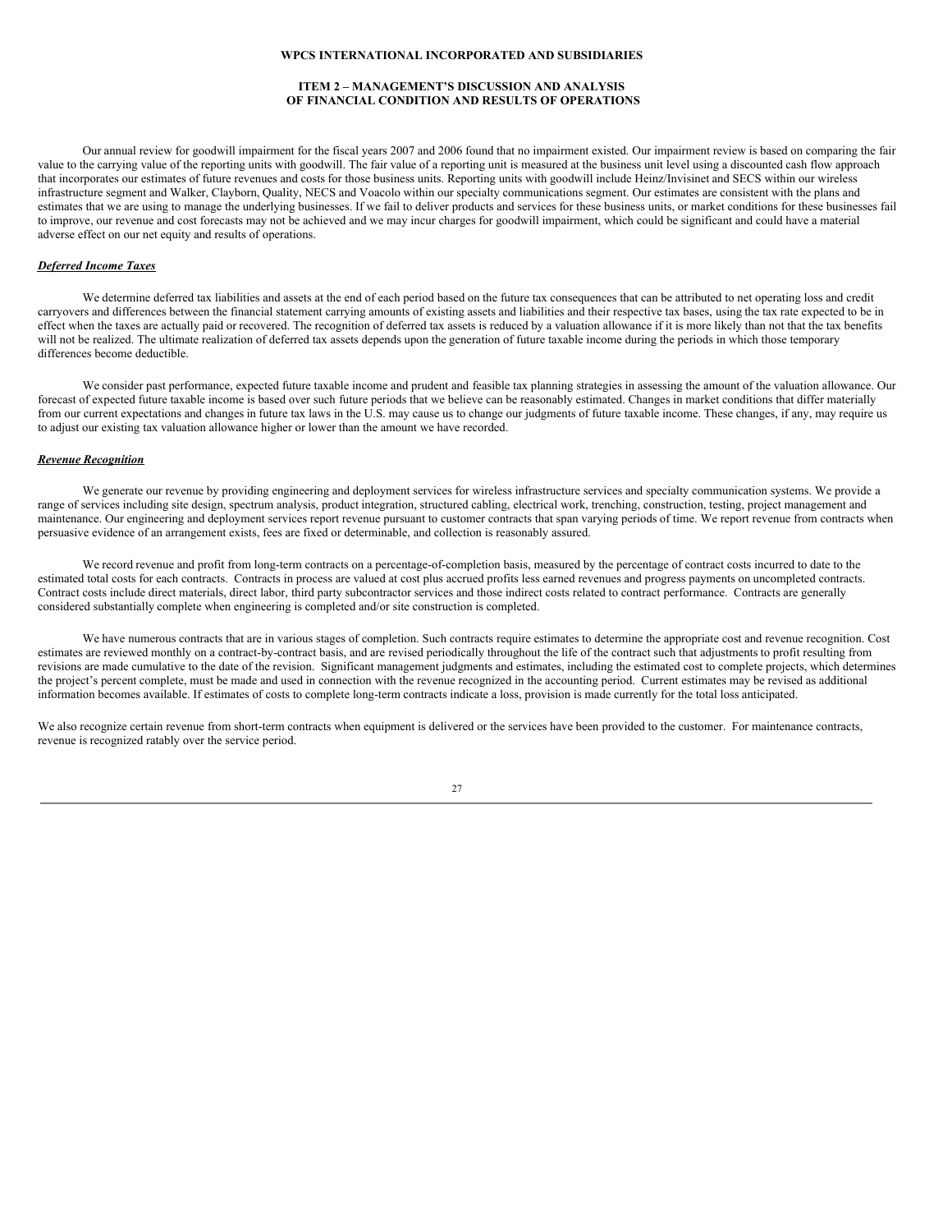# **ITEM 2 – MANAGEMENT'S DISCUSSION AND ANALYSIS OF FINANCIAL CONDITION AND RESULTS OF OPERATIONS**

Our annual review for goodwill impairment for the fiscal years 2007 and 2006 found that no impairment existed. Our impairment review is based on comparing the fair value to the carrying value of the reporting units with goodwill. The fair value of a reporting unit is measured at the business unit level using a discounted cash flow approach that incorporates our estimates of future revenues and costs for those business units. Reporting units with goodwill include Heinz/Invisinet and SECS within our wireless infrastructure segment and Walker, Clayborn, Quality, NECS and Voacolo within our specialty communications segment. Our estimates are consistent with the plans and estimates that we are using to manage the underlying businesses. If we fail to deliver products and services for these business units, or market conditions for these businesses fail to improve, our revenue and cost forecasts may not be achieved and we may incur charges for goodwill impairment, which could be significant and could have a material adverse effect on our net equity and results of operations.

## *Deferred Income Taxes*

We determine deferred tax liabilities and assets at the end of each period based on the future tax consequences that can be attributed to net operating loss and credit carryovers and differences between the financial statement carrying amounts of existing assets and liabilities and their respective tax bases, using the tax rate expected to be in effect when the taxes are actually paid or recovered. The recognition of deferred tax assets is reduced by a valuation allowance if it is more likely than not that the tax benefits will not be realized. The ultimate realization of deferred tax assets depends upon the generation of future taxable income during the periods in which those temporary differences become deductible.

We consider past performance, expected future taxable income and prudent and feasible tax planning strategies in assessing the amount of the valuation allowance. Our forecast of expected future taxable income is based over such future periods that we believe can be reasonably estimated. Changes in market conditions that differ materially from our current expectations and changes in future tax laws in the U.S. may cause us to change our judgments of future taxable income. These changes, if any, may require us to adjust our existing tax valuation allowance higher or lower than the amount we have recorded.

## *Revenue Recognition*

We generate our revenue by providing engineering and deployment services for wireless infrastructure services and specialty communication systems. We provide a range of services including site design, spectrum analysis, product integration, structured cabling, electrical work, trenching, construction, testing, project management and maintenance. Our engineering and deployment services report revenue pursuant to customer contracts that span varying periods of time. We report revenue from contracts when persuasive evidence of an arrangement exists, fees are fixed or determinable, and collection is reasonably assured.

We record revenue and profit from long-term contracts on a percentage-of-completion basis, measured by the percentage of contract costs incurred to date to the estimated total costs for each contracts. Contracts in process are valued at cost plus accrued profits less earned revenues and progress payments on uncompleted contracts. Contract costs include direct materials, direct labor, third party subcontractor services and those indirect costs related to contract performance. Contracts are generally considered substantially complete when engineering is completed and/or site construction is completed.

We have numerous contracts that are in various stages of completion. Such contracts require estimates to determine the appropriate cost and revenue recognition. Cost estimates are reviewed monthly on a contract-by-contract basis, and are revised periodically throughout the life of the contract such that adjustments to profit resulting from revisions are made cumulative to the date of the revision. Significant management judgments and estimates, including the estimated cost to complete projects, which determines the project's percent complete, must be made and used in connection with the revenue recognized in the accounting period. Current estimates may be revised as additional information becomes available. If estimates of costs to complete long-term contracts indicate a loss, provision is made currently for the total loss anticipated.

We also recognize certain revenue from short-term contracts when equipment is delivered or the services have been provided to the customer. For maintenance contracts, revenue is recognized ratably over the service period.

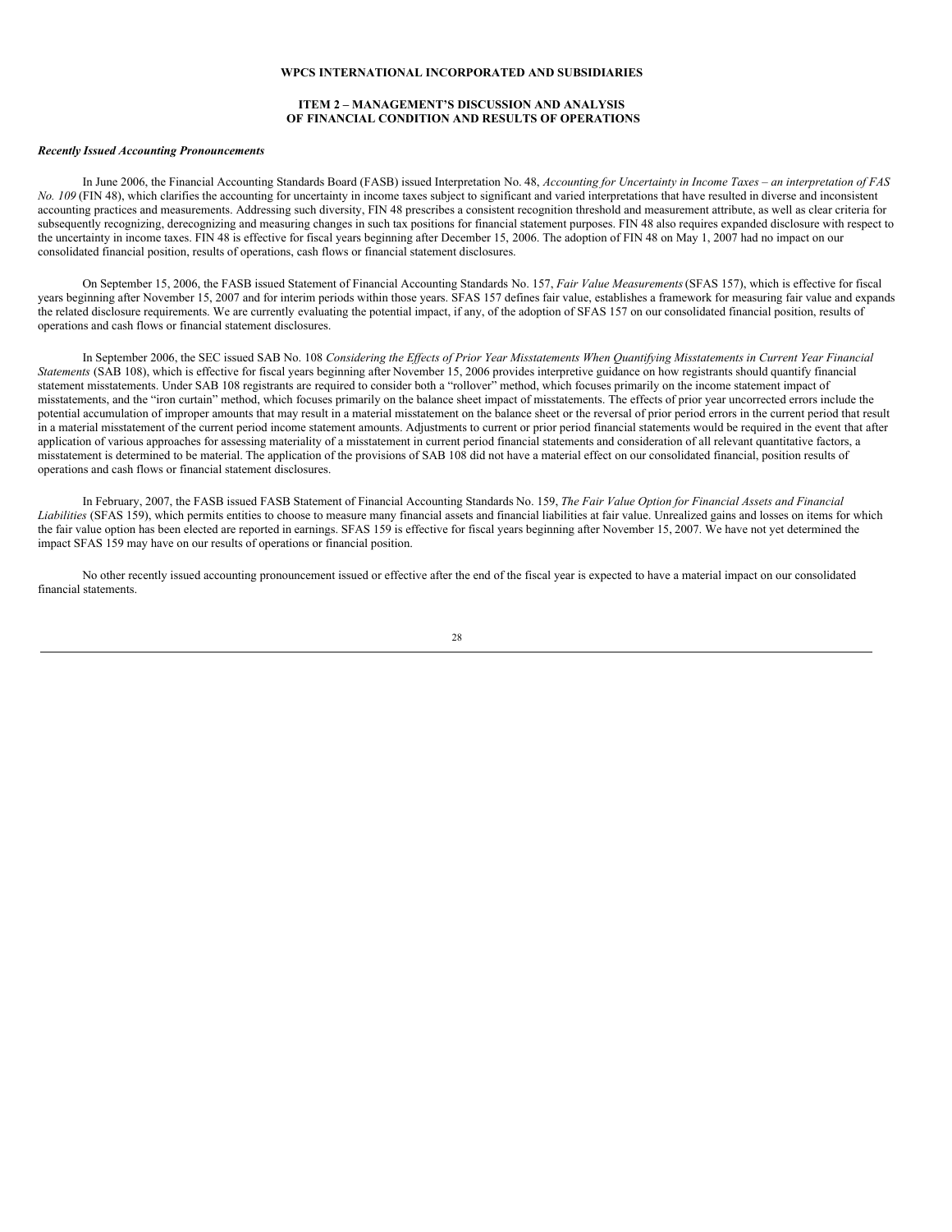## **ITEM 2 – MANAGEMENT'S DISCUSSION AND ANALYSIS OF FINANCIAL CONDITION AND RESULTS OF OPERATIONS**

#### *Recently Issued Accounting Pronouncements*

In June 2006, the Financial Accounting Standards Board (FASB) issued Interpretation No. 48, Accounting for Uncertainty in Income Taxes - an interpretation of FAS *No. 109* (FIN 48), which clarifies the accounting for uncertainty in income taxes subject to significant and varied interpretations that have resulted in diverse and inconsistent accounting practices and measurements. Addressing such diversity, FIN 48 prescribes a consistent recognition threshold and measurement attribute, as well as clear criteria for subsequently recognizing, derecognizing and measuring changes in such tax positions for financial statement purposes. FIN 48 also requires expanded disclosure with respect to the uncertainty in income taxes. FIN 48 is effective for fiscal years beginning after December 15, 2006. The adoption of FIN 48 on May 1, 2007 had no impact on our consolidated financial position, results of operations, cash flows or financial statement disclosures.

On September 15, 2006, the FASB issued Statement of Financial Accounting Standards No. 157, *Fair Value Measurements*(SFAS 157), which is effective for fiscal years beginning after November 15, 2007 and for interim periods within those years. SFAS 157 defines fair value, establishes a framework for measuring fair value and expands the related disclosure requirements. We are currently evaluating the potential impact, if any, of the adoption of SFAS 157 on our consolidated financial position, results of operations and cash flows or financial statement disclosures.

In September 2006, the SEC issued SAB No. 108 Considering the Effects of Prior Year Misstatements When Quantifying Misstatements in Current Year Financial *Statements* (SAB 108), which is effective for fiscal years beginning after November 15, 2006 provides interpretive guidance on how registrants should quantify financial statement misstatements. Under SAB 108 registrants are required to consider both a "rollover" method, which focuses primarily on the income statement impact of misstatements, and the "iron curtain" method, which focuses primarily on the balance sheet impact of misstatements. The effects of prior year uncorrected errors include the potential accumulation of improper amounts that may result in a material misstatement on the balance sheet or the reversal of prior period errors in the current period that result in a material misstatement of the current period income statement amounts. Adjustments to current or prior period financial statements would be required in the event that after application of various approaches for assessing materiality of a misstatement in current period financial statements and consideration of all relevant quantitative factors, a misstatement is determined to be material. The application of the provisions of SAB 108 did not have a material effect on our consolidated financial, position results of operations and cash flows or financial statement disclosures.

In February, 2007, the FASB issued FASB Statement of Financial Accounting Standards No. 159, *The Fair Value Option for Financial Assets and Financial Liabilities* (SFAS 159), which permits entities to choose to measure many financial assets and financial liabilities at fair value. Unrealized gains and losses on items for which the fair value option has been elected are reported in earnings. SFAS 159 is effective for fiscal years beginning after November 15, 2007. We have not yet determined the impact SFAS 159 may have on our results of operations or financial position.

No other recently issued accounting pronouncement issued or effective after the end of the fiscal year is expected to have a material impact on our consolidated financial statements.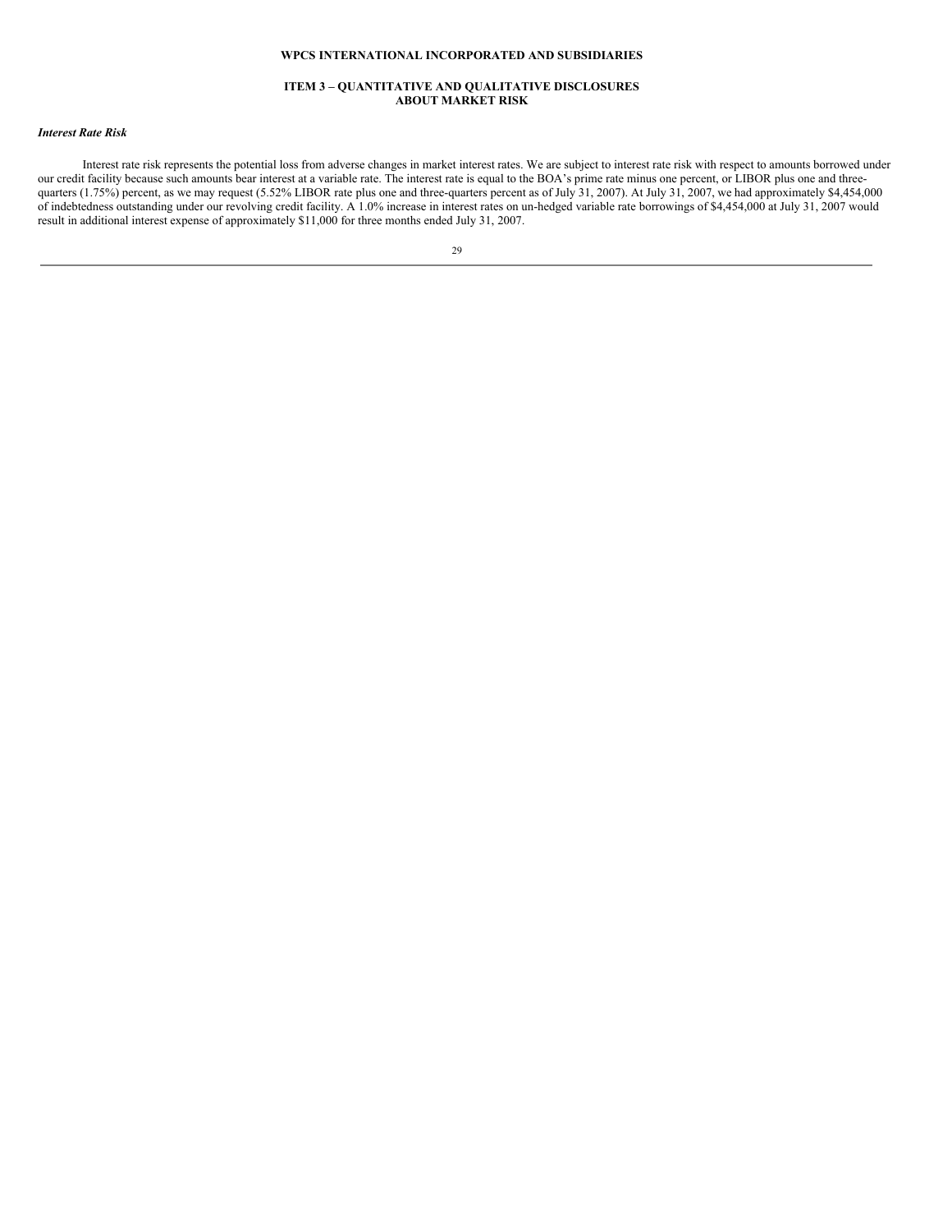## **ITEM 3 – QUANTITATIVE AND QUALITATIVE DISCLOSURES ABOUT MARKET RISK**

## *Interest Rate Risk*

Interest rate risk represents the potential loss from adverse changes in market interest rates. We are subject to interest rate risk with respect to amounts borrowed under our credit facility because such amounts bear interest at a variable rate. The interest rate is equal to the BOA's prime rate minus one percent, or LIBOR plus one and threequarters (1.75%) percent, as we may request (5.52% LIBOR rate plus one and three-quarters percent as of July 31, 2007). At July 31, 2007, we had approximately \$4,454,000 of indebtedness outstanding under our revolving credit facility. A 1.0% increase in interest rates on un-hedged variable rate borrowings of \$4,454,000 at July 31, 2007 would result in additional interest expense of approximately \$11,000 for three months ended July 31, 2007.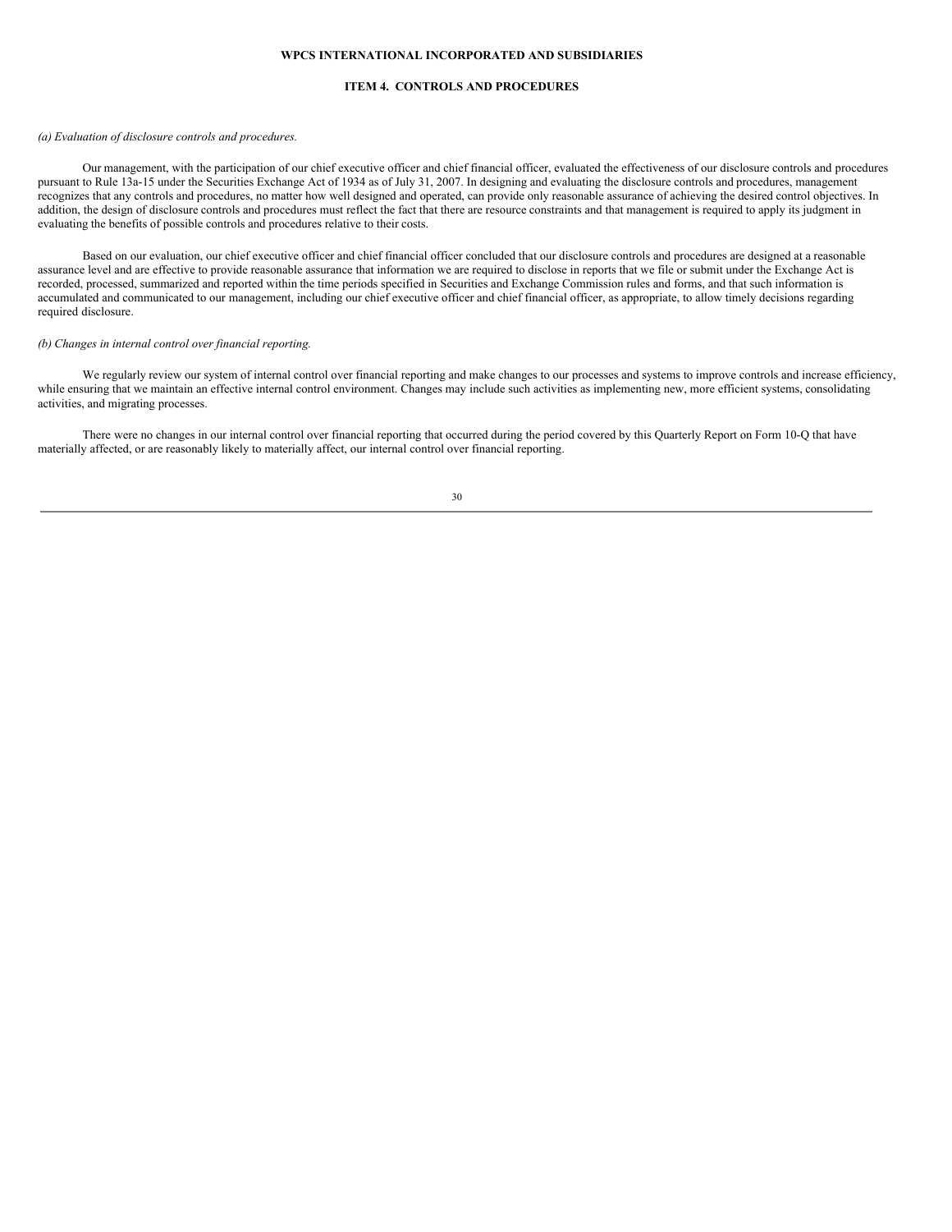# **ITEM 4. CONTROLS AND PROCEDURES**

### *(a) Evaluation of disclosure controls and procedures.*

Our management, with the participation of our chief executive officer and chief financial officer, evaluated the effectiveness of our disclosure controls and procedures pursuant to Rule 13a-15 under the Securities Exchange Act of 1934 as of July 31, 2007. In designing and evaluating the disclosure controls and procedures, management recognizes that any controls and procedures, no matter how well designed and operated, can provide only reasonable assurance of achieving the desired control objectives. In addition, the design of disclosure controls and procedures must reflect the fact that there are resource constraints and that management is required to apply its judgment in evaluating the benefits of possible controls and procedures relative to their costs.

Based on our evaluation, our chief executive officer and chief financial officer concluded that our disclosure controls and procedures are designed at a reasonable assurance level and are effective to provide reasonable assurance that information we are required to disclose in reports that we file or submit under the Exchange Act is recorded, processed, summarized and reported within the time periods specified in Securities and Exchange Commission rules and forms, and that such information is accumulated and communicated to our management, including our chief executive officer and chief financial officer, as appropriate, to allow timely decisions regarding required disclosure.

### *(b) Changes in internal control over financial reporting.*

We regularly review our system of internal control over financial reporting and make changes to our processes and systems to improve controls and increase efficiency, while ensuring that we maintain an effective internal control environment. Changes may include such activities as implementing new, more efficient systems, consolidating activities, and migrating processes.

There were no changes in our internal control over financial reporting that occurred during the period covered by this Quarterly Report on Form 10-Q that have materially affected, or are reasonably likely to materially affect, our internal control over financial reporting.

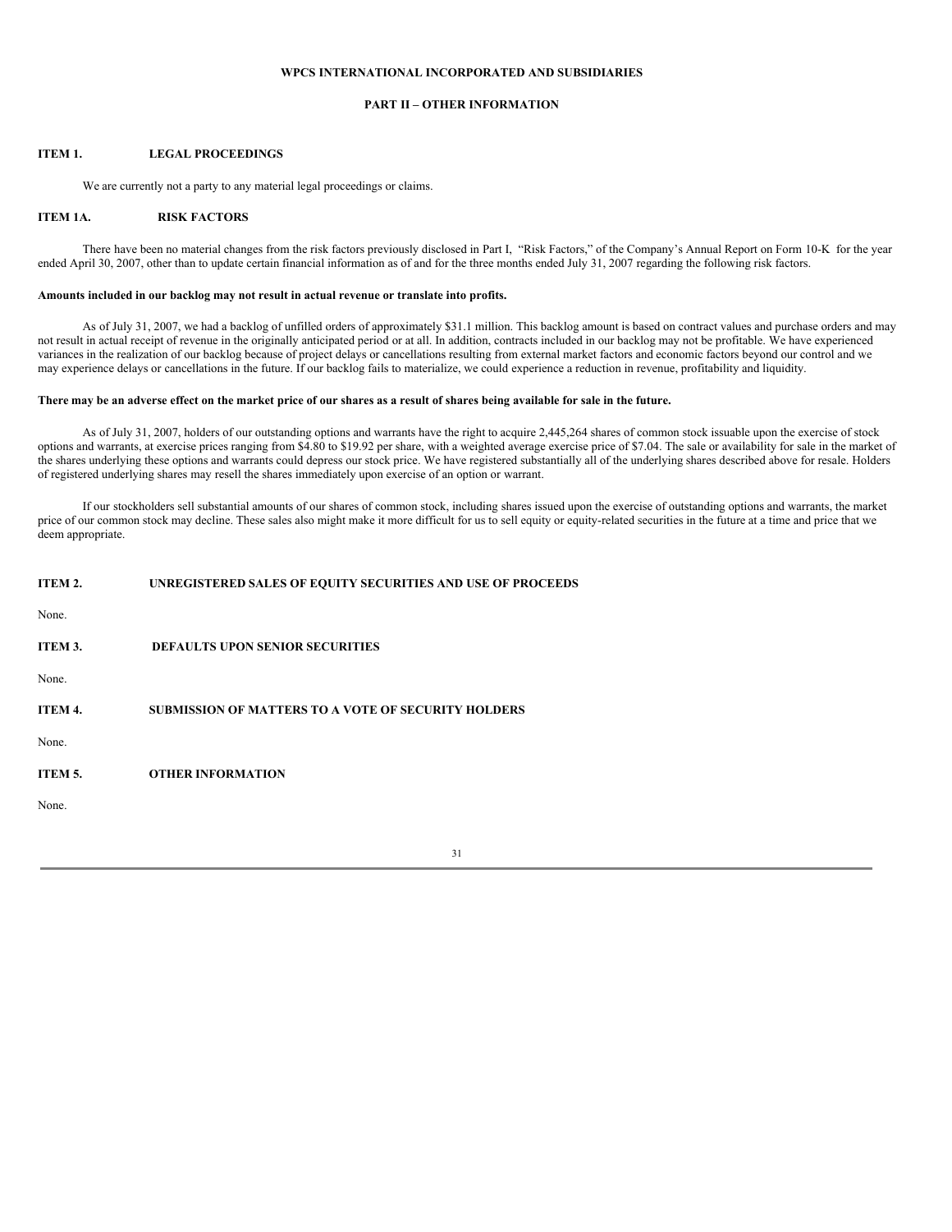## **PART II – OTHER INFORMATION**

## **ITEM 1. LEGAL PROCEEDINGS**

We are currently not a party to any material legal proceedings or claims.

#### **ITEM 1A. RISK FACTORS**

There have been no material changes from the risk factors previously disclosed in Part I, "Risk Factors," of the Company's Annual Report on Form 10-K for the year ended April 30, 2007, other than to update certain financial information as of and for the three months ended July 31, 2007 regarding the following risk factors.

### **Amounts included in our backlog may not result in actual revenue or translate into profits.**

As of July 31, 2007, we had a backlog of unfilled orders of approximately \$31.1 million. This backlog amount is based on contract values and purchase orders and may not result in actual receipt of revenue in the originally anticipated period or at all. In addition, contracts included in our backlog may not be profitable. We have experienced variances in the realization of our backlog because of project delays or cancellations resulting from external market factors and economic factors beyond our control and we may experience delays or cancellations in the future. If our backlog fails to materialize, we could experience a reduction in revenue, profitability and liquidity.

### There may be an adverse effect on the market price of our shares as a result of shares being available for sale in the future.

As of July 31, 2007, holders of our outstanding options and warrants have the right to acquire 2,445,264 shares of common stock issuable upon the exercise of stock options and warrants, at exercise prices ranging from \$4.80 to \$19.92 per share, with a weighted average exercise price of \$7.04. The sale or availability for sale in the market of the shares underlying these options and warrants could depress our stock price. We have registered substantially all of the underlying shares described above for resale. Holders of registered underlying shares may resell the shares immediately upon exercise of an option or warrant.

If our stockholders sell substantial amounts of our shares of common stock, including shares issued upon the exercise of outstanding options and warrants, the market price of our common stock may decline. These sales also might make it more difficult for us to sell equity or equity-related securities in the future at a time and price that we deem appropriate.

| ITEM 2. | UNREGISTERED SALES OF EQUITY SECURITIES AND USE OF PROCEEDS |
|---------|-------------------------------------------------------------|
| None.   |                                                             |
| ITEM 3. | <b>DEFAULTS UPON SENIOR SECURITIES</b>                      |
| None.   |                                                             |
| ITEM 4. | <b>SUBMISSION OF MATTERS TO A VOTE OF SECURITY HOLDERS</b>  |
| None.   |                                                             |
| ITEM 5. | <b>OTHER INFORMATION</b>                                    |
| None.   |                                                             |
|         |                                                             |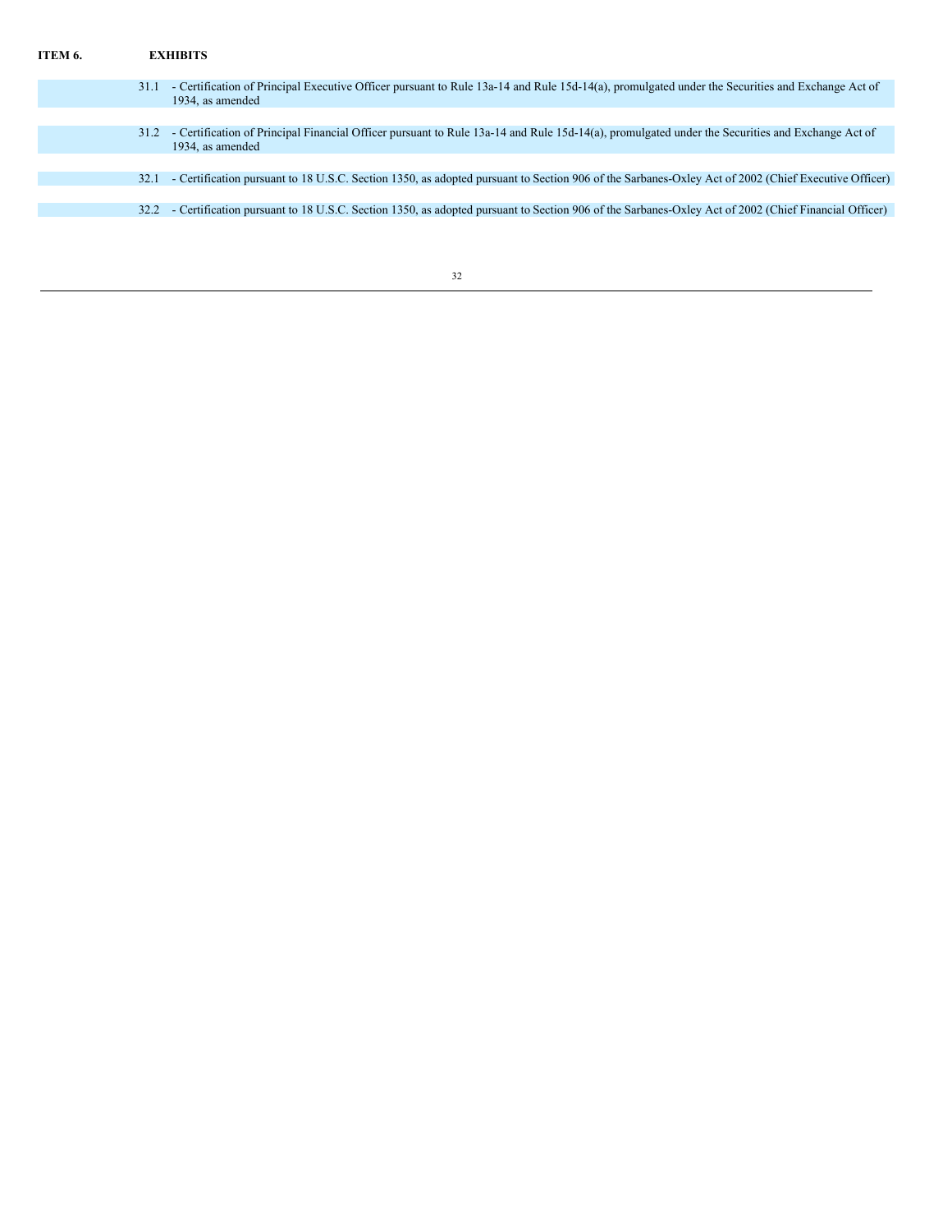| ITEM 6. | <b>EXHIBITS</b>                                                                                                                                                             |
|---------|-----------------------------------------------------------------------------------------------------------------------------------------------------------------------------|
|         | - Certification of Principal Executive Officer pursuant to Rule 13a-14 and Rule 15d-14(a), promulgated under the Securities and Exchange Act of<br>31.1<br>1934, as amended |
|         |                                                                                                                                                                             |
|         | - Certification of Principal Financial Officer pursuant to Rule 13a-14 and Rule 15d-14(a), promulgated under the Securities and Exchange Act of<br>31.2<br>1934, as amended |
|         |                                                                                                                                                                             |
|         | - Certification pursuant to 18 U.S.C. Section 1350, as adopted pursuant to Section 906 of the Sarbanes-Oxley Act of 2002 (Chief Executive Officer)<br>32.1                  |
|         |                                                                                                                                                                             |
|         | - Certification pursuant to 18 U.S.C. Section 1350, as adopted pursuant to Section 906 of the Sarbanes-Oxley Act of 2002 (Chief Financial Officer)<br>32.2                  |
|         |                                                                                                                                                                             |
|         |                                                                                                                                                                             |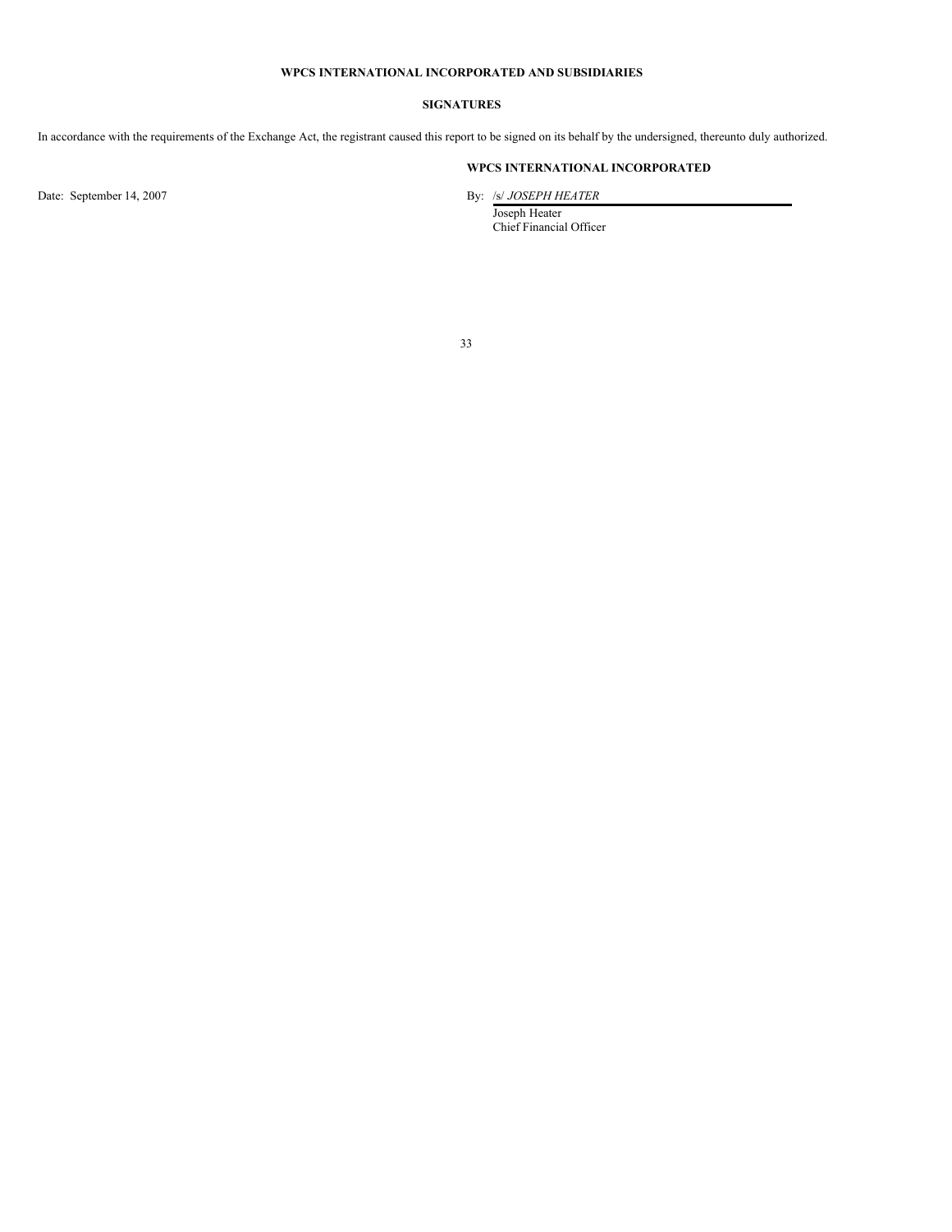# **SIGNATURES**

In accordance with the requirements of the Exchange Act, the registrant caused this report to be signed on its behalf by the undersigned, thereunto duly authorized.

## **WPCS INTERNATIONAL INCORPORATED**

Date: September 14, 2007 **By:** /s/ *JOSEPH HEATER* 

Joseph Heater Chief Financial Officer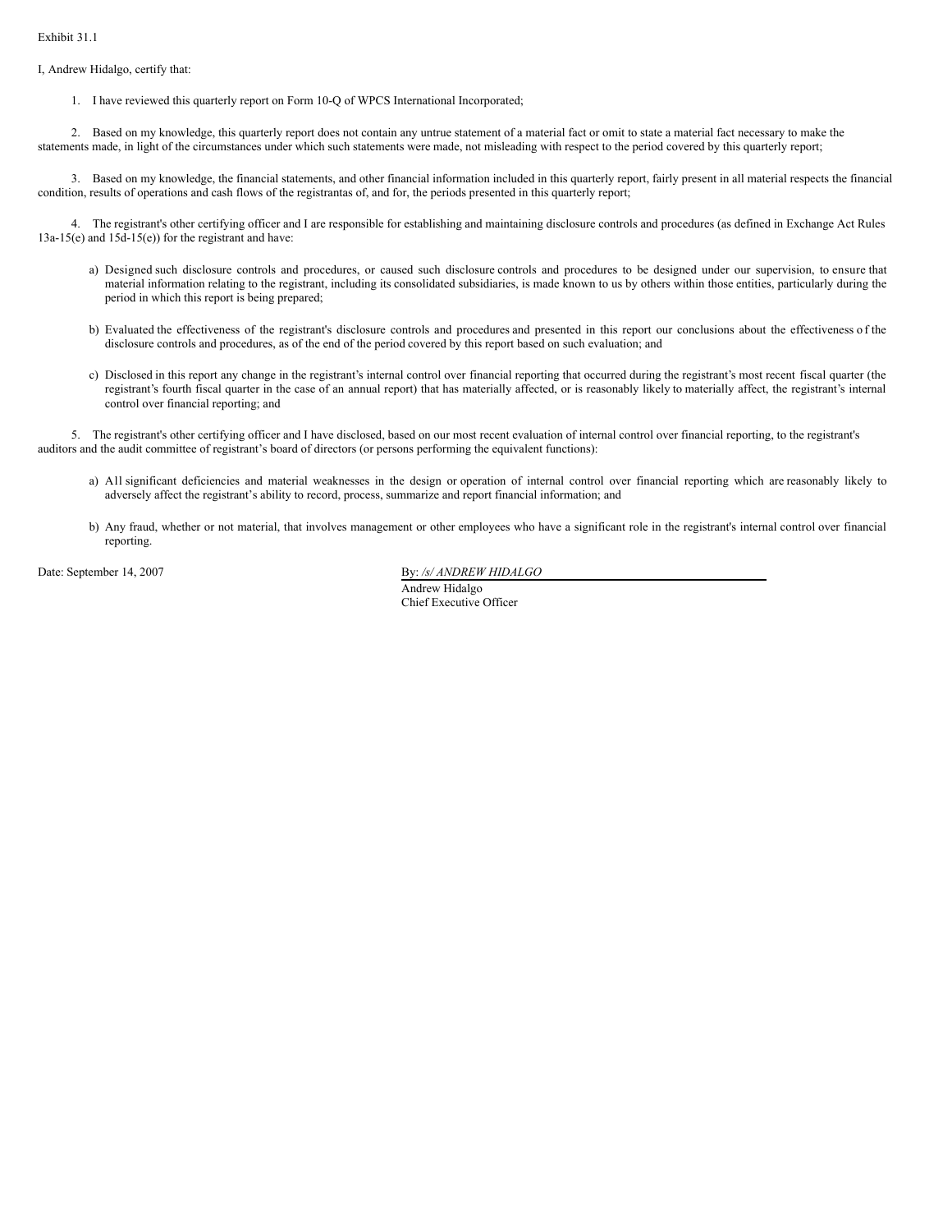I, Andrew Hidalgo, certify that:

1. I have reviewed this quarterly report on Form 10-Q of WPCS International Incorporated;

2. Based on my knowledge, this quarterly report does not contain any untrue statement of a material fact or omit to state a material fact necessary to make the statements made, in light of the circumstances under which such statements were made, not misleading with respect to the period covered by this quarterly report;

3. Based on my knowledge, the financial statements, and other financial information included in this quarterly report, fairly present in all material respects the financial condition, results of operations and cash flows of the registrantas of, and for, the periods presented in this quarterly report;

4. The registrant's other certifying officer and I are responsible for establishing and maintaining disclosure controls and procedures (as defined in Exchange Act Rules 13a-15(e) and 15d-15(e)) for the registrant and have:

- a) Designed such disclosure controls and procedures, or caused such disclosure controls and procedures to be designed under our supervision, to ensure that material information relating to the registrant, including its consolidated subsidiaries, is made known to us by others within those entities, particularly during the period in which this report is being prepared;
- b) Evaluated the effectiveness of the registrant's disclosure controls and procedures and presented in this report our conclusions about the effectiveness o f the disclosure controls and procedures, as of the end of the period covered by this report based on such evaluation; and
- c) Disclosed in this report any change in the registrant's internal control over financial reporting that occurred during the registrant's most recent fiscal quarter (the registrant's fourth fiscal quarter in the case of an annual report) that has materially affected, or is reasonably likely to materially affect, the registrant's internal control over financial reporting; and

5. The registrant's other certifying officer and I have disclosed, based on our most recent evaluation of internal control over financial reporting, to the registrant's auditors and the audit committee of registrant's board of directors (or persons performing the equivalent functions):

- a) All significant deficiencies and material weaknesses in the design or operation of internal control over financial reporting which are reasonably likely to adversely affect the registrant's ability to record, process, summarize and report financial information; and
- b) Any fraud, whether or not material, that involves management or other employees who have a significant role in the registrant's internal control over financial reporting.

Date: September 14, 2007 By: /s/ *ANDREW HIDALGO* Andrew Hidalgo Chief Executive Officer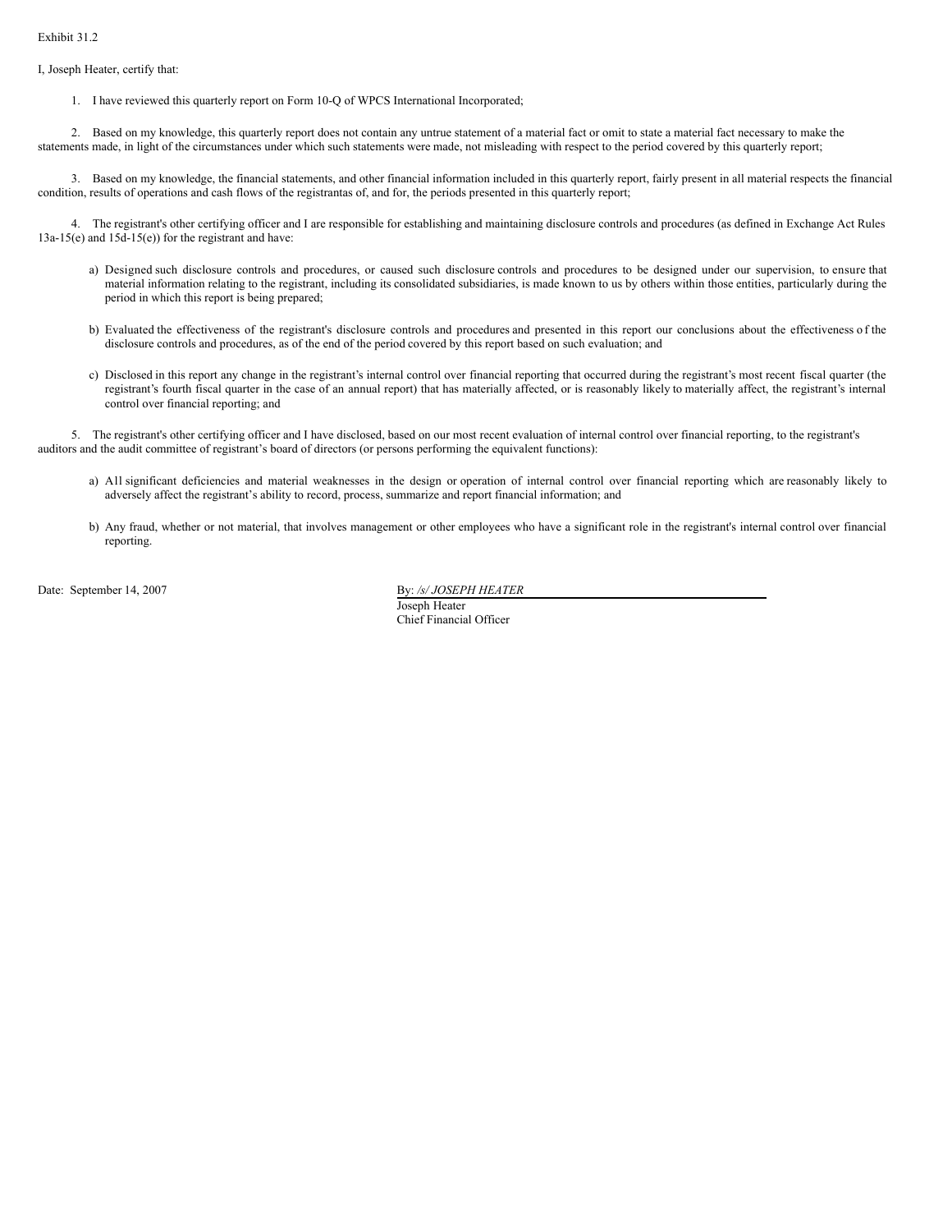I, Joseph Heater, certify that:

1. I have reviewed this quarterly report on Form 10-Q of WPCS International Incorporated;

2. Based on my knowledge, this quarterly report does not contain any untrue statement of a material fact or omit to state a material fact necessary to make the statements made, in light of the circumstances under which such statements were made, not misleading with respect to the period covered by this quarterly report;

3. Based on my knowledge, the financial statements, and other financial information included in this quarterly report, fairly present in all material respects the financial condition, results of operations and cash flows of the registrantas of, and for, the periods presented in this quarterly report;

4. The registrant's other certifying officer and I are responsible for establishing and maintaining disclosure controls and procedures (as defined in Exchange Act Rules 13a-15(e) and 15d-15(e)) for the registrant and have:

- a) Designed such disclosure controls and procedures, or caused such disclosure controls and procedures to be designed under our supervision, to ensure that material information relating to the registrant, including its consolidated subsidiaries, is made known to us by others within those entities, particularly during the period in which this report is being prepared;
- b) Evaluated the effectiveness of the registrant's disclosure controls and procedures and presented in this report our conclusions about the effectiveness o f the disclosure controls and procedures, as of the end of the period covered by this report based on such evaluation; and
- c) Disclosed in this report any change in the registrant's internal control over financial reporting that occurred during the registrant's most recent fiscal quarter (the registrant's fourth fiscal quarter in the case of an annual report) that has materially affected, or is reasonably likely to materially affect, the registrant's internal control over financial reporting; and

5. The registrant's other certifying officer and I have disclosed, based on our most recent evaluation of internal control over financial reporting, to the registrant's auditors and the audit committee of registrant's board of directors (or persons performing the equivalent functions):

- a) All significant deficiencies and material weaknesses in the design or operation of internal control over financial reporting which are reasonably likely to adversely affect the registrant's ability to record, process, summarize and report financial information; and
- b) Any fraud, whether or not material, that involves management or other employees who have a significant role in the registrant's internal control over financial reporting.

Date: September 14, 2007 By: /s/ *JOSEPH HEATER* 

Joseph Heater Chief Financial Officer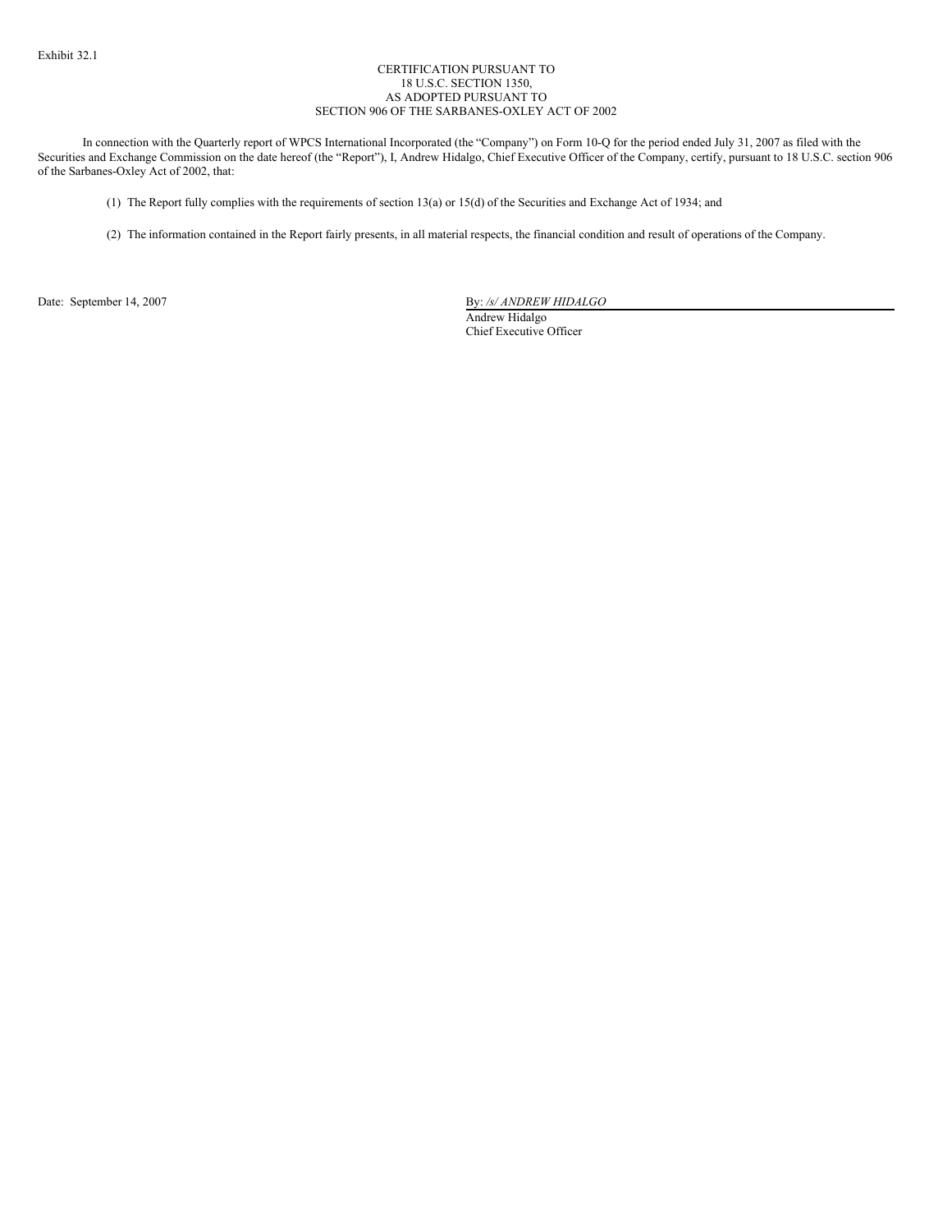### CERTIFICATION PURSUANT TO 18 U.S.C. SECTION 1350, AS ADOPTED PURSUANT TO SECTION 906 OF THE SARBANES-OXLEY ACT OF 2002

In connection with the Quarterly report of WPCS International Incorporated (the "Company") on Form 10-Q for the period ended July 31, 2007 as filed with the Securities and Exchange Commission on the date hereof (the "Report"), I, Andrew Hidalgo, Chief Executive Officer of the Company, certify, pursuant to 18 U.S.C. section 906 of the Sarbanes-Oxley Act of 2002, that:

(1) The Report fully complies with the requirements of section 13(a) or 15(d) of the Securities and Exchange Act of 1934; and

(2) The information contained in the Report fairly presents, in all material respects, the financial condition and result of operations of the Company.

Date: September 14, 2007 By: /s/ *ANDREW HIDALGO* 

Andrew Hidalgo Chief Executive Officer